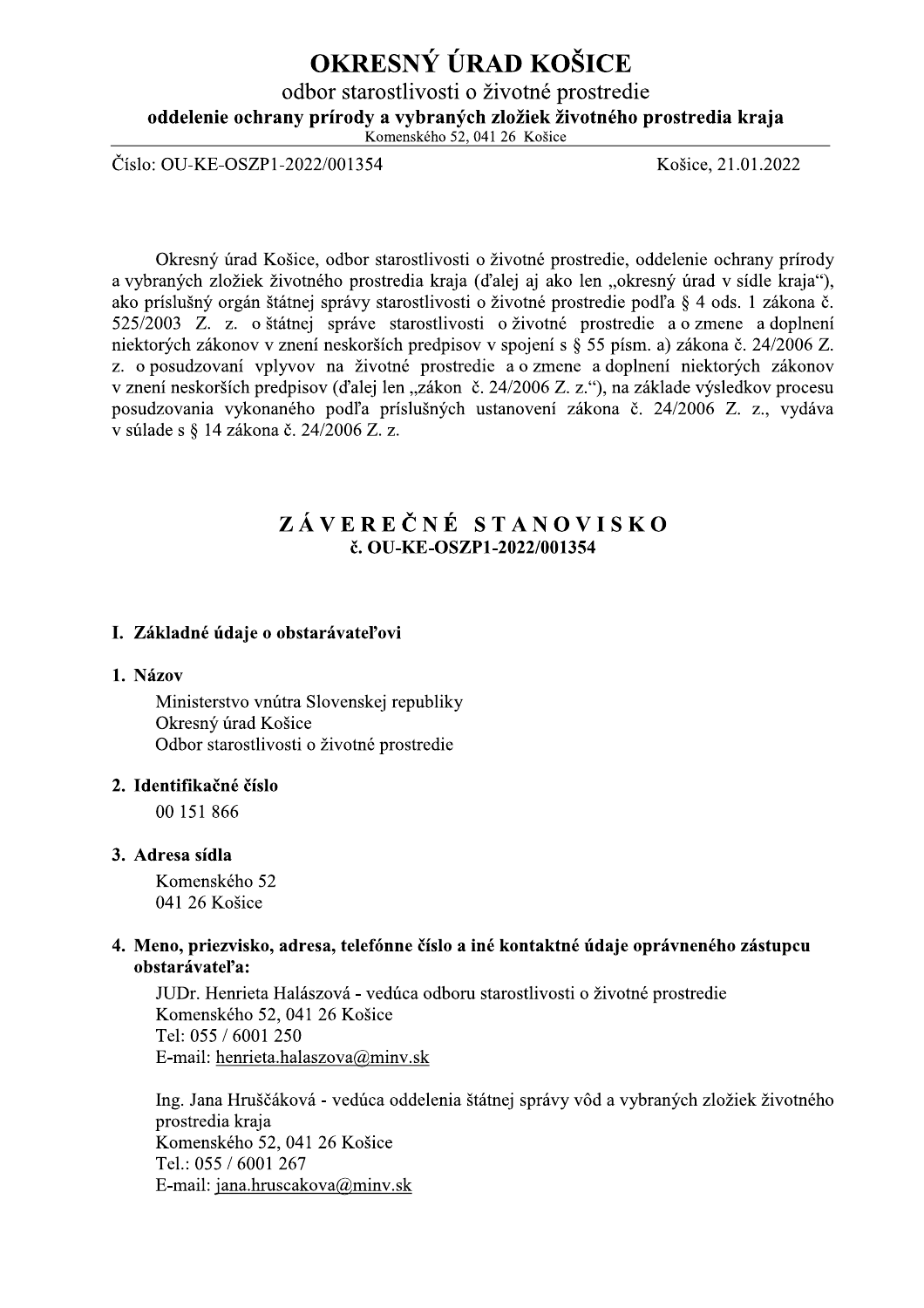# OKRESNÝ ÚRAD KOŠICE

odbor starostlivosti o životné prostredie

oddelenie ochrany prírody a vybraných zložiek životného prostredia kraja

Komenského 52, 041 26 Košice

Číslo: OU-KE-OSZP1-2022/001354

Košice, 21.01.2022

Okresný úrad Košice, odbor starostlivosti o životné prostredie, oddelenie ochrany prírody a vybraných zložiek životného prostredia kraja (ďalej aj ako len "okresný úrad v sídle kraja"), ako príslušný orgán štátnej správy starostlivosti o životné prostredie podľa § 4 ods. 1 zákona č. 525/2003 Z. z. o štátnej správe starostlivosti o životné prostredie a o zmene a doplnení niektorých zákonov v znení neskorších predpisov v spojení s § 55 písm. a) zákona č. 24/2006 Z. z. o posudzovaní vplyvov na životné prostredie a o zmene a doplnení niektorých zákonov v znení neskorších predpisov (ďalej len "zákon č. 24/2006 Z. z."), na základe výsledkov procesu posudzovania vykonaného podľa príslušných ustanovení zákona č. 24/2006 Z. z., vydáva v súlade s § 14 zákona č. 24/2006 Z. z.

## ZÁVEREČNÉ STANOVISKO č. OU-KE-OSZP1-2022/001354

## I. Základné údaje o obstarávateľovi

#### 1. Názov

Ministerstvo vnútra Slovenskej republiky Okresný úrad Košice Odbor starostlivosti o životné prostredie

#### 2. Identifikačné číslo

00 151 866

#### 3. Adresa sídla

Komenského 52 041 26 Košice

#### 4. Meno, priezvisko, adresa, telefónne číslo a iné kontaktné údaje oprávneného zástupcu obstarávateľa:

JUDr. Henrieta Halászová - vedúca odboru starostlivosti o životné prostredie Komenského 52, 041 26 Košice Tel: 055 / 6001 250 E-mail: henrieta.halaszova@minv.sk

Ing. Jana Hruščáková - vedúca oddelenia štátnej správy vôd a vybraných zložiek životného prostredia kraja Komenského 52, 041 26 Košice Tel.: 055 / 6001 267 E-mail: jana.hruscakova@minv.sk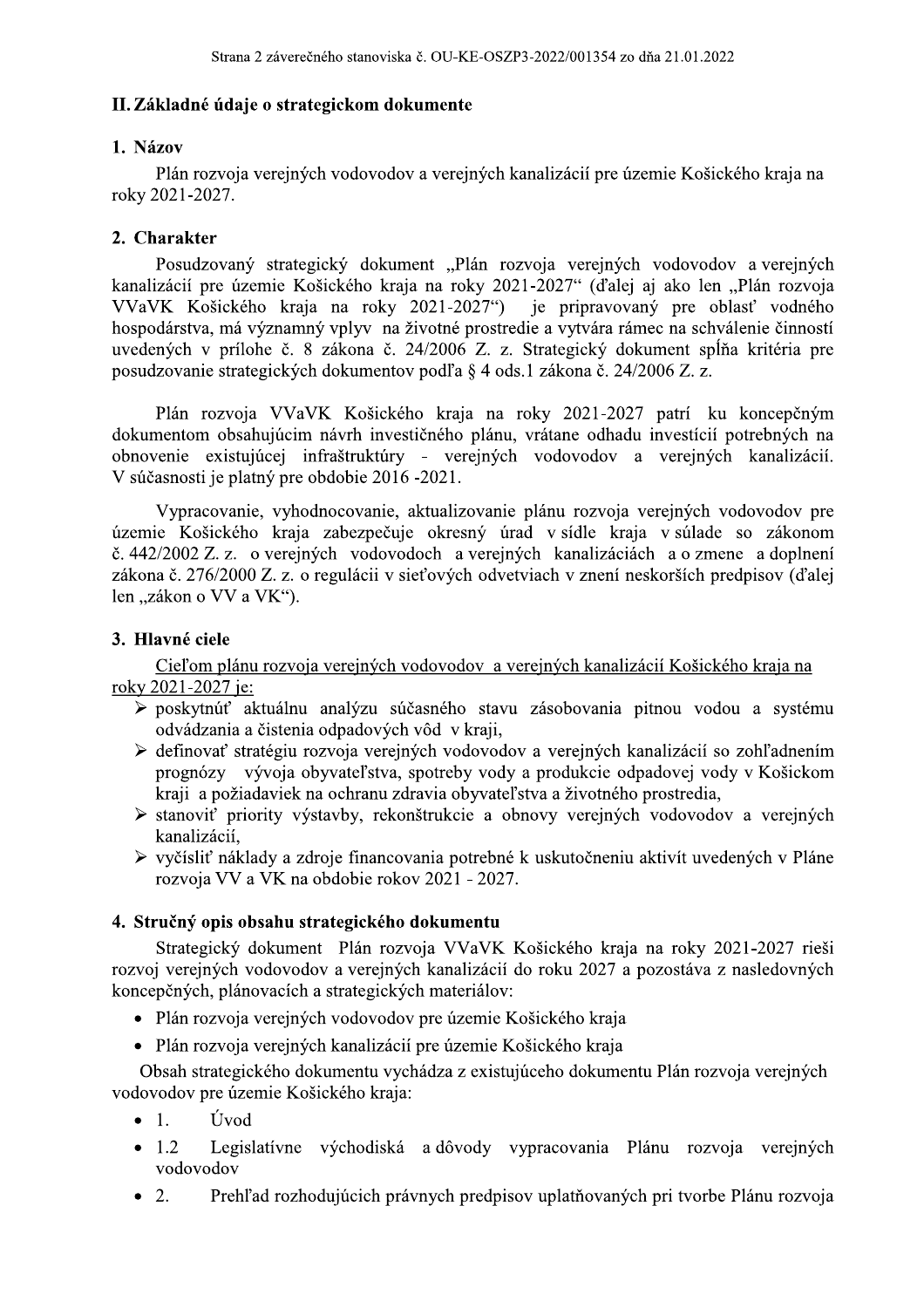## II. Základné údaje o strategickom dokumente

### 1. Názov

Plán rozvoja verejných vodovodov a verejných kanalizácií pre územie Košického kraja na roky 2021-2027.

## 2. Charakter

Posudzovaný strategický dokument "Plán rozvoja verejných vodovodov a verejných kanalizácií pre územie Košického kraja na roky 2021-2027" (ďalej aj ako len "Plán rozvoja VVaVK Košického kraja na roky 2021-2027") je pripravovaný pre oblasť vodného hospodárstva, má významný vplyv na životné prostredie a vytvára rámec na schválenie činností uvedených v prílohe č. 8 zákona č. 24/2006 Z. z. Strategický dokument spĺňa kritéria pre posudzovanie strategických dokumentov podľa § 4 ods.1 zákona č. 24/2006 Z. z.

Plán rozvoja VVaVK Košického kraja na roky 2021-2027 patrí ku koncepčným dokumentom obsahujúcim návrh investičného plánu, vrátane odhadu investícií potrebných na obnovenie existujúcej infraštruktúry - verejných vodovodov a verejných kanalizácií. V súčasnosti je platný pre obdobie 2016 -2021.

Vypracovanie, vyhodnocovanie, aktualizovanie plánu rozvoja verejných vodovodov pre územie Košického kraja zabezpečuje okresný úrad v sídle kraja v súlade so zákonom č. 442/2002 Z. z. o verejných vodovodoch a verejných kanalizáciách a o zmene a doplnení zákona č. 276/2000 Z. z. o regulácii v sieťových odvetviach v znení neskorších predpisov (ďalej len "zákon o VV a VK").

## 3. Hlavné ciele

Cieľom plánu rozvoja verejných vodovodov a verejných kanalizácií Košického kraja na roky 2021-2027 je:

- > poskytnúť aktuálnu analýzu súčasného stavu zásobovania pitnou vodou a systému odvádzania a čistenia odpadových vôd v kraji,
- > definovať stratégiu rozvoja verejných vodovodov a verejných kanalizácií so zohľadnením prognózy vývoja obyvateľstva, spotreby vody a produkcie odpadovej vody v Košickom kraji a požiadaviek na ochranu zdravia obyvateľstva a životného prostredia,
- > stanoviť priority výstavby, rekonštrukcie a obnovy verejných vodovodov a verejných kanalizácií,
- ≻ vyčísliť náklady a zdroje financovania potrebné k uskutočneniu aktivít uvedených v Pláne rozvoja VV a VK na obdobie rokov 2021 - 2027.

## 4. Stručný opis obsahu strategického dokumentu

Strategický dokument Plán rozvoja VVaVK Košického kraja na roky 2021-2027 rieši rozvoj verejných vodovodov a verejných kanalizácií do roku 2027 a pozostáva z nasledovných koncepčných, plánovacích a strategických materiálov:

- · Plán rozvoja verejných vodovodov pre územie Košického kraja
- Plán rozvoja verejných kanalizácií pre územie Košického kraja

Obsah strategického dokumentu vychádza z existujúceho dokumentu Plán rozvoja verejných vodovodov pre územie Košického kraja:

- $\bullet$  1. Úvod
- Legislatívne východiská a dôvody vypracovania Plánu rozvoja verejných  $1.2$  $\bullet$ vodovodov
- $\bullet$  2. Prehľad rozhodujúcich právnych predpisov uplatňovaných pri tvorbe Plánu rozvoja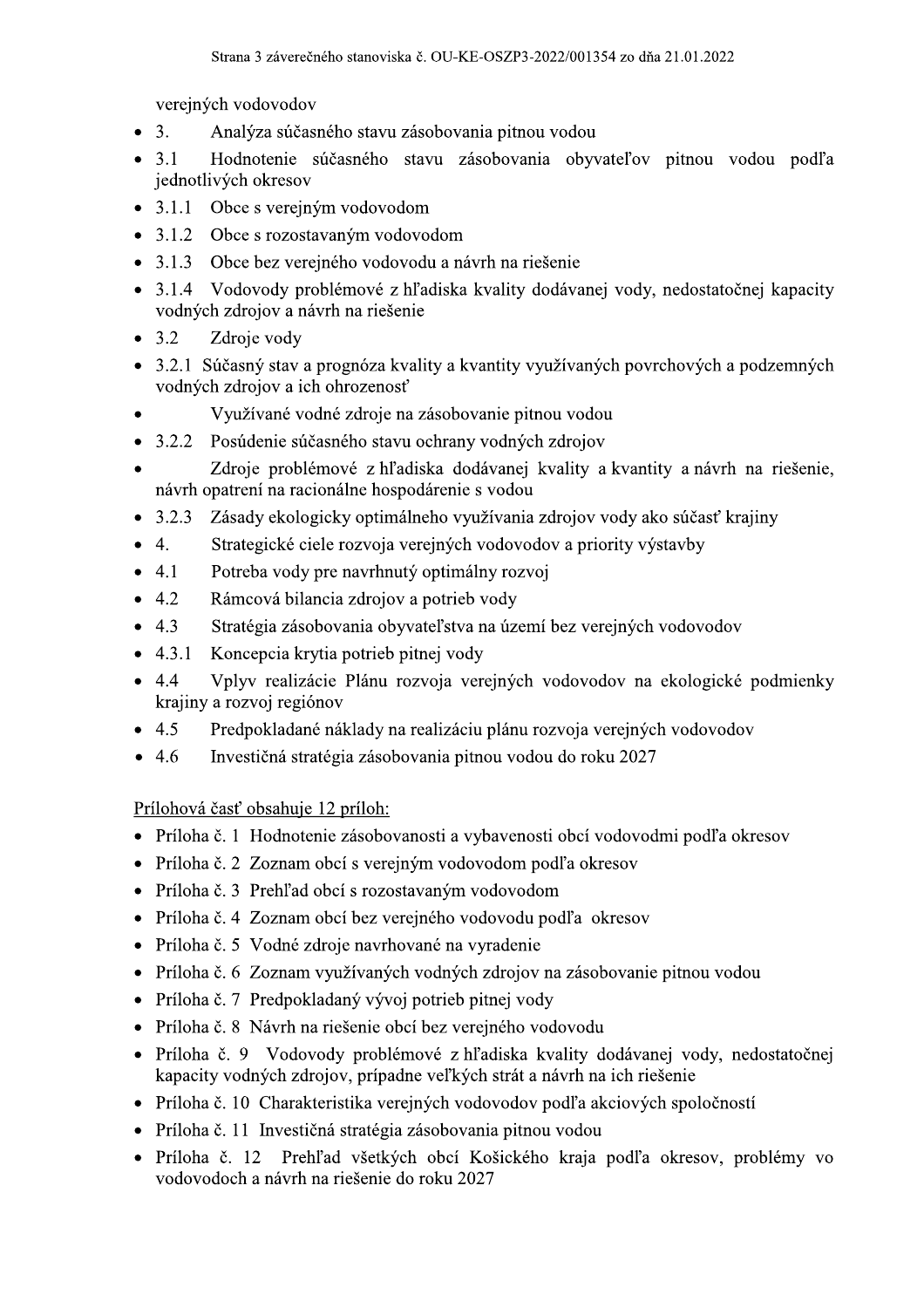verejných vodovodov

- $\overline{3}$ . Analýza súčasného stavu zásobovania pitnou vodou  $\bullet$
- $3.1$ Hodnotenie súčasného stavu zásobovania obyvateľov pitnou vodou podľa jednotlivých okresov
- 3.1.1 Obce s verejným vodovodom
- 3.1.2 Obce s rozostavaným vodovodom
- $3.1.3$ Obce bez verejného vodovodu a návrh na riešenie
- $3.1.4$ Vodovody problémové z hľadiska kvality dodávanej vody, nedostatočnej kapacity vodných zdrojov a návrh na riešenie
- $3.2$ Zdroje vody
- 3.2.1 Súčasný stav a prognóza kvality a kvantity využívaných povrchových a podzemných vodných zdrojov a ich ohrozenosť
- Využívané vodné zdroje na zásobovanie pitnou vodou
- Posúdenie súčasného stavu ochrany vodných zdrojov  $3.2.2$  $\bullet$
- Zdroje problémové z hľadiska dodávanej kvality a kvantity a návrh na riešenie. návrh opatrení na racionálne hospodárenie s vodou
- 3.2.3 Zásady ekologicky optimálneho využívania zdrojov vody ako súčasť krajiny
- Strategické ciele rozvoja verejných vodovodov a priority výstavby  $\overline{4}$ .
- $4.1$ Potreba vody pre navrhnutý optimálny rozvoj
- 4.2 Rámcová bilancia zdrojov a potrieb vody
- 4.3 Stratégia zásobovania obyvateľstva na území bez verejných vodovodov
- $4.3.1$ Koncepcia krytia potrieb pitnej vody
- Vplyv realizácie Plánu rozvoja verejných vodovodov na ekologické podmienky  $4.4$ krajiny a rozvoj regiónov
- 4.5 Predpokladané náklady na realizáciu plánu rozvoja verejných vodovodov
- 4.6 Investičná stratégia zásobovania pitnou vodou do roku 2027  $\bullet$

Prílohová časť obsahuje 12 príloh:

- Príloha č. 1 Hodnotenie zásobovanosti a vybavenosti obcí vodovodmi podľa okresov
- Príloha č. 2 Zoznam obcí s verejným vodovodom podľa okresov
- · Príloha č. 3 Prehľad obcí s rozostavaným vodovodom
- Príloha č. 4 Zoznam obcí bez verejného vodovodu podľa okresov
- · Príloha č. 5 Vodné zdroje navrhované na vyradenie
- Príloha č. 6 Zoznam využívaných vodných zdrojov na zásobovanie pitnou vodou
- Príloha č. 7 Predpokladaný vývoj potrieb pitnej vody
- · Príloha č. 8 Návrh na riešenie obcí bez verejného vodovodu
- · Príloha č. 9 Vodovody problémové z hľadiska kvality dodávanej vody, nedostatočnej kapacity vodných zdrojov, prípadne veľkých strát a návrh na ich riešenie
- Príloha č. 10 Charakteristika verejných vodovodov podľa akciových spoločností
- Príloha č. 11 Investičná stratégia zásobovania pitnou vodou
- Prehľad všetkých obcí Košického kraja podľa okresov, problémy vo Príloha č. 12 vodovodoch a návrh na riešenie do roku 2027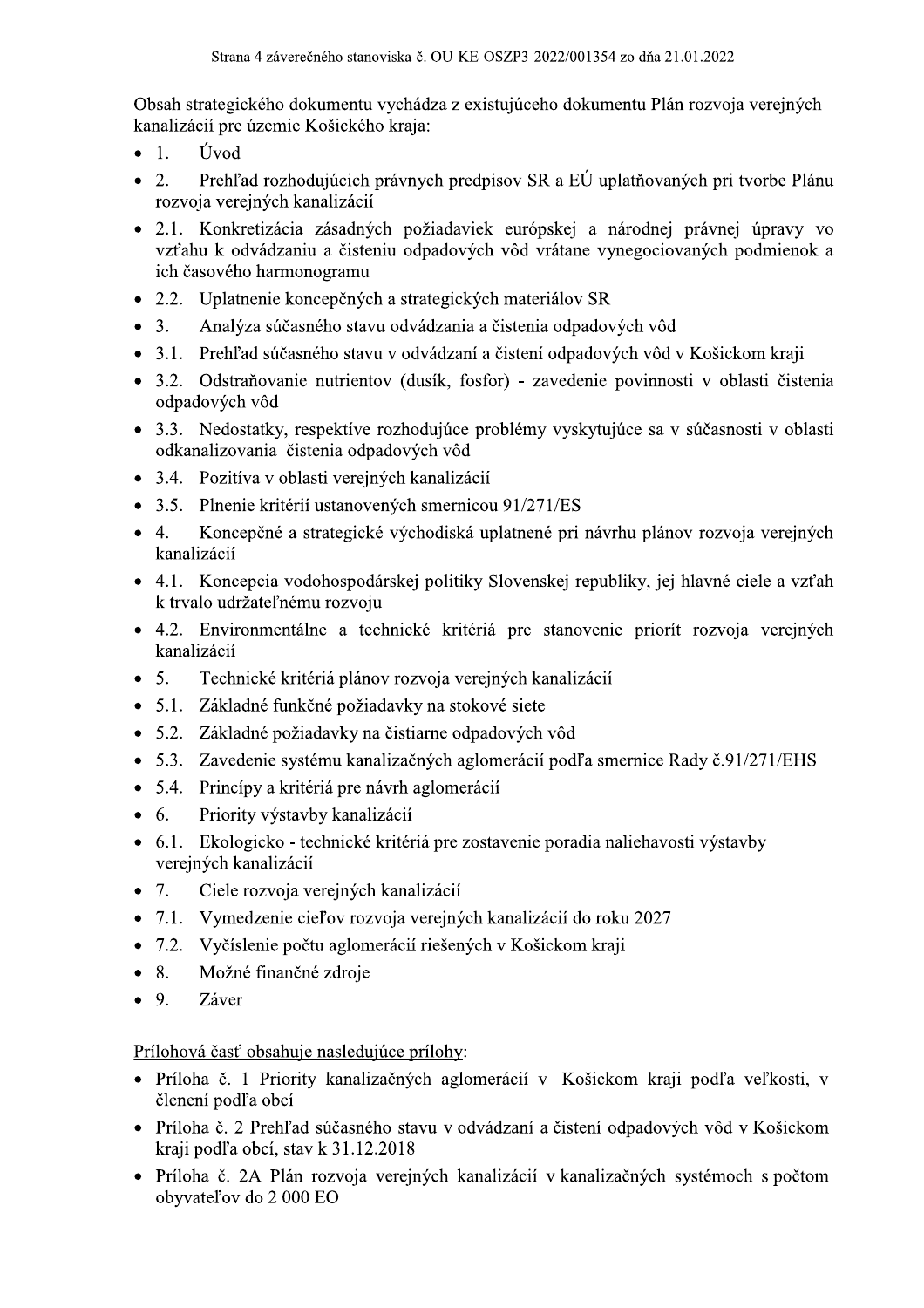Obsah strategického dokumentu vychádza z existujúceho dokumentu Plán rozvoja verejných kanalizácií pre územie Košického kraja:

- $\overline{1}$ . Úvod  $\bullet$
- Prehľad rozhodujúcich právnych predpisov SR a EÚ uplatňovaných pri tvorbe Plánu  $2.$ rozvoja verejných kanalizácií
- 2.1. Konkretizácia zásadných požiadaviek európskej a národnej právnej úpravy vo vzťahu k odvádzaniu a čisteniu odpadových vôd vrátane vynegociovaných podmienok a ich časového harmonogramu
- 2.2. Uplatnenie koncepčných a strategických materiálov SR
- $3.$ Analýza súčasného stavu odvádzania a čistenia odpadových vôd  $\bullet$
- 3.1. Prehľad súčasného stavu v odvádzaní a čistení odpadových vôd v Košickom kraji
- 3.2. Odstraňovanie nutrientov (dusík, fosfor) zavedenie povinnosti v oblasti čistenia odpadových vôd
- 3.3. Nedostatky, respektíve rozhodujúce problémy vyskytujúce sa v súčasnosti v oblasti odkanalizovania čistenia odpadových vôd
- 3.4. Pozitíva v oblasti verejných kanalizácií
- 3.5. Plnenie kritérií ustanovených smernicou 91/271/ES
- Koncepčné a strategické východiská uplatnené pri návrhu plánov rozvoja verejných  $\overline{4}$ .  $\bullet$ kanalizácií
- 4.1. Koncepcia vodohospodárskej politiky Slovenskej republiky, jej hlavné ciele a vzťah k trvalo udržateľnému rozvoju
- 4.2. Environmentálne a technické kritériá pre stanovenie priorít rozvoja verejných kanalizácií
- 5. Technické kritériá plánov rozvoja verejných kanalizácií
- 5.1. Základné funkčné požiadavky na stokové siete
- 5.2. Základné požiadavky na čistiarne odpadových vôd
- 5.3. Zavedenie systému kanalizačných aglomerácií podľa smernice Rady č.91/271/EHS
- 5.4. Princípy a kritériá pre návrh aglomerácií
- 6. Priority výstavby kanalizácií
- 6.1. Ekologicko technické kritériá pre zostavenie poradia naliehavosti výstavby verejných kanalizácií
- $7.$ Ciele rozvoja verejných kanalizácií
- 7.1. Vymedzenie cieľov rozvoja verejných kanalizácií do roku 2027
- 7.2. Vyčíslenie počtu aglomerácií riešených v Košickom kraji
- 8. Možné finančné zdroje
- 9. Záver

## Prílohová časť obsahuje nasledujúce prílohy:

- Príloha č. 1 Priority kanalizačných aglomerácií v Košickom kraji podľa veľkosti, v členení podľa obcí
- · Príloha č. 2 Prehľad súčasného stavu v odvádzaní a čistení odpadových vôd v Košickom kraji podľa obcí, stav k 31.12.2018
- Príloha č. 2A Plán rozvoja verejných kanalizácií v kanalizačných systémoch s počtom obyvateľov do 2 000 EO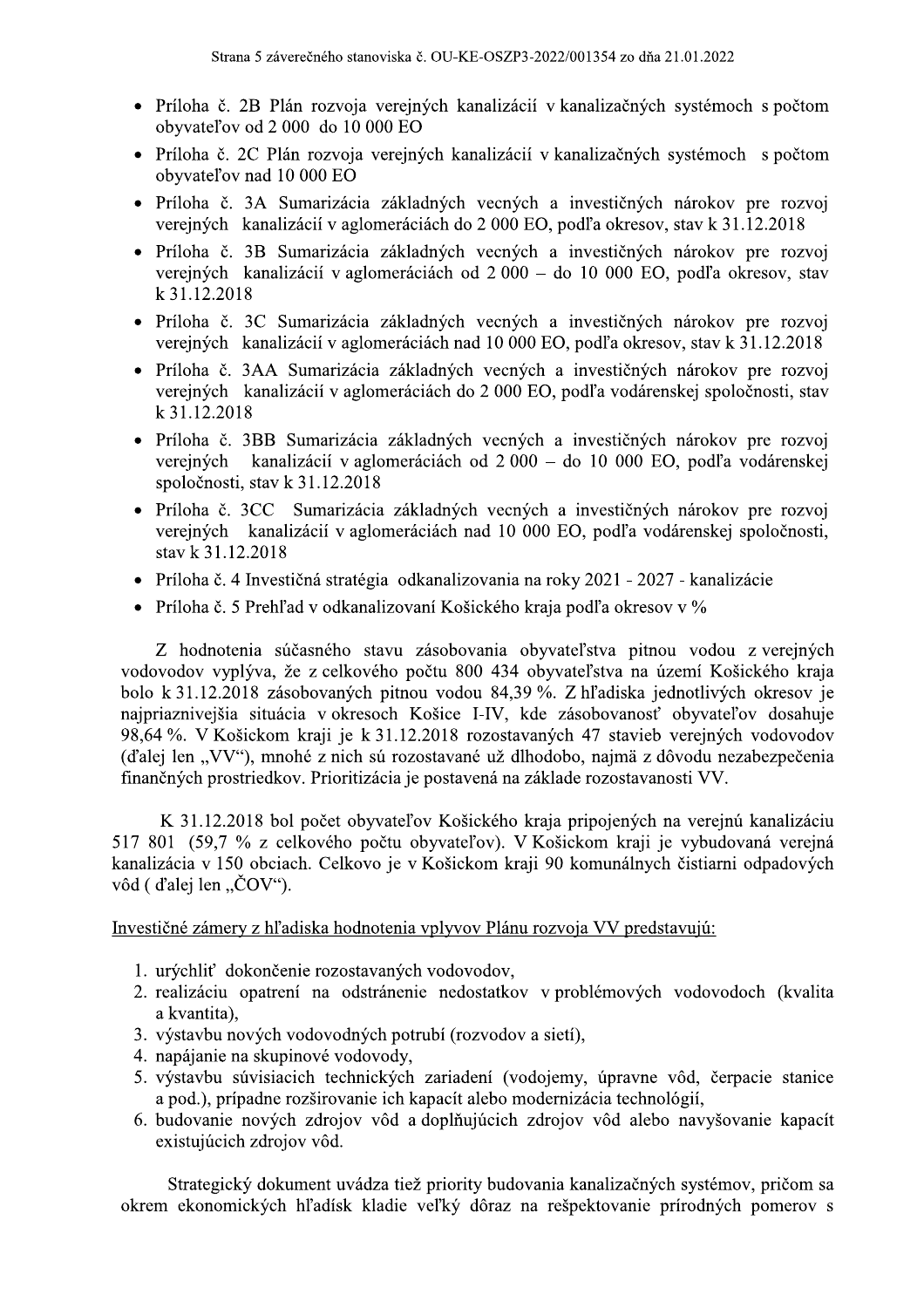- · Príloha č. 2B Plán rozvoja verejných kanalizácií v kanalizačných systémoch s počtom obyvateľov od 2 000 do 10 000 EO
- Príloha č. 2C Plán rozvoja verejných kanalizácií v kanalizačných systémoch s počtom obyvateľov nad 10 000 EO
- · Príloha č. 3A Sumarizácia základných vecných a investičných nárokov pre rozvoj verejných kanalizácií v aglomeráciách do 2 000 EO, podľa okresov, stav k 31.12.2018
- · Príloha č. 3B Sumarizácia základných vecných a investičných nárokov pre rozvoj verejných kanalizácií v aglomeráciách od 2 000 – do 10 000 EO, podľa okresov, stav k 31.12.2018
- · Príloha č. 3C Sumarizácia základných vecných a investičných nárokov pre rozvoj verejných kanalizácií v aglomeráciách nad 10 000 EO, podľa okresov, stav k 31.12.2018
- · Príloha č. 3AA Sumarizácia základných vecných a investičných nárokov pre rozvoj verejných kanalizácií v aglomeráciách do 2 000 EO, podľa vodárenskej spoločnosti, stav k 31.12.2018
- Príloha č. 3BB Sumarizácia základných vecných a investičných nárokov pre rozvoj verejných kanalizácií v aglomeráciách od 2 000 – do 10 000 EO, podľa vodárenskej spoločnosti, stav k 31.12.2018
- Príloha č. 3CC Sumarizácia základných vecných a investičných nárokov pre rozvoj verejných kanalizácií v aglomeráciách nad 10 000 EO, podľa vodárenskej spoločnosti, stav k 31.12.2018
- Príloha č. 4 Investičná stratégia odkanalizovania na roky 2021 2027 kanalizácie
- Príloha č. 5 Prehľad v odkanalizovaní Košického kraja podľa okresov v %

Z hodnotenia súčasného stavu zásobovania obyvateľstva pitnou vodou z verejných vodovodov vyplýva, že z celkového počtu 800 434 obyvateľstva na území Košického kraja bolo k 31.12.2018 zásobovaných pitnou vodou 84,39 %. Z hľadiska jednotlivých okresov je najpriaznivejšia situácia v okresoch Košice I-IV, kde zásobovanosť obyvateľov dosahuje 98,64 %. V Košickom kraji je k 31.12.2018 rozostavaných 47 stavieb verejných vodovodov (ďalej len "VV"), mnohé z nich sú rozostavané už dlhodobo, najmä z dôvodu nezabezpečenia finančných prostriedkov. Prioritizácia je postavená na základe rozostavanosti VV.

K 31.12.2018 bol počet obyvateľov Košického kraja pripojených na verejnú kanalizáciu 517 801 (59,7 % z celkového počtu obyvateľov). V Košickom kraji je vybudovaná verejná kanalizácia v 150 obciach. Celkovo je v Košickom kraji 90 komunálnych čistiarni odpadových vôd (d'alej len "ČOV").

#### Investičné zámery z hľadiska hodnotenia vplyvov Plánu rozvoja VV predstavujú:

- 1. urýchliť dokončenie rozostavaných vodovodov,
- 2. realizáciu opatrení na odstránenie nedostatkov v problémových vodovodoch (kvalita a kvantita),
- 3. výstavbu nových vodovodných potrubí (rozvodov a sietí),
- 4. napájanie na skupinové vodovody,
- 5. výstavbu súvisiacich technických zariadení (vodojemy, úpravne vôd, čerpacie stanice a pod.), prípadne rozširovanie ich kapacít alebo modernizácia technológií,
- 6. budovanie nových zdrojov vôd a doplňujúcich zdrojov vôd alebo navyšovanie kapacít existujúcich zdrojov vôd.

Strategický dokument uvádza tiež priority budovania kanalizačných systémov, pričom sa okrem ekonomických hľadísk kladie veľký dôraz na rešpektovanie prírodných pomerov s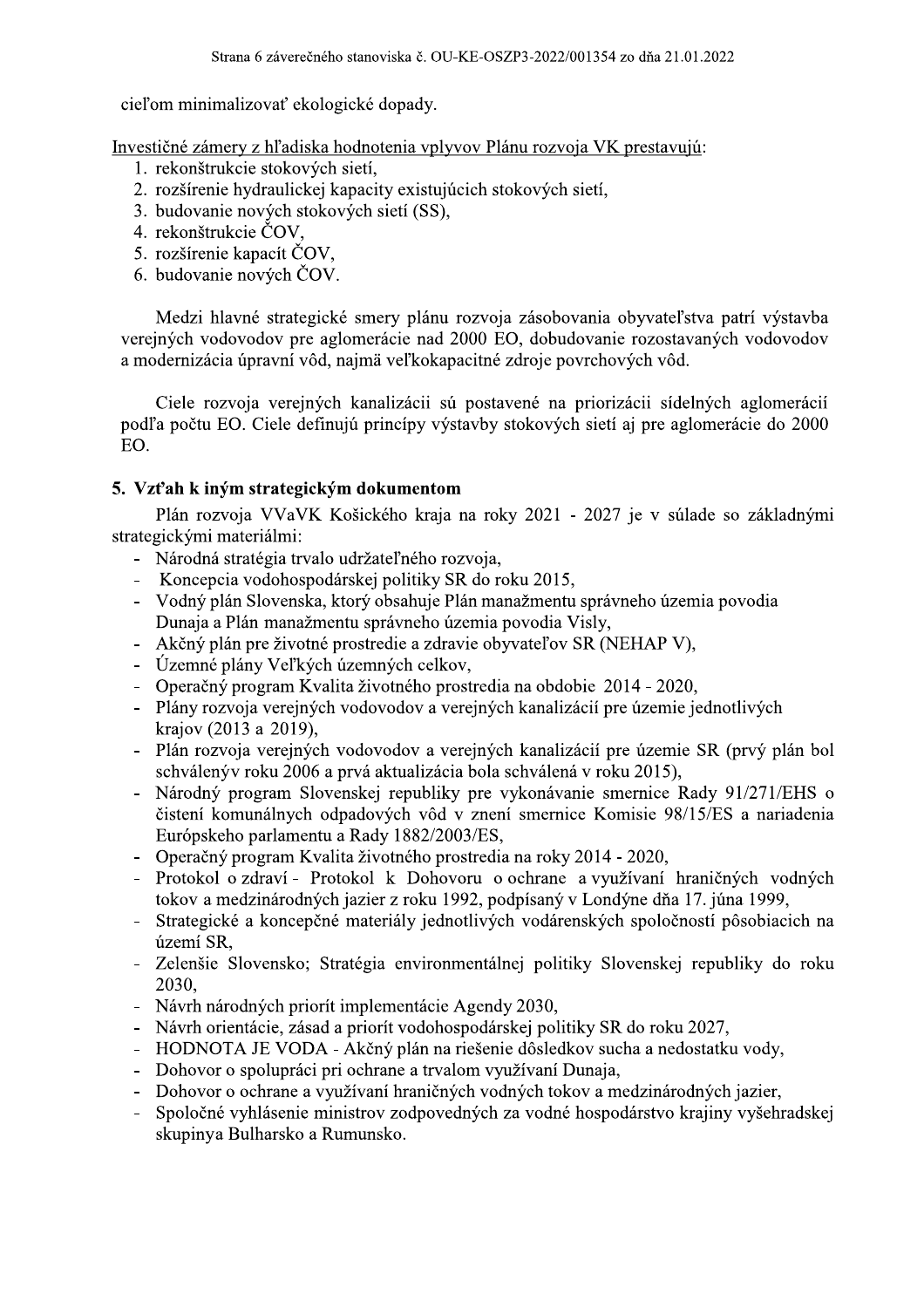cieľom minimalizovať ekologické dopady.

Investičné zámery z hľadiska hodnotenia vplyvov Plánu rozvoja VK prestavujú:

- 1. rekonštrukcie stokových sietí.
- 2. rozšírenie hydraulickej kapacity existujúcich stokových sietí,
- 3. budovanie nových stokových sietí (SS),
- 4. rekonštrukcie ČOV.
- 5. rozšírenie kapacít ČOV,
- 6. budovanie nových ČOV.

Medzi hlavné strategické smery plánu rozvoja zásobovania obyvateľstva patrí výstavba verejných vodovodov pre aglomerácie nad 2000 EO, dobudovanie rozostavaných vodovodov a modernizácia úpravní vôd, najmä veľkokapacitné zdroje povrchových vôd.

Ciele rozvoja verejných kanalizácii sú postavené na priorizácii sídelných aglomerácií podľa počtu EO. Ciele definujú princípy výstavby stokových sietí aj pre aglomerácie do 2000 EO.

## 5. Vzťah k iným strategickým dokumentom

Plán rozvoja VVaVK Košického kraja na roky 2021 - 2027 je v súlade so základnými strategickými materiálmi:

- Národná stratégia trvalo udržateľného rozvoja,
- Koncepcia vodohospodárskej politiky SR do roku 2015,
- Vodný plán Slovenska, ktorý obsahuje Plán manažmentu správneho územia povodia Dunaja a Plán manažmentu správneho územia povodia Visly,
- Akčný plán pre životné prostredie a zdravie obyvateľov SR (NEHAP V),
- Územné plány Veľkých územných celkov,
- Operačný program Kvalita životného prostredia na obdobie 2014 2020,
- Plány rozvoja verejných vodovodov a verejných kanalizácií pre územie jednotlivých krajov (2013 a 2019),
- Plán rozvoja verejných vodovodov a verejných kanalizácií pre územie SR (prvý plán bol schválený v roku 2006 a prvá aktualizácia bola schválená v roku 2015),
- Národný program Slovenskej republiky pre vykonávanie smernice Rady 91/271/EHS o čistení komunálnych odpadových vôd v znení smernice Komisie 98/15/ES a nariadenia Európskeho parlamentu a Rady 1882/2003/ES,
- Operačný program Kvalita životného prostredia na roky 2014 2020.
- Protokol o zdraví Protokol k Dohovoru o ochrane a využívaní hraničných vodných tokov a medzinárodných jazier z roku 1992, podpísaný v Londýne dňa 17. júna 1999,
- Strategické a koncepčné materiály jednotlivých vodárenských spoločností pôsobiacich na území SR,
- Zelenšie Slovensko; Stratégia environmentálnej politiky Slovenskej republiky do roku 2030,
- Návrh národných priorít implementácie Agendy 2030,
- Návrh orientácie, zásad a priorít vodohospodárskej politiky SR do roku 2027,
- HODNOTA JE VODA Akčný plán na riešenie dôsledkov sucha a nedostatku vody,  $\mathbf{r}$
- Dohovor o spolupráci pri ochrane a trvalom využívaní Dunaja,
- Dohovor o ochrane a využívaní hraničných vodných tokov a medzinárodných jazier,
- Spoločné vyhlásenie ministrov zodpovedných za vodné hospodárstvo krajiny vyšehradskej skupinya Bulharsko a Rumunsko.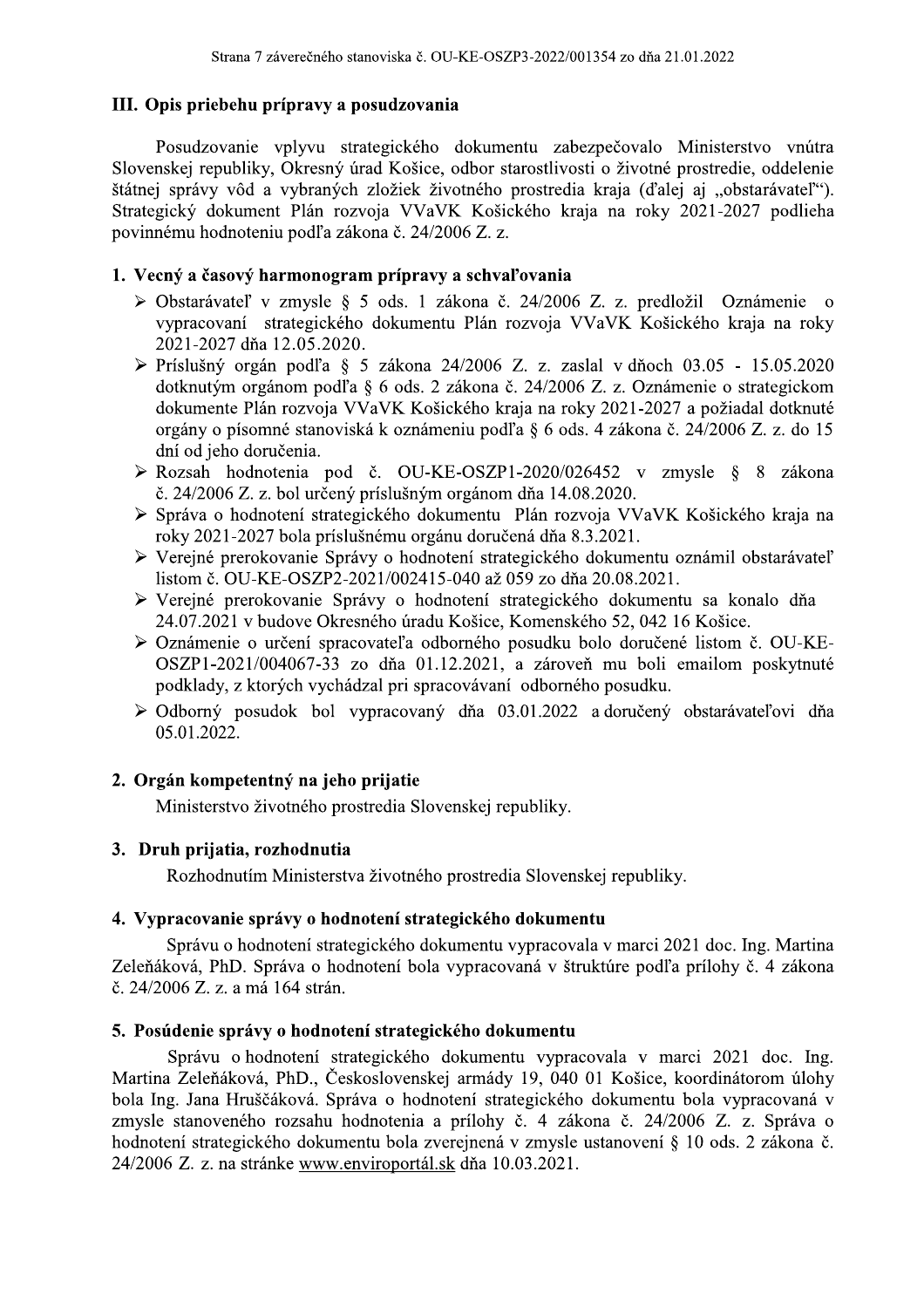## III. Opis priebehu prípravy a posudzovania

Posudzovanie vplyvu strategického dokumentu zabezpečovalo Ministerstvo vnútra Slovenskej republiky, Okresný úrad Košice, odbor starostlivosti o životné prostredie, oddelenie štátnej správy vôd a vybraných zložiek životného prostredia kraja (ďalej aj "obstarávateľ"). Strategický dokument Plán rozvoja VVaVK Košického kraja na roky 2021-2027 podlieha povinnému hodnoteniu podľa zákona č. 24/2006 Z. z.

## 1. Vecný a časový harmonogram prípravy a schvaľovania

- > Obstarávateľ v zmysle § 5 ods. 1 zákona č. 24/2006 Z. z. predložil Oznámenie o vvoracovaní strategického dokumentu Plán rozvoja VVaVK Košického kraja na roky 2021-2027 dňa 12.05.2020.
- $\triangleright$  Príslušný orgán podľa § 5 zákona 24/2006 Z. z. zaslal v dňoch 03.05 15.05.2020 dotknutým orgánom podľa § 6 ods. 2 zákona č. 24/2006 Z. z. Oznámenie o strategickom dokumente Plán rozvoja VVaVK Košického kraja na roky 2021-2027 a požiadal dotknuté orgány o písomné stanoviská k oznámeniu podľa § 6 ods. 4 zákona č. 24/2006 Z. z. do 15 dní od jeho doručenia.
- > Rozsah hodnotenia pod č. OU-KE-OSZP1-2020/026452 v zmysle § 8 zákona č. 24/2006 Z. z. bol určený príslušným orgánom dňa 14.08.2020.
- > Správa o hodnotení strategického dokumentu Plán rozvoja VVaVK Košického kraja na roky 2021-2027 bola príslušnému orgánu doručená dňa 8.3.2021.
- > Vereiné prerokovanie Správy o hodnotení strategického dokumentu oznámil obstarávateľ listom č. OU-KE-OSZP2-2021/002415-040 až 059 zo dňa 20.08.2021.
- > Verejné prerokovanie Správy o hodnotení strategického dokumentu sa konalo dňa 24.07.2021 v budove Okresného úradu Košice, Komenského 52, 042 16 Košice.
- > Oznámenie o určení spracovateľa odborného posudku bolo doručené listom č. OU-KE-OSZP1-2021/004067-33 zo dňa 01.12.2021, a zároveň mu boli emailom poskytnuté podklady, z ktorých vychádzal pri spracovávaní odborného posudku.
- > Odborný posudok bol vypracovaný dňa 03.01.2022 a doručený obstarávateľovi dňa 05.01.2022.

## 2. Orgán kompetentný na jeho prijatie

Ministerstvo životného prostredia Slovenskej republiky.

#### 3. Druh prijatia, rozhodnutia

Rozhodnutím Ministerstva životného prostredia Slovenskej republiky.

#### 4. Vypracovanie správy o hodnotení strategického dokumentu

Správu o hodnotení strategického dokumentu vypracovala v marci 2021 doc. Ing. Martina Zeleňáková, PhD. Správa o hodnotení bola vypracovaná v štruktúre podľa prílohy č. 4 zákona č. 24/2006 Z. z. a má 164 strán.

## 5. Posúdenie správy o hodnotení strategického dokumentu

Správu o hodnotení strategického dokumentu vypracovala v marci 2021 doc. Ing. Martina Zeleňáková, PhD., Československej armády 19, 040 01 Košice, koordinátorom úlohy bola Ing. Jana Hruščáková. Správa o hodnotení strategického dokumentu bola vypracovaná v zmysle stanoveného rozsahu hodnotenia a prílohy č. 4 zákona č. 24/2006 Z. z. Správa o hodnotení strategického dokumentu bola zverejnená v zmysle ustanovení § 10 ods. 2 zákona č. 24/2006 Z. z. na stránke www.enviroportál.sk dňa 10.03.2021.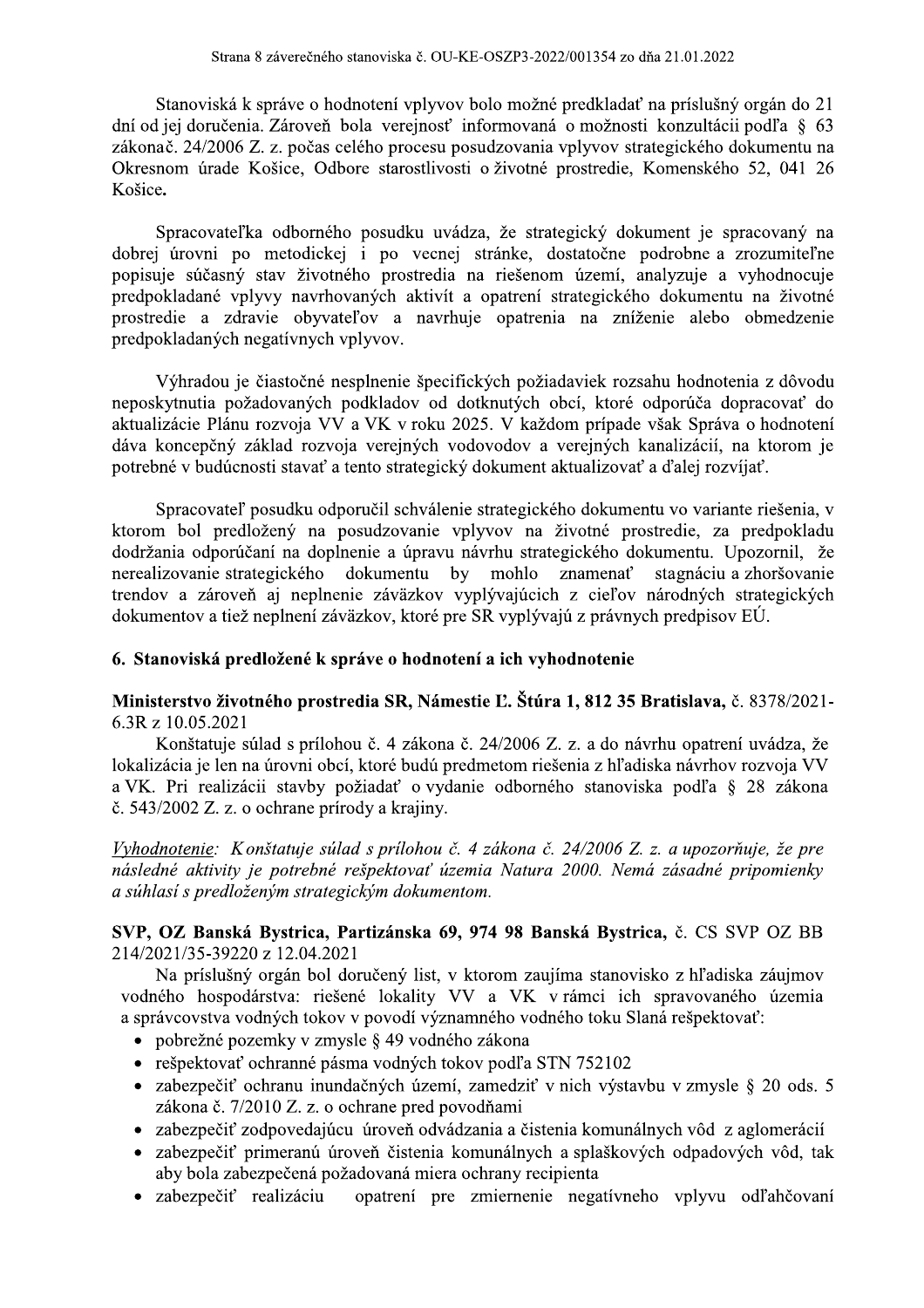ěného stanoviska č. OU-KE-OSZP3-2022/001354 zo dňa 21.01.2022<br>o hodnotení vplyvov bolo možné predkladať na príslušný orgán<br>veň bola verejnosť informovaná o možnosti konzultácii podľa<br>čas celého procesu posudzovania vplyvov Stanoviská k správe o hodnotení vplyvov bolo možné pred Strana 8 záverečného stanoviska č. OU-KE-OSZP3<br>
Stanoviská k správe o hodnotení vplyvov bolo mo<br>
jej doručenia. Zároveň bola verejnosť informov<br>
ač. 24/2006 Z. z. počas celého procesu posudzova<br>
nom úrade Košice, Odbore st Strana 8 záverečného stanoviska č. OU-KE-OSZP3-2022/001354 zo dňa 21.01.2022<br>
Stanoviská k správe o hodnotení vplyvov bolo možné predkladať na príslušný orgán do 21<br>
dní od jej doručenia. Zároveň bola verejnosť informovaná Strana 8 záverečného stan<br>
Stanoviská k správe o hodno<br>
dní od jej doručenia. Zároveň bola<br>
zákonač. 24/2006 Z. z. počas celéh<br>
Okresnom úrade Košice, Odbore<br>
Košice.<br>
Spracovateľka odborného p<br>
dobrej úrovni po metodickej nia. Zaroven bola vereji Strana 8 záverečného stanoviska č. OU-KE-OSZP3-2022/001354 zo dňa 21.01.2022<br>
Stanoviská k správe o hodnotení vplyvov bolo možné predkladať na príslušný orgán do 21<br>
dní od jej doručenia. Zároveň bola verejnosť informovaná leho procesu posudzovania vplyvov strategickeho dokumentu na Okresnom urade Kosice, Odbore starostlivosti o životne prostredie, Komenskeho 52, 041 26 Kosice.

022/001354 zo dňa 21.01.2022<br>
né predkladať na príslušný orgán do 21<br>
ná o možnosti konzultácii podľa § 63<br>
ia vplyvov strategického dokumentu na<br>
é prostredie, Komenského 52, 041 26<br>
ategický dokument je spracovaný na<br>
do Stanoviská k správe o hodnotení v<br>Stanoviská k správe o hodnotení v<br>dní od jej doručenia. Zároveň bola ver<br>zákonač. 24/2006 Z. z. počas celého pro<br>Okresnom úrade Košice, Odbore stare<br>Košice.<br>Spracovateľka odborného posud<br>d E. OU-KE-OSZP3-2022/001354 zo dňa 21.01.2022<br>
lyvov bolo možné predkladať na príslušný orgán<br>
nosť informovaná o možnosti konzultácii podľa<br>
esu posudzovania vplyvov strategického dokumer<br>
tlivosti o životné prostredie, Ko Spracovateľka odborného posudku uvadza, ze strategicky dokument je Strana 8 zaverečného stanoviská č. OU-KE-OSZP3-2022/001354 zo d<br>
Stanoviská k správe o hodnotení vplyvov bolo možné predkladať<br>
dní od jej doručenia. Zároveň bola verejnosť informovaná o možnosti<br>
zákonač. 24/2006 Z. z. po OU-KE-OSZP3-2022/001354 zo dňa 21.01.2022<br>wyvov bolo možné predkladať na príslušný orgán dosť informovaná o možnosti konzultácii podľa {su posudzovania vplyvov strategického dokument<br>ivosti o životné prostredie, Komenského Stanoviská k správe o hodnotení vplyvov bolo možné predkladať na príslušný orgán do 21<br>
dní od jej doručenia. Zároveň bola verejnosť informovaná o možnosti konzultácii podľa § 63<br>
zákonač. 24/2006 Z. z. počas celého proces j urovni po metodickej i po većnej stranke, dostatočne podrobne a zrozumiteľne otení vplyvov bolo možné predkladať na príslušnia<br>
la verejnosť informovaná o možnosti konzultáci<br>
e starostlivosti o životné prostredie, Komenského<br>
e starostlivosti o životné prostredie, Komenského<br>
posudku uvádza, že st popisuje sučasny stav životného prostredia na riešenom uzemí, analyzuje k správe o hodnotení vplyvov bolo možné predkla<br>
ia. Zároveň bola verejnosť informovaná o možn<br>
Z. z. počas celého procesu posudzovania vplyvov<br>
Košice, Odbore starostlivosti o životné prostredi<br>
ka odborného posudku uvádz lkladať na príslušný orgán do 21<br>nožnosti konzultácii podľa § 63<br>vov strategického dokumentu na<br>tredie, Komenského 52, 041 26<br>ký dokument je spracovaný na<br>nočne podrobne a zrozumiteľne<br>zemí, analyzuje a vyhodnocuje<br>gického predpokladane vplyvy navrhovanych aktivit a opatreni strategickeho dokumentu na zivotne dní od jej doručenia. Zároveň bola verejnosť informova<br>zákonač. 24/2006 Z. z. počas celého procesu posudzovar<br>Okresnom úrade Košice, Odbore starostlivosti o životr<br>Košice.<br>Spracovateľka odborného posudku uvádza, že st<br>dobr prostredie a zdravie obyvateľov a navrhuje opatrenia na zníženie alebo obmedzenie predpokladanych negativnych vplyvov. Okresnom úrade Košice, Odbore<br>
Košice.<br>
Spracovateľka odborného p<br>
dobrej úrovni po metodickej i<br>
popisuje súčasný stav životného<br>
predpokladané vplyvy navrhovan<br>
predpokladané vplyvy navrhovan<br>
predpokladaných negatívnych Spracovateľka odborného pos<br>dobrej úrovni po metodickej i p<br>popisuje súčasný stav životného p<br>predpokladané vplyvy navrhovanýc<br>prostredie a zdravie obyvateľov<br>predpokladaných negatívnych vplyv<br>v Výhradou je čiastočné nespl osudku uvádza, že strategický dokument je sp<br>po vecnej stránke, dostatočne podrobne a z<br>prostredia na riešenom území, analyzuje a v<br>ých aktivít a opatrení strategického dokumentu<br>v a navrhuje opatrenia na zníženie alebo<br>vo e strategický dokument je spracovaný na<br>ke, dostatočne podrobne a zrozumiteľne<br>ešenom území, analyzuje a vyhodnocuje<br>trení strategického dokumentu na životné<br>patrenia na zníženie alebo obmedzenie<br>požiadaviek rozsahu hodnot Spracovateľka odborného posudku uvádza, že strategický dokument je spracovaný na<br>dobrej úrovni po metodickej i po veenej stránke, dostatočne podrobne a zrozumiteľne<br>popisuje súčasný stav životného prostredia na riešenom úz Spracovateľka odborného posudku uvádza, že strategický dokument je spracovaný na dobrej úrovní po metodickej i po vecnej stránke, dostatočne podrobne a zrozumitéľne popisuje súčaný stav životného prostredia na riešenom úze

ciastocne nesplnenie speci rejnych vodovodov a verejnych kanalizacii, na ktorom je potrebne v buducnosti stavať a tento strategicky dokument aktualizovať a ďalej rozvijať.

zni po metodickej i po vecnej stránke, dostatočne podrobne a zrozumite<br>těasný stav životného prostredia na riešenom území, analyzuje a vyhodnoc<br>mé vplyvy navrhovaných aktivít a opatrení strategického dokumentu na živc<br>a zd očne podrobne a zrozumiteľne<br>emí, analyzuje a vyhodnocuje<br>gického dokumentu na životné<br>a zníženie alebo obmedzenie<br>ek rozsahu hodnotenia z dôvodu<br>ktoré odporúča dopracovať do<br>rípade však Správa o hodnotení<br>ných kanalizácií popisuje súčasný stav životného prostredia na riešenom území, analyzuje a vyhodnocuje<br>predpokladané vplyvy navrhovaných aktivit a opatrení strategického dokumentu na životné<br>prostredie a zdravie obyvateľov a navrhuje opatr popisuje súčasný stav životného prostredia i predpokladané vplyvy navrhovaných aktivít a prostredie a zdravie obyvateľov a navrhu predpokladaných negatívnych vplyvov.<br>
Výhradou je čiastočné nesplnenie špecific<br>
neposkytnut v životného prostredia na riešenom území, analyz<br/>v navrhovaných aktivít a opatrení strategického dok obyvateľov a navrhuje opatrenia na zníženie tívnych vplyvov.<br>Stočné nesplnenie špecifických požiadaviek rozsahu hovan predpokladané vplyvy navrhovaných<br>prostredie a zdravie obyvateľov a<br>predpokladaných negatívnych vplyvov<br>Výhradou je čiastočné nesplnen<br>neposkytnutia požadovaných podklad<br>aktualizácie Plánu rozvoja VV a VK<br>dáva koncepčný zá navrhovaných aktivít a opatrení strategického<br>obyvateľov a navrhuje opatrenia na znížer<br>ívnych vplyvov.<br>točné nesplnenie špecifických požiadaviek rozsal<br>aných podkladov od dotknutých obcí, ktoré oc<br>oja VV a VK v roku 2025. Spracovateľ posudku odporucil schvalenie strategického dokumentu vo variante riešenia, v lpokladaných negatívnych vplyvov.<br>
Výhradou je čiastočné nesplnenie špecifických<br>
oskytnutia požadovaných podkladov od dotknut<br>
alizácie Plánu rozvoja VV a VK v roku 2025. V<br>
a koncepčný základ rozvoja verejných vodovod<br>
e ktorom bol predlozeny na posudzovanie vplyvov na zivotne prostredie, za pred Výhradou je čiastočné nesplnenie š<br>neposkytnutia požadovaných podkladov<br>aktualizácie Plánu rozvoja VV a VK v ro<br>dáva koncepčný základ rozvoja verejný<br>potrebné v budúcnosti stavať a tento strate<br>Spracovateľ posudku odporuči Výhradou je čiastočné nesplnenie špecifických požiadavick rozsahu hodnotenia z dôvodu<br>neposkytnutia požadovaných podkladov od dotknutých obci, ktoré odporúca dopracovat do<br>aktualizácie Plánu rozvoja VV a VK v roku 2025. V nie a upravu navrhu strategickeho dokumentu. Upozornil, ze ecifických požiadaviek rozsahu hodnotenia z dôvod dotknutých obcí, ktoré odporúča dopracovať<br>
1 2025. V každom prípade však Správa o hodnot<br>
vodovodov a verejných kanalizácií, na ktorom<br>
cký dokument aktualizovať a ďalej r nerealizovanie strategickeho dokumentu by mohlo znamen kytnutia požadovaných podkladov od dotknutýc<br>izácie Plánu rozvoja VV a VK v roku 2025. V k<br>concepčný základ rozvoja verejných vodovodov<br>né v budúcnosti stavať a tento strategický dokume<br>Spracovateľ posudku odporučil schvál znamenať stagnáciu a zhoršovanie trendov a zároveň aj neplnenie závazkov vyplyvajúcich z cieľov národných strategických V každom prípade však Správa o hodnotení<br>
odov a verejných kanalizácií, na ktorom je<br>
sument aktualizovať a ďalej rozvíjať.<br>
ategického dokumentu vo variante riešenia, v<br>
ov na životné prostredie, za predpokladu<br>
hu strate dokumentov a tiez neplneni zavazkov, ktore pre SR vyplyvaju z pravnych pred dáva koncepěný základ rozvoja verejných vodovodov a verejných kanalizácií, na ktorom je<br>potrebné v budúcnosti stavať a tento strategický dokument aktualizovať a ďalej rozvíjať.<br>
Spracovateľ posudku odporučil schválenie str

#### 6. Stanoviská predložené k správe o hodnotení a ich vyhodnotenie

#### Ministerstvo životného prostredia SR, Námestie Ľ. Štúra 1, 812 35 Bratislava, č. 8378/2021- $6.3R$  z 10.05.2021

Konštatuje súlad s prílohou č. 4 zákona č. 24/2006 Z. z. a do návrhu opatrení uvádza, že nerealizovanie strategického dokumentu by mohlo znamenať stagnáciu a zhorš<br>
trendov a zároveň aj neplnenie záväzkov vyplývajúcich z cieľov národných strateg<br>
dokumentov a tiež neplneni záväzkov, ktoré pre SR vyplývajú z pr menať stagnáciu a zhoršovanie<br>cieľov národných strategických<br>právnych predpisov EÚ.<br>**312 35 Bratislava**, č. 8378/2021-<br>a do návrhu opatrení uvádza, že<br>z hľadiska návrhov rozvoja VV<br>tanoviska podľa § 28 zákona<br>2006 Z. z. a lokalizacia je len na urovni obci, ktoré budu predmetom riešen veň aj neplnenie záväzkov vyplývajúcich z cie<br>
iež neplnení záväzkov, ktoré pre SR vyplývajú z pr<br> **predložené k správe o hodnotení a ich vyhodnot**<br> **ivotného prostredia SR, Námestie E. Štúra 1, 81**<br>
21<br>
e súlad s prílohou neplnenie záväzkov vyplývajúcich z cieľov r<br>lnení záväzkov, ktoré pre SR vyplývajú z právnyc<br>lené k správe o hodnotení a ich vyhodnotenie<br>o prostredia SR, Námestie Ľ. Štúra 1, 812 35 B<br>s prílohou č. 4 zákona č. 24/2006 Z. trendov a zároveň aj neplnenie záväzkov vyplývajúcich z cieľov národných strategických<br>dokumentova tiež neplnení záväzkov, ktoré pre SR vyplývajú z právnych predpisov EÚ.<br> **6. Stanoviská predložené k správe o hodnotení a i** by a tiež neplnení záväzkov, ktoré pre SR vyplývajú z právn<br> **iská predložené k správe o hodnotení a ich vyhodnotenie**<br> **ivo životného prostredia SR, Námestie Ľ. Štúra 1, 812 3:**<br>
35.2021<br>
statuje súlad s prílohou č. 4 zák dokumentov a tiež neplnení záväzkov, ktoré pre SR vyplývajú z právnych predpisov EÚ.<br> **6. Stanoviská predložené k správe o hodnotení a ich vyhodnotenie**<br> **Ministerstvo životného prostredia SR, Námestie E. Štúra 1, 812 35 B** oviská predložené k správe o hodnotení a ich vy<br>
erstvo životného prostredia SR, Námestie L. Štú<br>
10.05.2021<br>
onštatuje súlad s prílohou č. 4 zákona č. 24/2006<br>
cia je len na úrovni obcí, ktoré budú predmetom ri<br>
Pri reali  $\check{\rm c}$ . 543/2002 Z. z. o ochrane prírody a krajiny.

 $\mathbb{R}^2$ <u>Vyhodnotenie</u>: Konstatuje sulad s prilohou c. 4 zakona c. 24/2006 Z. z. a upozornuje, ze pre následné aktivity je potrebné rešpektovať územia Natura 2000. Nemá zásadné pripomienky a súhlasí s predloženým strategickým dokumentom. ě. 543/2002 Z. z. o ochrane prírody a krajiny.<br>
Vyhodnotenie: Konštatuje súlad s prílohou č. 4 zákor<br>
následné aktivity je potrebné rešpektovať územia Na<br>
a súhlasí s predloženým strategickým dokumentom.<br> **SVP, OZ Banská B** δ. 543/2002 Ζ. z. o ochrane prirody a krajiny.<br> *Vyhodnotenie:* Konštatuje súlad s prílohou č. 4 zákona č. 24/2006 Ζ. z. a upozorňuje, že pre<br> *másledné aktivity je potrebné rešpektovať územia Natura 2000. Nemá zásadné p Vyhodnotenie: Konštatuje súlad s prílohou č. 4 zákona č. 24/2006 Z. z. a upozorňuje, že pre*<br> *následně aktivity je potrebné rešpektovať územia Natura 2000. Nemá zásadné pripomienky*<br> *a súhlasí s predloženým strategický* 

## SVP, OZ Banska Bystrica, Partizanska 69, 974 98 Banska Bystrica, č. ČS SVP OZ BB

sene lokality VV a VK v ramci ich spravovaneho uzem spektovať: sledné aktivity je potrebné rešpektovať územia Natura 2000.<br>
úhlasí s predloženým strategickým dokumentom.<br> **P, OZ Banská Bystrica, Partizánska 69, 974 98 Banská B**:<br>
4/2021/35-39220 z 12.04.2021<br>
Na príslušný orgán bol do úhlasí s predloženým strategickým dokumentom.<br> **P. OZ Banská Bystrica, Partizánska 69, 974 98 Banská Bystrica,** č.<br>
4/2021/35-39220 z 12.04.2021<br>
Na príslušný orgán bol doručený list, v ktorom zaujíma stanovisko z lodného OZ Banská Bystrica, Partizánska 69, 974 98<br>
221/35-39220 z 12.04.2021<br>
Na príslušný orgán bol doručený list, v ktorom z<br>
ého hospodárstva: riešené lokality VV a V<br>
4 úvcovstva vodných tokov v povodí významného v<br>
pobrežné 1, **Partizánska 69, 974 98 Banská Bystrica,** č. CS SV<br>2021<br>1 doručený list, v ktorom zaujíma stanovisko z hľadiska<br>iešené lokality VV a VK v rámci ich spravovanéh<br>60 v povodí významného vodného toku Slaná rešpektova<br>mysle OZ Banská Bystrica, Partizánska 69, 974 98 Banská Bystrica, č. CS SVP OZ BB<br>021/35-39220 z 12.04.2021<br>Na príslušný orgán bol doručený list, v ktorom zaujíma stanovisko z hľadiska záujmov<br>ého hospodárstva: riešené lokality **P, OZ Banská Bystrica, Partizánska 69, 974 98 Banská Bystrica**<br>
4/2021/35-39220 z 12.04.2021<br>
Na príslušný orgán bol doručený list, v ktorom zaujíma stanovisk<br>
odného hospodárstva: riešené lokality VV a VK v rámci ich s<br>  $214/2021/35-39220$  z 12.04.2021<br>
Na príslušný orgán bol doručený list,<br>
vodného hospodárstva: riešené lokality<br>
a správcovstva vodných tokov v povodí výz<br>
• pobrežné pozemky v zmysle § 49 vodn<br>
• rešpektovať ochranné pás  $(14/2021/35-39220 \text{ z } 12.04.2021$ <br>
Na príslušný orgán bol doručený list, v ktorodného hospodárstva: riešené lokality VV<br>
a správcovstva vodných tokov v povodí významn<br>
• pobrežné pozemky v zmysle § 49 vodného za<br>
• rešp  $20 \times 12.04.2021$ <br>
ý orgán bol doručený list, v ktorom zaujíma stanov<br>
dárstva: riešené lokality VV a VK v rámci ich<br>
odných tokov v povodí významného vodného toku SI<br>
zemky v zmysle § 49 vodného zákona<br>
'ochranné pásma v zaujíma stanovisko z hľadiska záujmov<br>K v rámci ich spravovaného územia<br>vodného toku Slaná rešpektovať:<br>a<br>'a STN 752102<br>ziť v nich výstavbu v zmysle § 20 ods. 5<br>i<br>cistenia komunálnych vôd z aglomerácií<br>nych a splaškových o Na prisiusny organ bol doruceny list, v ktorom zaujima stanovisko z niadiska zaujinov<br>ého hospodárstva: riešené lokality VV a VK v ránci ich spravovaného územia<br>ávcovstva vodných tokov v povodí významného vodného toku Slan

- $\bullet$  pobrezne pozemky v zmysle  $\S$
- · rešpektovať ochranné pásma vodných tokov podľa STN 752102
- zpečiť ochranu inundačných území, zamed zákona č. 7/2010 Z. z. o ochrane pred povodňami no nospodarstva: riesene lokality v v a vK<br>
covstva vodných tokov v povodí významného vod<br>
brežné pozemky v zmysle § 49 vodného zákona<br>
špektovať ochranné pásma vodných tokov podľa s<br>
bezpečiť ochranné pásma vodných tokov
- zpeciť zodpovedajúcu luroven odvadzania a cistenia komunalných vod lz aglomerácii
- zabezpecit primeranu uroven cisten zpecena pozadovana miera ochrany recipienta N 752102<br>
ich výstavbu v zmysle § 20 ods. 5<br>
ia komunálnych vôd z aglomerácií<br>
i splaškových odpadových vôd, tak<br>
ienta<br>
negatívneho vplyvu odľahčovaní
- $\bullet$  zabezpečiť real alizaciu opatrení pre zmiernenie negatívneh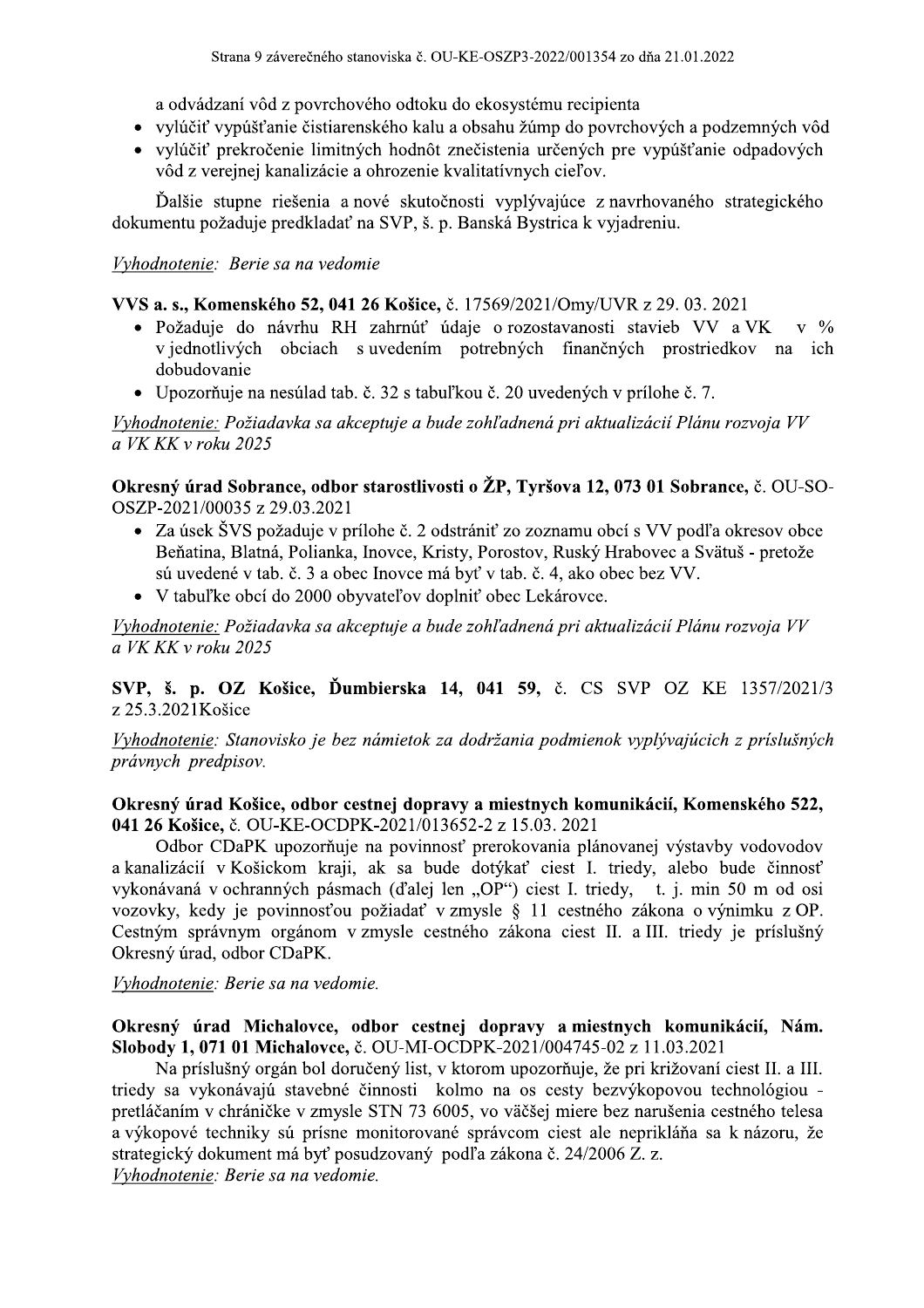a odvádzaní vôd z povrchového odtoku do ekosystému recipienta

- vylúčiť vypúšťanie čistiarenského kalu a obsahu žúmp do povrchových a podzemných vôd
- vylúčiť prekročenie limitných hodnôt znečistenia určených pre vypúšťanie odpadových vôd z verejnej kanalizácie a ohrozenie kvalitatívnych cieľov.

Ďalšie stupne riešenia a nové skutočnosti vyplývajúce z navrhovaného strategického dokumentu požaduje predkladať na SVP, š. p. Banská Bystrica k vyjadreniu.

## Vyhodnotenie: Berie sa na vedomie

VVS a. s., Komenského 52, 041 26 Košice, č. 17569/2021/Omy/UVR z 29. 03. 2021

- · Požaduje do návrhu RH zahrnúť údaje o rozostavanosti stavieb VV a VK  $V \frac{9}{6}$ v jednotlivých obciach s uvedením potrebných finančných prostriedkov na ich dobudovanie
- Upozorňuje na nesúlad tab. č. 32 s tabuľkou č. 20 uvedených v prílohe č. 7.

Vyhodnotenie: Požiadavka sa akceptuje a bude zohľadnená pri aktualizácií Plánu rozvoja VV a VK KK v roku 2025

Okresný úrad Sobrance, odbor starostlivosti o ŽP, Tyršova 12, 073 01 Sobrance, č. OU-SO-OSZP-2021/00035 z 29.03.2021

- Za úsek ŠVS požaduje v prílohe č. 2 odstrániť zo zoznamu obcí s VV podľa okresov obce Beňatina, Blatná, Polianka, Inovce, Kristy, Porostov, Ruský Hrabovec a Svätuš - pretože sú uvedené v tab. č. 3 a obec Inovce má byť v tab. č. 4, ako obec bez VV.
- V tabuľke obcí do 2000 obyvateľov doplniť obec Lekárovce.

Vyhodnotenie: Požiadavka sa akceptuje a bude zohľadnená pri aktualizácií Plánu rozvoja VV a VK KK v roku 2025

SVP, š. p. OZ Košice, Ďumbierska 14, 041 59, č. CS SVP OZ KE 1357/2021/3 z 25.3.2021 Košice

Vyhodnotenie: Stanovisko je bez námietok za dodržania podmienok vyplývajúcich z príslušných právnych predpisov.

#### Okresný úrad Košice, odbor cestnej dopravy a miestnych komunikácií, Komenského 522, 041 26 Košice, č. OU-KE-OCDPK-2021/013652-2 z 15.03. 2021

Odbor CDaPK upozorňuje na povinnosť prerokovania plánovanej výstavby vodovodov a kanalizácií v Košickom kraji, ak sa bude dotýkať ciest I. triedy, alebo bude činnosť vykonávaná v ochranných pásmach (ďalej len "OP") ciest I. triedy, t. j. min 50 m od osi vozovky, kedy je povinnosťou požiadať vzmysle § 11 cestného zákona o výnimku z OP. Cestným správnym orgánom v zmysle cestného zákona ciest II. a III. triedy je príslušný Okresný úrad, odbor CDaPK.

Vyhodnotenie: Berie sa na vedomie.

#### Okresný úrad Michalovce, odbor cestnej dopravy a miestnych komunikácií, Nám. Slobody 1, 071 01 Michalovce, č. OU-MI-OCDPK-2021/004745-02 z 11.03.2021

Na príslušný orgán bol doručený list, v ktorom upozorňuje, že pri križovaní ciest II. a III. triedy sa vykonávajú stavebné činnosti kolmo na os cesty bezvýkopovou technológiou pretláčaním v chráničke v zmysle STN 73 6005, vo väčšej miere bez narušenia cestného telesa a výkopové techniky sú prísne monitorované správcom ciest ale neprikláňa sa k názoru, že strategický dokument má byť posudzovaný podľa zákona č. 24/2006 Z. z. Vyhodnotenie: Berie sa na vedomie.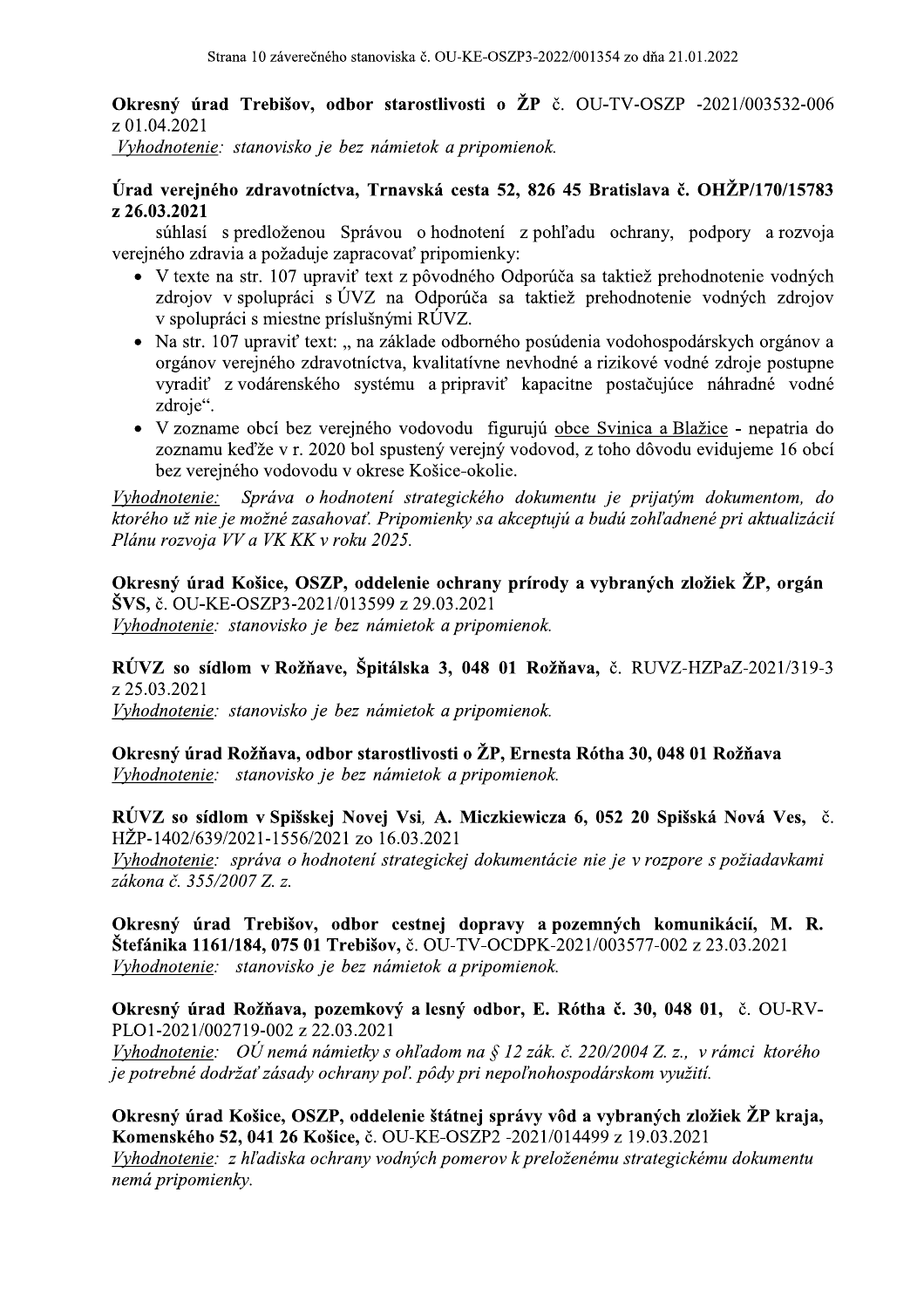**Okresný úrad Trebišov, odbor starostlivosti o ŽP** č. OU-TV-OSZP -2021/003532-006 z 01.04.2021

Vyhodnotenie: stanovisko je bez námietok a pripomienok.

#### Úrad verejného zdravotníctva, Trnavská cesta 52, 826 45 Bratislava č. OHŽP/170/15783 z 26.03.2021

súhlasí s predloženou Správou o hodnotení z pohľadu ochrany, podpory a rozvoja verejného zdravia a požaduje zapracovať pripomienky:

- · V texte na str. 107 upraviť text z pôvodného Odporúča sa taktiež prehodnotenie vodných zdrojov v spolupráci s ÚVZ na Odporúča sa taktiež prehodnotenie vodných zdrojov v spolupráci s miestne príslušnými RÚVZ.
- Na str. 107 upraviť text: "na základe odborného posúdenia vodohospodárskych orgánov a orgánov verejného zdravotníctva, kvalitatívne nevhodné a rizikové vodné zdroje postupne vyradiť z vodárenského systému a pripraviť kapacitne postačujúce náhradné vodné zdroje".
- V zozname obcí bez verejného vodovodu figurujú obce Svinica a Blažice nepatria do zoznamu keďže v r. 2020 bol spustený verejný vodovod, z toho dôvodu evidujeme 16 obcí bez verejného vodovodu v okrese Košice-okolie.

Správa o hodnotení strategického dokumentu je prijatým dokumentom, do Vyhodnotenie: ktorého už nie je možné zasahovať. Pripomienky sa akceptujú a budú zohľadnené pri aktualizácií Plánu rozvoja VV a VK KK v roku 2025.

Okresný úrad Košice, OSZP, oddelenie ochrany prírody a vybraných zložiek ŽP, orgán ŠVS, č. OU-KE-OSZP3-2021/013599 z 29.03.2021 Vyhodnotenie: stanovisko je bez námietok a pripomienok.

RÚVZ so sídlom v Rožňave, Špitálska 3, 048 01 Rožňava, č. RUVZ-HZPaZ-2021/319-3 z 25.03.2021

Vyhodnotenie: stanovisko je bez námietok a pripomienok.

Okresný úrad Rožňava, odbor starostlivosti o ŽP, Ernesta Rótha 30, 048 01 Rožňava Vyhodnotenie: stanovisko je bez námietok a pripomienok.

RÚVZ so sídlom v Spišskej Novej Vsi, A. Miczkiewicza 6, 052 20 Spišská Nová Ves, č. HŽP-1402/639/2021-1556/2021 zo 16.03.2021

Vyhodnotenie: správa o hodnotení strategickej dokumentácie nie je v rozpore s požiadavkami zákona č. 355/2007 Z. z.

Okresný úrad Trebišov, odbor cestnej dopravy a pozemných komunikácií, M. R. Štefánika 1161/184, 075 01 Trebišov, č. OU-TV-OCDPK-2021/003577-002 z 23.03.2021 Vyhodnotenie: stanovisko je bez námietok a pripomienok.

Okresný úrad Rožňava, pozemkový a lesný odbor, E. Rótha č. 30, 048 01, č. OU-RV-PLO1-2021/002719-002 z 22.03.2021 Vyhodnotenie: OÚ nemá námietky s ohľadom na § 12 zák. č. 220/2004 Z. z., v rámci ktorého je potrebné dodržať zásady ochrany poľ. pôdy pri nepoľnohospodárskom využití.

Okresný úrad Košice, OSZP, oddelenie štátnej správy vôd a vybraných zložiek ŽP kraja, Komenského 52, 041 26 Košice, č. OU-KE-OSZP2 -2021/014499 z 19.03.2021 Vyhodnotenie: z hľadiska ochrany vodných pomerov k preloženému strategickému dokumentu nemá pripomienky.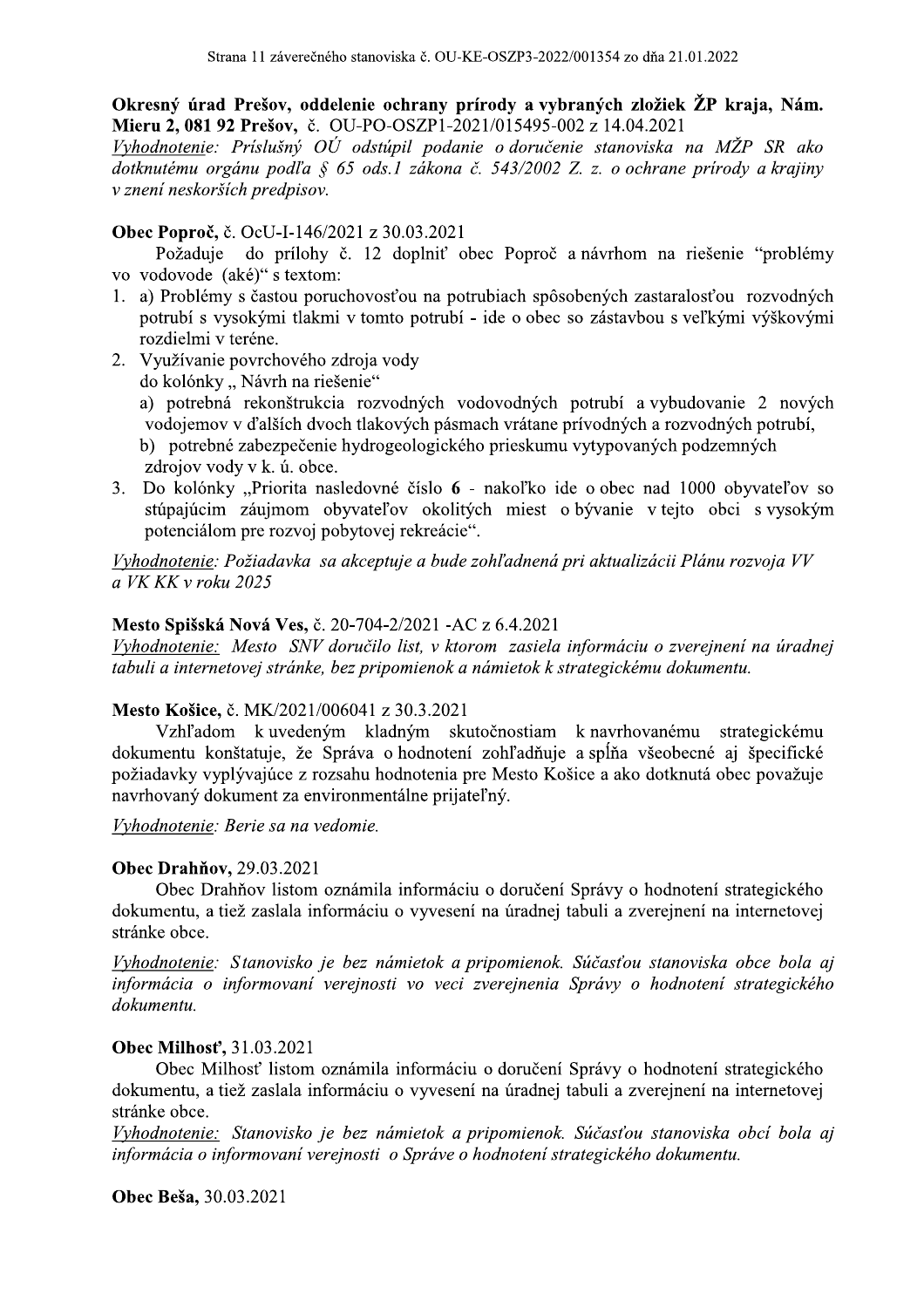Okresný úrad Prešov, oddelenie ochrany prírody a vybraných zložiek ŽP kraja, Nám. Mieru 2, 081 92 Prešov, č. OU-PO-OSZP1-2021/015495-002 z 14.04.2021

Vyhodnotenie: Príslušný OÚ odstúpil podanie o doručenie stanoviska na MŽP SR ako dotknutému orgánu podľa § 65 ods.1 zákona č. 543/2002 Z. z. o ochrane prírody a krajiny v znení neskorších predpisov.

#### Obec Poproč, č. OcU-I-146/2021 z 30.03.2021

Požaduje do prílohy č. 12 doplniť obec Poproč a návrhom na riešenie "problémy vo vodovode (aké)" s textom:

- 1. a) Problémy s častou poruchovosťou na potrubiach spôsobených zastaralosťou rozvodných potrubí s vysokými tlakmi v tomto potrubí - ide o obec so zástavbou s veľkými výškovými rozdielmi v teréne.
- 2. Využívanie povrchového zdroja vody
	- do kolónky "Návrh na riešenie"
	- a) potrebná rekonštrukcia rozvodných vodovodných potrubí a vybudovanie 2 nových vodojemov v ďalších dvoch tlakových pásmach vrátane prívodných a rozvodných potrubí.
	- b) potrebné zabezpečenie hydrogeologického prieskumu vytypovaných podzemných zdrojov vody v k. ú. obce.
- 3. Do kolónky "Priorita nasledovné číslo 6 nakoľko ide o obec nad 1000 obyvateľov so stúpajúcim záujmom obyvateľov okolitých miest o bývanie v tejto obci s vysokým potenciálom pre rozvoj pobytovej rekreácie".

Vyhodnotenie: Požiadavka sa akceptuje a bude zohľadnená pri aktualizácii Plánu rozvoja VV a VK KK v roku 2025

#### Mesto Spišská Nová Ves, č. 20-704-2/2021 - AC z 6.4.2021

Vyhodnotenie: Mesto SNV doručilo list, v ktorom zasiela informáciu o zverejnení na úradnej tabuli a internetovej stránke, bez pripomienok a námietok k strategickému dokumentu.

#### Mesto Košice, č. MK/2021/006041 z 30.3.2021

Vzhľadom k uvedeným kladným skutočnostiam k navrhovanému strategickému dokumentu konštatuje, že Správa o hodnotení zohľadňuje a spĺňa všeobecné aj špecifické požiadavky vyplývajúce z rozsahu hodnotenia pre Mesto Košice a ako dotknutá obec považuje navrhovaný dokument za environmentálne prijateľný.

Vyhodnotenie: Berie sa na vedomie.

#### **Obec Drahňov, 29.03.2021**

Obec Drahňov listom oznámila informáciu o doručení Správy o hodnotení strategického dokumentu, a tiež zaslala informáciu o vyvesení na úradnej tabuli a zverejnení na internetovej stránke obce.

Vyhodnotenie: Stanovisko je bez námietok a pripomienok. Súčasťou stanoviska obce bola aj informácia o informovaní verejnosti vo veci zverejnenia Správy o hodnotení strategického dokumentu.

#### Obec Milhost', 31.03.2021

Obec Milhosť listom oznámila informáciu o doručení Správy o hodnotení strategického dokumentu, a tiež zaslala informáciu o vyvesení na úradnej tabuli a zverejnení na internetovej stránke obce.

Vyhodnotenie: Stanovisko je bez námietok a pripomienok. Súčasťou stanoviska obcí bola aj informácia o informovaní verejnosti o Správe o hodnotení strategického dokumentu.

Obec Beša, 30.03.2021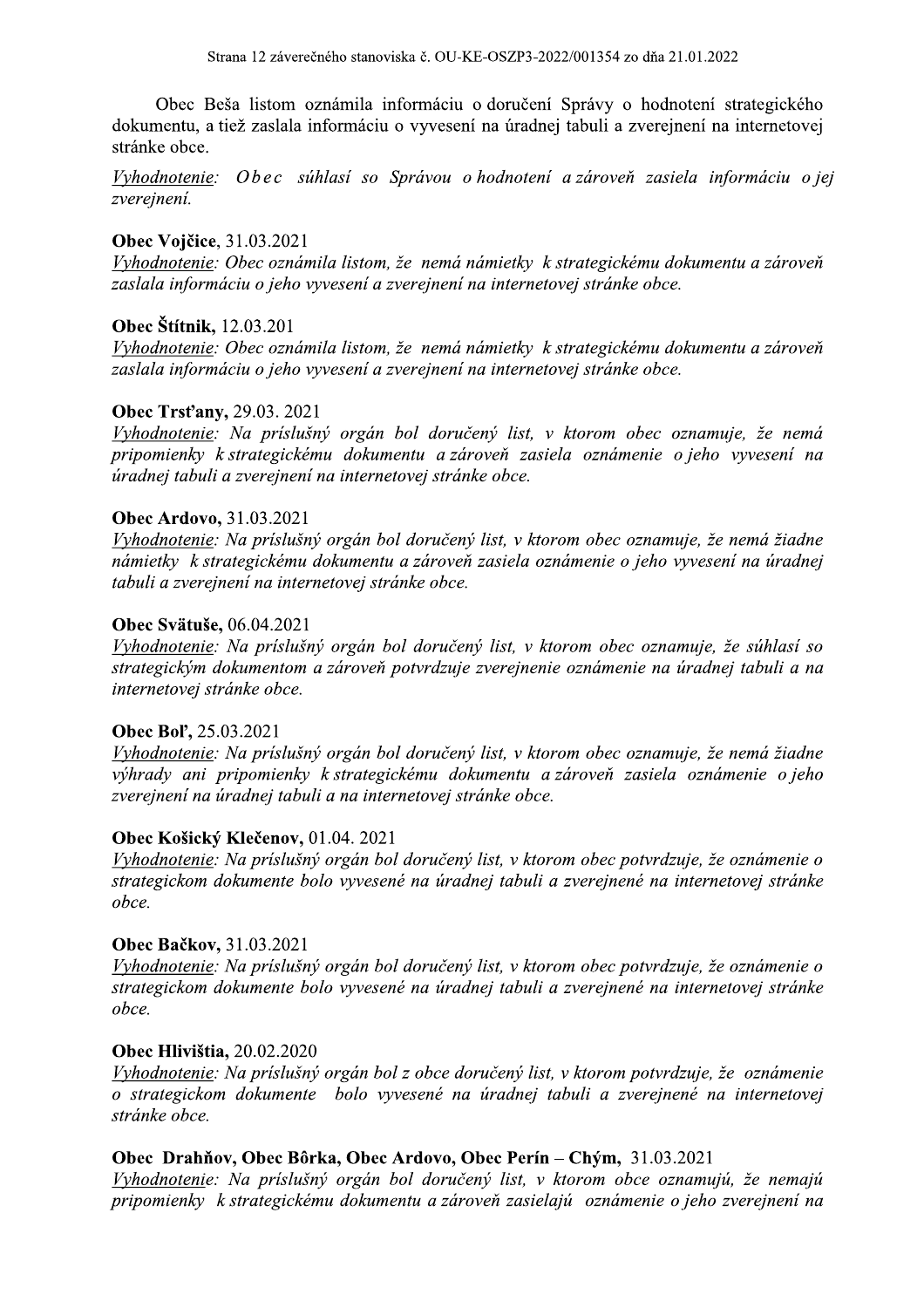Obec Beša listom oznámila informáciu o doručení Správy o hodnotení strategického dokumentu, a tiež zaslala informáciu o vyvesení na úradnej tabuli a zverejnení na internetovej stránke obce.

Vyhodnotenie: Obec súhlasí so Správou o hodnotení a zároveň zasiela informáciu o jej zvereinení.

#### **Obec Vojčice**, 31.03.2021

Vyhodnotenie: Obec oznámila listom, že nemá námietky k strategickému dokumentu a zároveň zaslala informáciu o jeho vyvesení a zverejnení na internetovej stránke obce.

#### Obec Štítnik, 12.03.201

Vyhodnotenie: Obec oznámila listom, že nemá námietky k strategickému dokumentu a zároveň zaslala informáciu o jeho vyvesení a zverejnení na internetovej stránke obce.

#### **Obec Trst'any, 29.03. 2021**

Vyhodnotenie: Na príslušný orgán bol doručený list, v ktorom obec oznamuje, že nemá pripomienky k strategickému dokumentu a zároveň zasiela oznámenie o jeho vyvesení na úradnej tabuli a zverejnení na internetovej stránke obce.

#### **Obec Ardovo, 31.03.2021**

Vyhodnotenie: Na príslušný orgán bol doručený list, v ktorom obec oznamuje, že nemá žiadne námietky k strategickému dokumentu a zároveň zasiela oznámenie o jeho vyvesení na úradnej tabuli a zverejnení na internetovej stránke obce.

#### Obec Svätuše, 06.04.2021

Vyhodnotenie: Na príslušný orgán bol doručený list, v ktorom obec oznamuje, že súhlasí so strategickým dokumentom a zároveň potvrdzuje zverejnenie oznámenie na úradnej tabuli a na internetovej stránke obce.

#### Obec Bol', 25.03.2021

Vyhodnotenie: Na príslušný orgán bol doručený list, v ktorom obec oznamuje, že nemá žiadne výhrady ani pripomienky k strategickému dokumentu a zároveň zasiela oznámenie o jeho zverejnení na úradnej tabuli a na internetovej stránke obce.

#### Obec Košický Klečenov, 01.04. 2021

Vyhodnotenie: Na príslušný orgán bol doručený list, v ktorom obec potvrdzuje, že oznámenie o strategickom dokumente bolo vyvesené na úradnej tabuli a zverejnené na internetovej stránke obce.

#### Obec Bačkov, 31.03.2021

Vyhodnotenie: Na príslušný orgán bol doručený list, v ktorom obec potvrdzuje, že oznámenie o strategickom dokumente bolo vyvesené na úradnej tabuli a zverejnené na internetovej stránke obce.

#### **Obec Hlivištia, 20.02.2020**

Vyhodnotenie: Na príslušný orgán bol z obce doručený list, v ktorom potvrdzuje, že oznámenie o strategickom dokumente bolo vyvesené na úradnej tabuli a zverejnené na internetovej stránke obce.

#### Obec Drahňov, Obec Bôrka, Obec Ardovo, Obec Perín – Chým, 31.03.2021

Vyhodnotenie: Na príslušný orgán bol doručený list, v ktorom obce oznamujú, že nemajú pripomienky k strategickému dokumentu a zároveň zasielajú oznámenie o jeho zverejnení na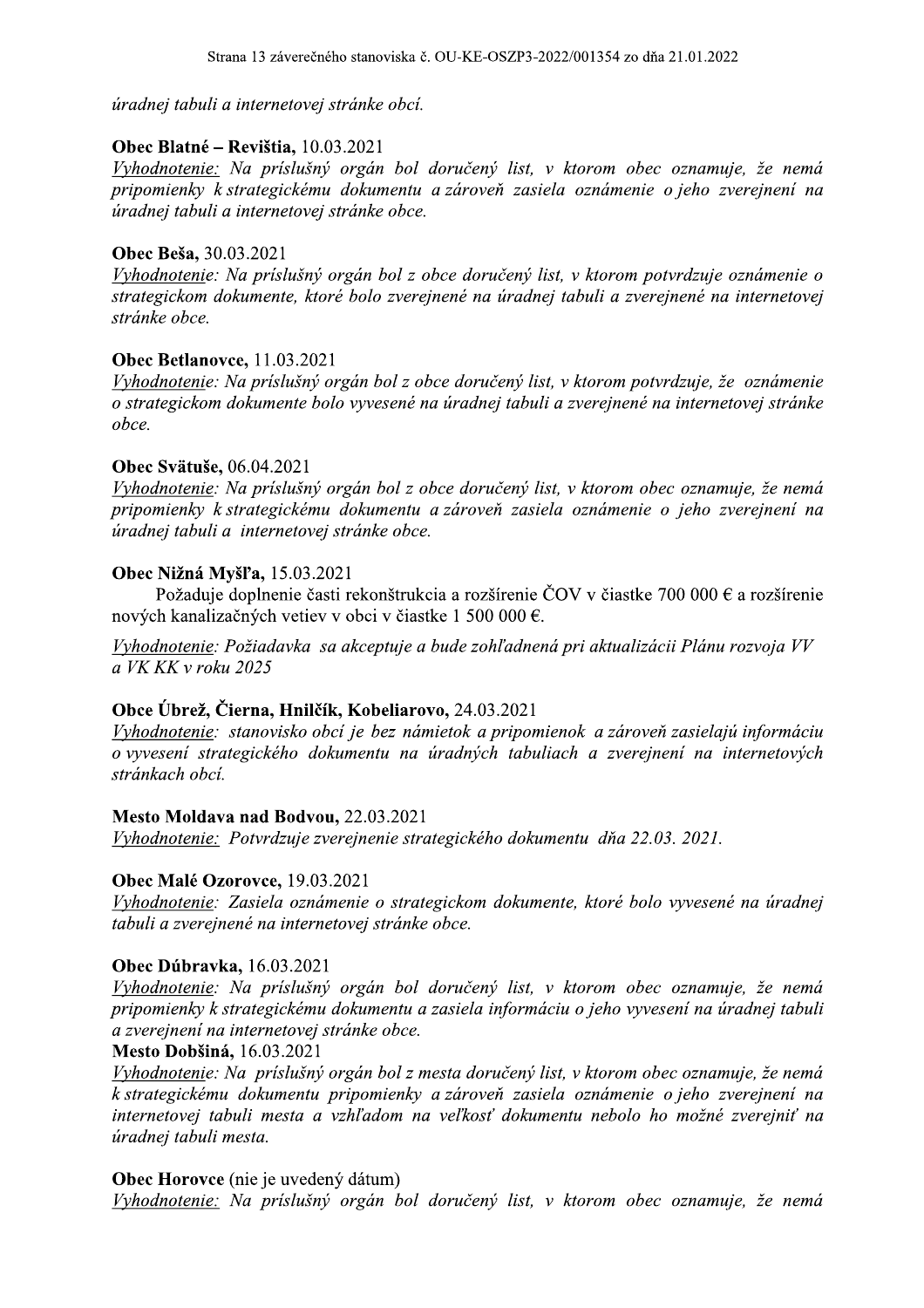úradnej tabuli a internetovej stránke obcí.

#### 7 Obec Blatne – Revistia,  $10.03.2021$

iska č. OU-KE-OSZP3-2022/001354 zo dňa 21.01.2022<br>obcí.<br>bol doručený list, v ktorom obec oznamuje, že ner<br>entu a zároveň zasiela oznámenie o jeho zverejnení Vyhodnotenie: Na príslušný orgán bol doručený list, v ktorom obec oznamuje, že nemá pripomienky k strategickému dokumentu a zároveň zasiela oznámenie o jeho zverejnení na úradnej tabuli a internetovej stránke obce.

## **Obec Besa,**  $30.03.2021$

Vyhodnotenie: Na príslušný orgán bol z obce doručený list, v ktorom potvrdzuje oznámenie o strategickom dokumente, ktoré bolo zverejnené na úradnej tabuli a zverejnené na internetovej stránke obce.

#### 7 **Obec Betlanovce,**  $11.03.2021$

Vyhodnotenie: Na príslušný orgán bol z obce doručený list, v ktorom potvrdzuje, že oznámenie o strategickom dokumente bolo vyvesené na úradnej tabuli a zverejnené na internetovej stránke obce.

#### $\mathbf{r}$ **Obec Svatuse,**  $06.04.2021$

Vyhodnotenie: Na príslušný orgán bol z obce doručený list, v ktorom obec oznamuje, že nemá pripomienky k strategickému dokumentu a zároveň zasiela oznámenie o jeho zverejnení na úradnej tabuli a internetovej stránke obce.

#### $\mathbf{L}$ Obec Nizna Mysl'a,  $15.03.2021$

Požaduje doplnenie časti rekonstrukcia a rozširenie COV v čiastke 700 000 € a rozširenie novych kanalizacnych vetiev v obci v ciastke 1 500 000 €.

Vyhodnotenie: Požiadavka sa akceptuje a bude zohľadnená pri aktualizácii Plánu rozvoja VV a VK KK v roku 2025

#### $\mathbf{y} = \mathbf{y} \mathbf{y}$ Obce Ubrez, Cierna, Hniicik, Kobeliarovo, 24.03.2021

Vyhodnotenie: stanovisko obcí je bez námietok a pripomienok a zároveň zasielajú informáciu o vyvesení strategického dokumentu na úradných tabuliach a zverejnení na internetových stránkach obcí.

#### $\mathbb{R}^2$ Mesto Moldava nad Bodvou, 22.03.2021

Vyhodnotenie: Potvrdzuje zverejnenie strategického dokumentu dňa 22.03. 2021.

#### 7 Obec Male Ozorovce,  $19.03.2021$

Vyhodnotenie: Zasiela oznámenie o strategickom dokumente, ktoré bolo vyvesené na úradnej tabuli a zverejnené na internetovej stránke obce.

#### 7 **Obec Dubravka,**  $16.03.2021$

Vyhodnotenie: Na príslušný orgán bol doručený list, v ktorom obec oznamuje, že nemá pripomienky k strategickému dokumentu a zasiela informáciu o jeho vyvesení na úradnej tabuli a zverejnení na internetovej stránke obce.

#### Mesto Dobšiná, 16.03.2021

Vyhodnotenie: Na príslušný orgán bol z mesta doručený list, v ktorom obec oznamuje, že nemá k strategickému dokumentu pripomienky a zároveň zasiela oznámenie o jeho zverejnení na internetovej tabuli mesta a vzhľadom na veľkosť dokumentu nebolo ho možné zverejniť na úradnej tabuli mesta.

#### 7 **Obec Horovce** (me je uvedeny datum)

Vyhodnotenie: Na príslušný orgán bol doručený list, v ktorom obec oznamuje, že nemá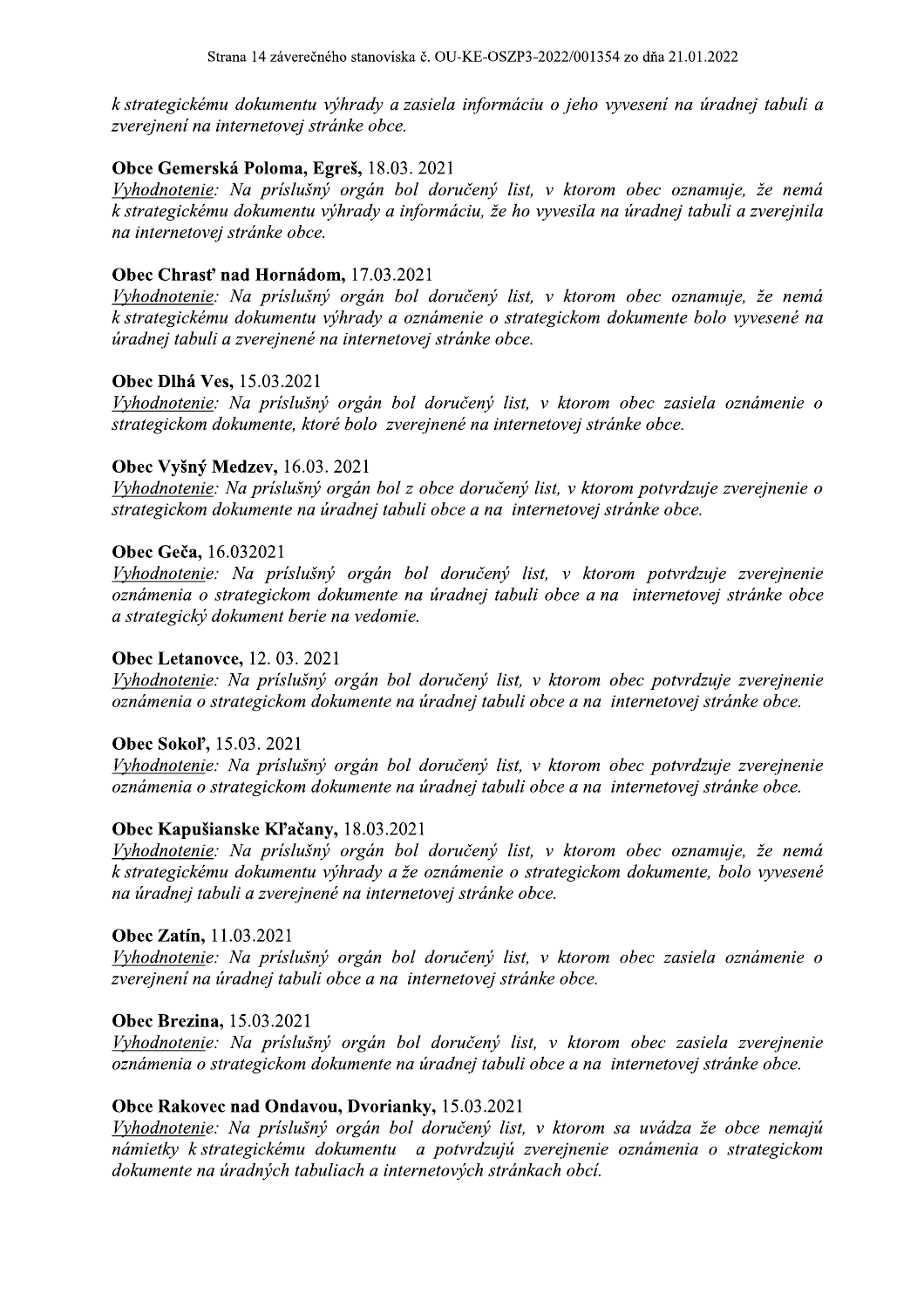k strategickému dokumentu výhrady a zasiela informáciu o jeho vyvesení na úradnej tabuli a zverejnení na internetovej stránke obce.

#### Obce Gemerská Poloma, Egreš, 18.03. 2021

Vyhodnotenie: Na príslušný orgán bol doručený list, v ktorom obec oznamuje, že nemá k strategickému dokumentu výhrady a informáciu, že ho vyvesila na úradnej tabuli a zverejnila na internetovej stránke obce.

#### Obec Chrast' nad Hornádom, 17.03.2021

Vyhodnotenie: Na príslušný orgán bol doručený list, v ktorom obec oznamuje, že nemá k strategickému dokumentu výhrady a oznámenie o strategickom dokumente bolo vyvesené na úradnej tabuli a zverejnené na internetovej stránke obce.

#### **Obec Dlhá Ves, 15.03.2021**

Vyhodnotenie: Na príslušný orgán bol doručený list, v ktorom obec zasiela oznámenie o strategickom dokumente, ktoré bolo zverejnené na internetovej stránke obce.

#### Obec Vyšný Medzev, 16.03. 2021

Vyhodnotenie: Na príslušný orgán bol z obce doručený list, v ktorom potyrdzuje zverejnenie o strategickom dokumente na úradnej tabuli obce a na internetovej stránke obce.

#### Obec Geča, 16.032021

Vyhodnotenie: Na príslušný orgán bol doručený list, v ktorom potvrdzuje zverejnenie oznámenia o strategickom dokumente na úradnej tabuli obce a na internetovej stránke obce a strategický dokument berie na vedomie.

#### **Obec Letanovce, 12.03.2021**

Vyhodnotenie: Na príslušný orgán bol doručený list, v ktorom obec potvrdzuje zverejnenie oznámenia o strategickom dokumente na úradnej tabuli obce a na internetovej stránke obce.

#### Obec Sokol', 15.03. 2021

Vyhodnotenie: Na príslušný orgán bol doručený list, v ktorom obec potvrdzuje zverejnenie oznámenia o strategickom dokumente na úradnej tabuli obce a na internetovej stránke obce.

#### Obec Kapušianske Kľačany, 18.03.2021

Vyhodnotenie: Na príslušný orgán bol doručený list, v ktorom obec oznamuje, že nemá k strategickému dokumentu výhrady a že oznámenie o strategickom dokumente, bolo vyvesené na úradnej tabuli a zverejnené na internetovej stránke obce.

#### Obec Zatín, 11.03.2021

Vyhodnotenie: Na príslušný orgán bol doručený list, v ktorom obec zasiela oznámenie o zverejnení na úradnej tabuli obce a na internetovej stránke obce.

#### **Obec Brezina**, 15.03.2021

Vyhodnotenie: Na príslušný orgán bol doručený list, v ktorom obec zasiela zverejnenie oznámenia o strategickom dokumente na úradnej tabuli obce a na internetovej stránke obce.

#### Obce Rakovec nad Ondavou, Dvorianky, 15.03.2021

Vyhodnotenie: Na príslušný orgán bol doručený list, v ktorom sa uvádza že obce nemajú námietky k strategickému dokumentu a potvrdzujú zverejnenie oznámenia o strategickom dokumente na úradných tabuliach a internetových stránkach obcí.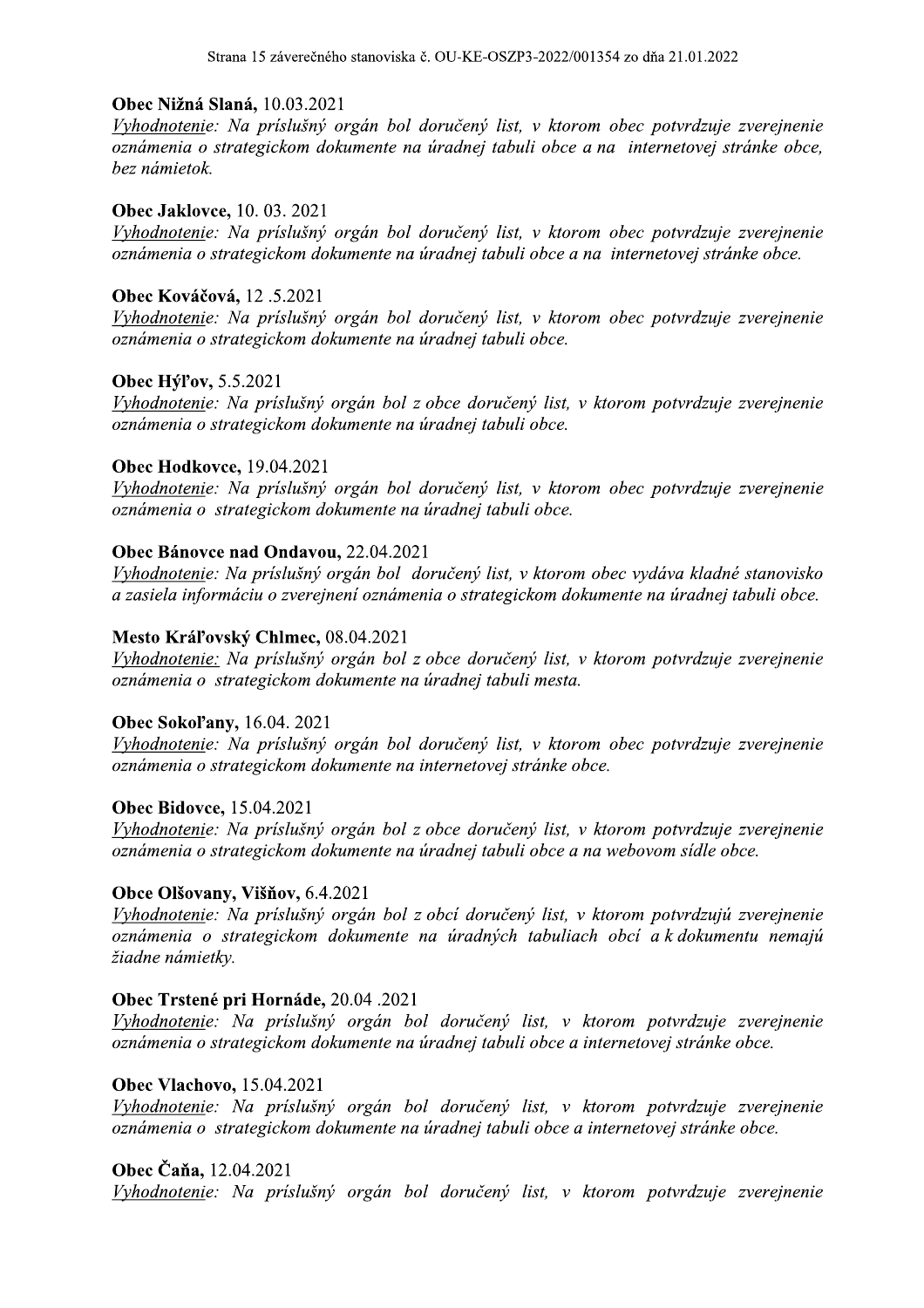#### Obec Nižná Slaná, 10.03.2021

iska č. OU-KE-OSZP3-2022/001354 zo dňa 21.01.2022<br>bol doručený list, v ktorom obec potvrdzuje zverejner<br>e na úradnej tabuli obce a na internetovej stránke ob Vyhodnotenie: Na príslušný orgán bol doručený list, v ktorom obec potvrdzuje zverejnenie oznámenia o strategickom dokumente na úradnej tabuli obce a na internetovej stránke obce, bez námietok.

#### f **Obec Jaklovce,** 10. 03. 2021

Vyhodnotenie: Na príslušný orgán bol doručený list, v ktorom obec potvrdzuje zverejnenie oznámenia o strategickom dokumente na úradnej tabuli obce a na internetovej stránke obce.

#### $\frac{1}{2}$ **Obec Kovacova,** 12.5.2021

Vyhodnotenie: Na príslušný orgán bol doručený list, v ktorom obec potvrdzuje zverejnenie oznámenia o strategickom dokumente na úradnej tabuli obce.

#### 8 **Obec Hyrov,** 5.5.2021

Vyhodnotenie: Na príslušný orgán bol z obce doručený list, v ktorom potvrdzuje zverejnenie oznámenia o strategickom dokumente na úradnej tabuli obce.

#### f **Obec Hodkovce,** 19.04.2021

Vyhodnotenie: Na príslušný orgán bol doručený list, v ktorom obec potvrdzuje zverejnenie oznámenia o strategickom dokumente na úradnej tabuli obce.

#### 8 **Obec Banovce nad Ondavou,**  $22.04.2021$

Vyhodnotenie: Na príslušný orgán bol doručený list, v ktorom obec vydáva kladné stanovisko a zasiela informáciu o zverejnení oznámenia o strategickom dokumente na úradnej tabuli obce.

#### $\overline{a}$ Mesto Kraľovsky Chimec, 08.04.2021

Vyhodnotenie: Na príslušný orgán bol z obce doručený list, v ktorom potvrdzuje zverejnenie oznámenia o strategickom dokumente na úradnej tabuli mesta.

#### for the state of the state of the state of the state of the state of the state of the state of the state of th **Obec Sokol'any,** 16.04. 2021

Vyhodnotenie: Na príslušný orgán bol doručený list, v ktorom obec potvrdzuje zverejnenie oznámenia o strategickom dokumente na internetovej stránke obce.

#### f **Obec Bidovce,**  $15.04.2021$

Vyhodnotenie: Na príslušný orgán bol z obce doručený list, v ktorom potvrdzuje zverejnenie oznámenia o strategickom dokumente na úradnej tabuli obce a na webovom sídle obce.

## **Obce Olsovany, Visnov, 6.4.2021**

Vyhodnotenie: Na príslušný orgán bol z obcí doručený list, v ktorom potvrdzujú zverejnenie oznámenia o strategickom dokumente na úradných tabuliach obcí a k dokumentu nemajú žiadne námietky.

#### for the state of the state of the state of the state of the state of the state of the state of the state of th **Obec Trstene pri Hornade, 20.04 .2021**

Vyhodnotenie: Na príslušný orgán bol doručený list, v ktorom potvrdzuje zverejnenie oznámenia o strategickom dokumente na úradnej tabuli obce a internetovej stránke obce.

#### 8 **Obec Vlachovo,**  $15.04.2021$

Vyhodnotenie: Na príslušný orgán bol doručený list, v ktorom potvrdzuje zverejnenie oznámenia o strategickom dokumente na úradnej tabuli obce a internetovej stránke obce.

## **Obec Cana,** 12.04.2021

Vyhodnotenie: Na príslušný orgán bol doručený list, v ktorom potvrdzuje zverejnenie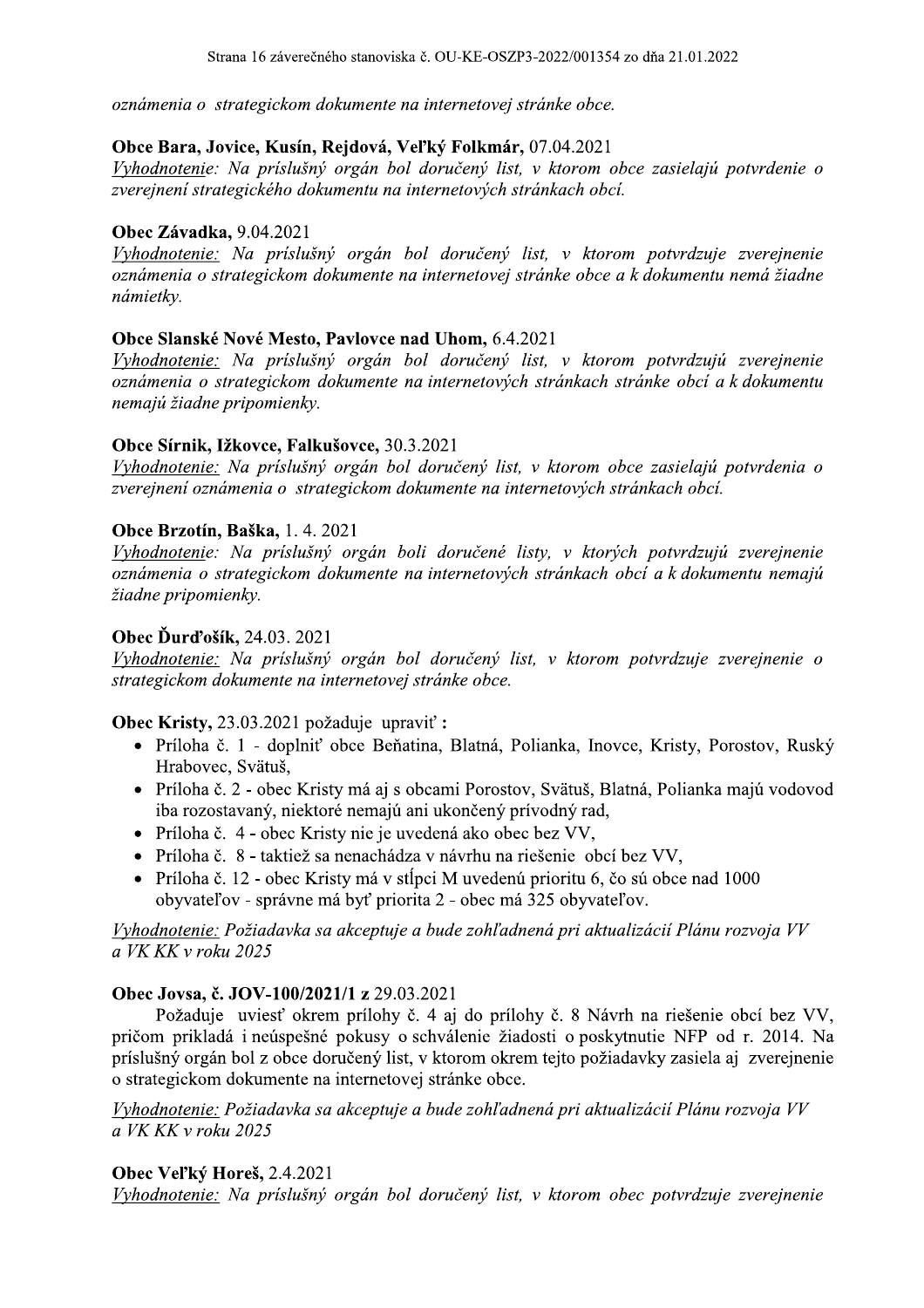oznámenia o strategickom dokumente na internetovej stránke obce.

## Obce Bara, Jovice, Kusín, Rejdová, Veľký Folkmár, 07.04.2021

Vyhodnotenie: Na príslušný orgán bol doručený list, v ktorom obce zasielajú potvrdenie o zverejnení strategického dokumentu na internetových stránkach obcí.

### Obec Závadka, 9.04.2021

Vyhodnotenie: Na príslušný orgán bol doručený list, v ktorom potvrdzuje zverejnenie oznámenia o strategickom dokumente na internetovej stránke obce a k dokumentu nemá žiadne námietky.

## Obce Slanské Nové Mesto, Pavlovce nad Uhom, 6.4.2021

Vyhodnotenie: Na príslušný orgán bol doručený list, v ktorom potvrdzujú zverejnenie oznámenia o strategickom dokumente na internetových stránkach stránke obcí a k dokumentu nemajú žiadne pripomienky.

## Obce Sírnik, Ižkovce, Falkušovce, 30.3.2021

Vyhodnotenie: Na príslušný orgán bol doručený list, v ktorom obce zasielajú potvrdenia o zverejnení oznámenia o strategickom dokumente na internetových stránkach obcí.

## Obce Brzotín, Baška, 1.4.2021

Vyhodnotenie: Na príslušný orgán boli doručené listy, v ktorých potvrdzujú zverejnenie oznámenia o strategickom dokumente na internetových stránkach obcí a k dokumentu nemajú žiadne pripomienky.

## Obec Durd'ošík, 24.03. 2021

Vyhodnotenie: Na príslušný orgán bol doručený list, v ktorom potvrdzuje zverejnenie o strategickom dokumente na internetovej stránke obce.

#### Obec Kristy, 23.03.2021 požaduje upraviť:

- · Príloha č. 1 doplniť obce Beňatina, Blatná, Polianka, Inovce, Kristy, Porostov, Ruský Hrabovec, Svätuš,
- · Príloha č. 2 obec Kristy má aj s obcami Porostov, Svätuš, Blatná, Polianka majú vodovod iba rozostavaný, niektoré nemajú ani ukončený prívodný rad,
- Príloha č. 4 obec Kristy nie je uvedená ako obec bez VV,
- · Príloha č. 8 taktiež sa nenachádza v návrhu na riešenie obcí bez VV,
- Príloha č. 12 obec Kristy má v stĺpci M uvedenú prioritu 6, čo sú obce nad 1000 obyvateľov - správne má byť priorita 2 - obec má 325 obyvateľov.

Vyhodnotenie: Požiadavka sa akceptuje a bude zohľadnená pri aktualizácií Plánu rozvoja VV a VK KK v roku 2025

## Obec Jovsa, č. JOV-100/2021/1 z 29.03.2021

Požaduje uviesť okrem prílohy č. 4 aj do prílohy č. 8 Návrh na riešenie obcí bez VV, pričom prikladá i neúspešné pokusy o schválenie žiadosti o poskytnutie NFP od r. 2014. Na príslušný orgán bol z obce doručený list, v ktorom okrem tejto požiadavky zasiela aj zverejnenie o strategickom dokumente na internetovej stránke obce.

Vyhodnotenie: Požiadavka sa akceptuje a bude zohľadnená pri aktualizácií Plánu rozvoja VV a VK KK v roku 2025

#### **Obec Vel'ký Horeš**, 2.4.2021

Vyhodnotenie: Na príslušný orgán bol doručený list, v ktorom obec potvrdzuje zverejnenie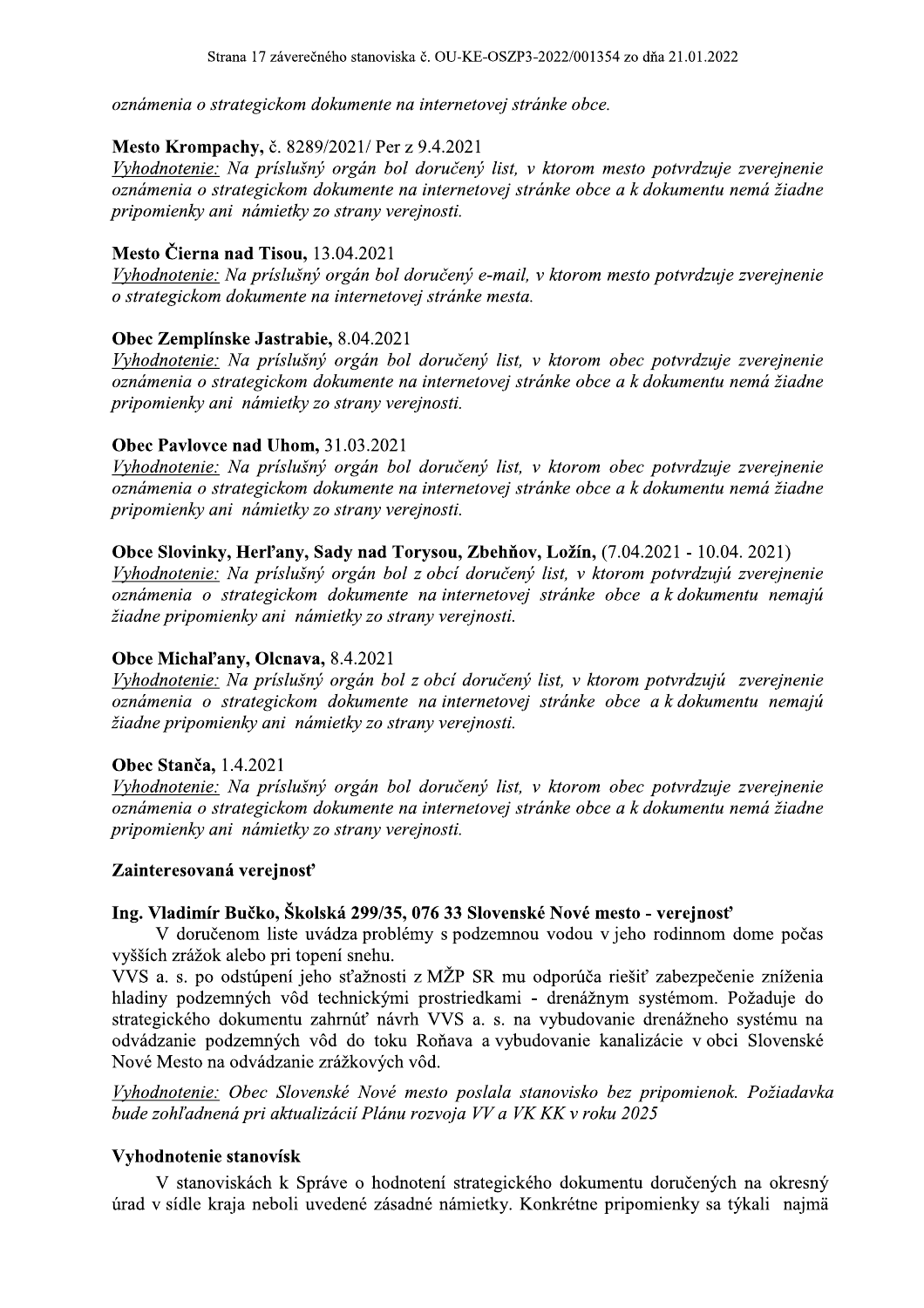oznámenia o strategickom dokumente na internetovej stránke obce.

#### H **Mesto Krompachy,** c. 8289/2021/ Per z 9.4.2021

iska č. OU-KE-OSZP3-2022/001354 zo dňa 21.01.2022<br>na internetovej stránke obce.<br>er z 9.4.2021<br>pol doručený list, v ktorom mesto potvrdzuje zverejne<br>na internetovej stránke obce a k dokumentu nemá žia<br>pereinosti Vyhodnotenie: Na príslušný orgán bol doručený list, v ktorom mesto potvrdzuje zverejnenie oznámenia o strategickom dokumente na internetovej stránke obce a k dokumentu nemá žiadne pripomienky ani námietky zo strany verejnosti.

## **Mesto Cierna nad Tisou,** 13.04.2021

Vyhodnotenie: Na príslušný orgán bol doručený e-mail, v ktorom mesto potvrdzuje zverejnenie o strategickom dokumente na internetovej stránke mesta.

## **Obec Zemplinske Jastrabie, 8.04.2021**

Vyhodnotenie: Na príslušný orgán bol doručený list, v ktorom obec potvrdzuje zverejnenie oznámenia o strategickom dokumente na internetovej stránke obce a k dokumentu nemá žiadne pripomienky ani námietky zo strany verejnosti.

#### $\mathbf{L}$ **Obec Pavlovce nad Uhom, 31.03.2021**

Vyhodnotenie: Na príslušný orgán bol doručený list, v ktorom obec potvrdzuje zverejnenie oznámenia o strategickom dokumente na internetovej stránke obce a k dokumentu nemá žiadne pripomienky ani námietky zo strany verejnosti.

## Obce Slovinky, Herl'any, Sady nad Torysou, Zbehnov, Ložin, (7.04.2021 - 10.04. 2021)

Vyhodnotenie: Na príslušný orgán bol z obcí doručený list, v ktorom potvrdzujú zverejnenie oznámenia o strategickom dokumente na internetovej stránke obce a k dokumentu nemajú žiadne pripomienky ani námietky zo strany verejnosti.

#### i. Obce Michal'any, Olchava,  $8.4.2021$

Vyhodnotenie: Na príslušný orgán bol z obcí doručený list, v ktorom potvrdzujú zverejnenie oznámenia o strategickom dokumente na internetovej stránke obce a k dokumentu nemajú žiadne pripomienky ani námietky zo strany verejnosti.

#### : Obec Stanca,  $1.4.2021$

Vyhodnotenie: Na príslušný orgán bol doručený list, v ktorom obec potvrdzuje zverejnenie oznámenia o strategickom dokumente na internetovej stránke obce a k dokumentu nemá žiadne pripomienky ani námietky zo strany verejnosti.

#### H Zainteresovana verejnosť

#### Ing. Vladimír Bučko, Školská 299/35, 076 33 Slovenské Nové mesto - verejnosť

**Obec Stanča**, 1.4.2021<br> *Yyhodnotenie:* Na prislušný orgán bol doručený list, v ktorom obec potvrdzuje zve<br>
oznámenia o strategickom dokumente na internetovej stránke obce a k dokumentu nem<br>
pripomienky ani námietky zo s **Obec Stanča,** 1.4.2021<br>
Vyhodnotenie: Na prislušný orgán bol doručený list, v ktorom obec potvrdzuje zverejnenie<br>
oznámenia o strategickom dokumente na internetovej stránke obce a k dokumentu nemá žiadne<br>
pripomienky ani ennienky ani námietky zo strany verejnosti.<br> **Zainteresovaná verejnost**<br> **Zainteresovaná verejnost**<br> **Zainteresovaná verejnost**<br> **Ing. Vladimír Bučko, Školská 299/35, 076 33 Slovenské Nové mesto - verejnost**<br>
V doručenom l pripomienky ani námietky zo strany verejnosti.<br> **Zainteresovaná verejnosť**<br> **Ing. Vladimír Bučko, Školská 299/35, 076 33 Slovenské Nové mesto - verejnosť**<br>
V doručenom liste uvádza problémy s podzemnou vodou v jeho rodinno strategického dokumentu zahrnúť návrh VVS a. s. na vybudovanie drenážneho systému na 5, 076 33 Slovenské Nové mesto - verejnosť<br>
blémy s podzemnou vodou v jeho rodinnom don<br>
.<br>
.<br>
sti z MŽP SR mu odporúča riešiť zabezpečenie<br>
mi prostriedkami - drenážnym systémom. Poža<br>
ivrh VVS a. s. na vybudovanie drenáž **Zainteresovaná verejnosť**<br> **Ing. Vladimír Bučko, Školská 299/35, 076 33 Slovenské Nové mesto - verejnosť**<br>
V doručenom liste uvidza problémy s podzemnou vodou v jeho rodinnom dome počas<br>
vyšších zrážok alebo pri topení s **Zainteresovaná verejnosť**<br> **Ing. Vladimír Bučko, Školská 299/35,**<br>
V doručenom liste uvádza problé<br>
vyšších zrážok alebo pri topení snehu.<br>
VVS a. s. po odstúpení jeho sťažnosti<br>
hladiny podzemných vôd technickými<br>
strate nteresovaná verejnosť<br>
V doručenom liste uvádza problémy s podzemno<br>
V doručenom liste uvádza problémy s podzemno<br>
iích zrážok alebo pri topení snehu.<br>
S a. s. po odstúpení jeho sťažnosti z MŽP SR mu<br>
iny podzemných vôd te a a vybudovanie kanalizacie v obci Slovenske **299/35, 076 33 Slovenské Nové mesto - verejno**<br>
za problémy s podzemnou vodou v jeho rodinnor<br>
snehu.<br>
t'ažnosti z MŽP SR mu odporúča riešiť zabezpe<br>
mickými prostriedkami - drenážnym systémom.<br>
uúť návrh VVS a. s. na vy Nove Mesto na odvadzanie zrazkovych vo Ing. Vladimír Bučko, Školská 299/35, 0<br>
V doručenom liste uvádza problém<br>
vyšších zrážok alebo pri topení snehu.<br>
VVS a. s. po odstúpení jeho sťažnosti z<br>
hladiny podzemných vôd technickými p<br>
strategického dokumentu zahrn Ing. Vladimír Bučko, Školská 299/35, 076 3<br>V doručenom liste uvádza problémy s<br>vyšších zrážok alebo pri topení snehu.<br>VVS a. s. po odstúpení jeho sťažnosti z MŽ<br>hladiny podzemných vôd technickými pros<br>strategického dokumen Ing. Vladimír Bučko, Školská 299/35, 076 33 Slovenské Nové m<br>V doručenom liste uvádza problémy s podzemnou vodou v<br>vyšších zrážok alebo pri topení snehu.<br>VVS a. s. po odstúpení jeho sťažnosti z MŽP SR mu odporúča 1<br>hladiny strategického dokumentu zahrnúť návrh VVS a. s. na vybudovanie drenážneho systému na odvádzanie podzemných vôd do toku Roňava a vybudovanie kanalizácie v obci Slovenské<br>Nové Mesto na odvádzanie zrážkových vôd.<br>Tyhodnotenie Same Bodzemných vôd do<br>Nové Mesto na odvádzanie zrážko<br>*Vyhodnotenie: Obec Slovenské l<br>bude zohľadnená pri aktualizácií .*<br>**Vyhodnotenie stanovísk**<br>V stanovískách k Správe o<br>úrad v sídle kraja neboli uvedené Szanie podzemných vôd do toku Roňava a vybudovanie kana<br>
é Mesto na odvádzanie zrážkových vôd.<br>
é Mesto na odvádzanie zrážkových vôd.<br> *Andhotenie: Obec Slovenské Nové mesto poslala stanovisko bez zohľadnená pri aktualizác* 

Vyhodnotenie: Obec Slovenské Nové mesto poslala stanovisko bez pripomienok. Požiadavka bude zohľadnená pri aktualizácií Plánu rozvoja VV a VK KK v roku 2025

## Vyhodnotenie stanovisk

V stanoviskách k Správe úrad v sídle kraja neboli uvedené zásadné námietky. Konkrétne pripomienky sa týkali najmä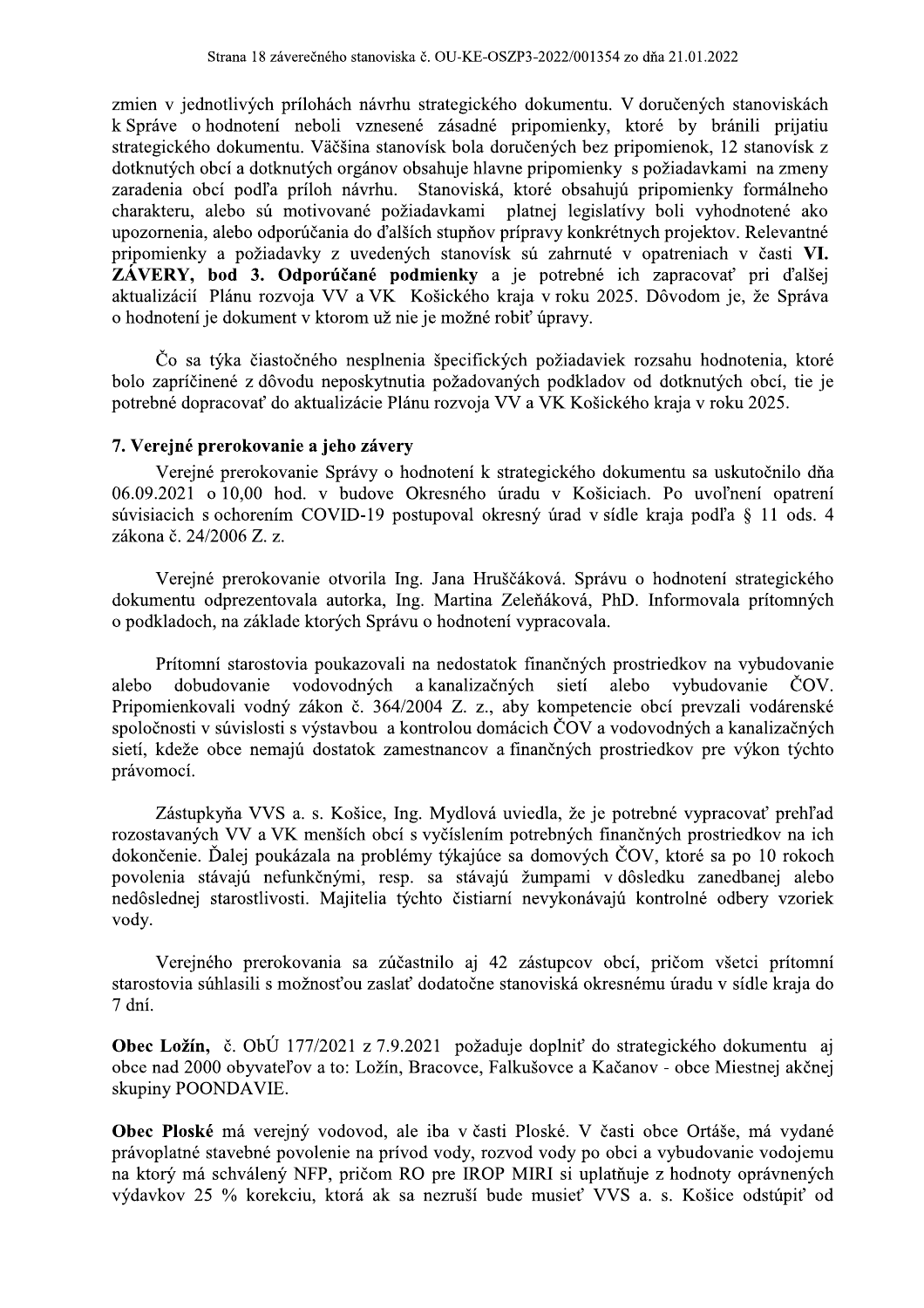zmien v jednotlivých prílohách návrhu strategického dokumentu. V doručených stanoviskách k Správe o hodnotení neboli vznesené zásadné pripomienky, ktoré by bránili prijatiu strategického dokumentu. Väčšina stanovísk bola doručených bez pripomienok, 12 stanovísk z dotknutých obcí a dotknutých orgánov obsahuje hlavne pripomienky s požiadavkami na zmeny zaradenia obcí podľa príloh návrhu. Stanoviská, ktoré obsahujú pripomienky formálneho charakteru, alebo sú motivované požiadavkami platnej legislatívy boli vyhodnotené ako upozornenia, alebo odporúčania do ďalších stupňov prípravy konkrétnych projektov. Relevantné pripomienky a požiadavky z uvedených stanovísk sú zahrnuté v opatreniach v časti VI. ZÁVERY, bod 3. Odporúčané podmienky a je potrebné ich zapracovať pri ďalšej aktualizácií Plánu rozvoja VV a VK Košického kraja v roku 2025. Dôvodom je, že Správa o hodnotení je dokument v ktorom už nie je možné robiť úpravy.

Čo sa týka čiastočného nesplnenia špecifických požiadaviek rozsahu hodnotenia, ktoré bolo zapríčinené z dôvodu neposkytnutia požadovaných podkladov od dotknutých obcí, tie je potrebné dopracovať do aktualizácie Plánu rozvoja VV a VK Košického kraja v roku 2025.

#### 7. Verejné prerokovanie a jeho závery

Verejné prerokovanie Správy o hodnotení k strategického dokumentu sa uskutočnilo dňa 06.09.2021 o 10,00 hod. v budove Okresného úradu v Košiciach. Po uvoľnení opatrení súvisiacich s ochorením COVID-19 postupoval okresný úrad v sídle kraja podľa § 11 ods. 4 zákona č. 24/2006 Z. z.

Verejné prerokovanie otvorila Ing. Jana Hruščáková. Správu o hodnotení strategického dokumentu odprezentovala autorka, Ing. Martina Zeleňáková, PhD. Informovala prítomných o podkladoch, na základe ktorých Správu o hodnotení vypracovala.

Prítomní starostovia poukazovali na nedostatok finančných prostriedkov na vybudovanie dobudovanie vodovodných a kanalizačných sietí alebo vybudovanie ČOV. alebo Pripomienkovali vodný zákon č. 364/2004 Z. z., aby kompetencie obcí prevzali vodárenské spoločnosti v súvislosti s výstavbou a kontrolou domácich ČOV a vodovodných a kanalizačných sietí, kdeže obce nemajú dostatok zamestnancov a finančných prostriedkov pre výkon týchto právomocí.

Zástupkyňa VVS a. s. Košice, Ing. Mydlová uviedla, že je potrebné vypracovať prehľad rozostavaných VV a VK menších obcí s vyčíslením potrebných finančných prostriedkov na ich dokončenie. Ďalej poukázala na problémy týkajúce sa domových ČOV, ktoré sa po 10 rokoch povolenia stávajú nefunkčnými, resp. sa stávajú žumpami v dôsledku zanedbanej alebo nedôslednej starostlivosti. Majitelia týchto čistiarní nevykonávajú kontrolné odbery vzoriek vody.

Verejného prerokovania sa zúčastnilo aj 42 zástupcov obcí, pričom všetci prítomní starostovia súhlasili s možnosťou zaslať dodatočne stanoviská okresnému úradu v sídle kraja do 7 dní.

Obec Ložín, č. ObÚ 177/2021 z 7.9.2021 požaduje doplniť do strategického dokumentu aj obce nad 2000 obyvateľov a to: Ložín, Bracovce, Falkušovce a Kačanov - obce Miestnej akčnej skupiny POONDAVIE.

Obec Ploské má verejný vodovod, ale iba v časti Ploské. V časti obce Ortáše, má vydané právoplatné stavebné povolenie na prívod vody, rozvod vody po obci a vybudovanie vodojemu na ktorý má schválený NFP, pričom RO pre IROP MIRI si uplatňuje z hodnoty oprávnených výdavkov 25 % korekciu, ktorá ak sa nezruší bude musieť VVS a. s. Košice odstúpiť od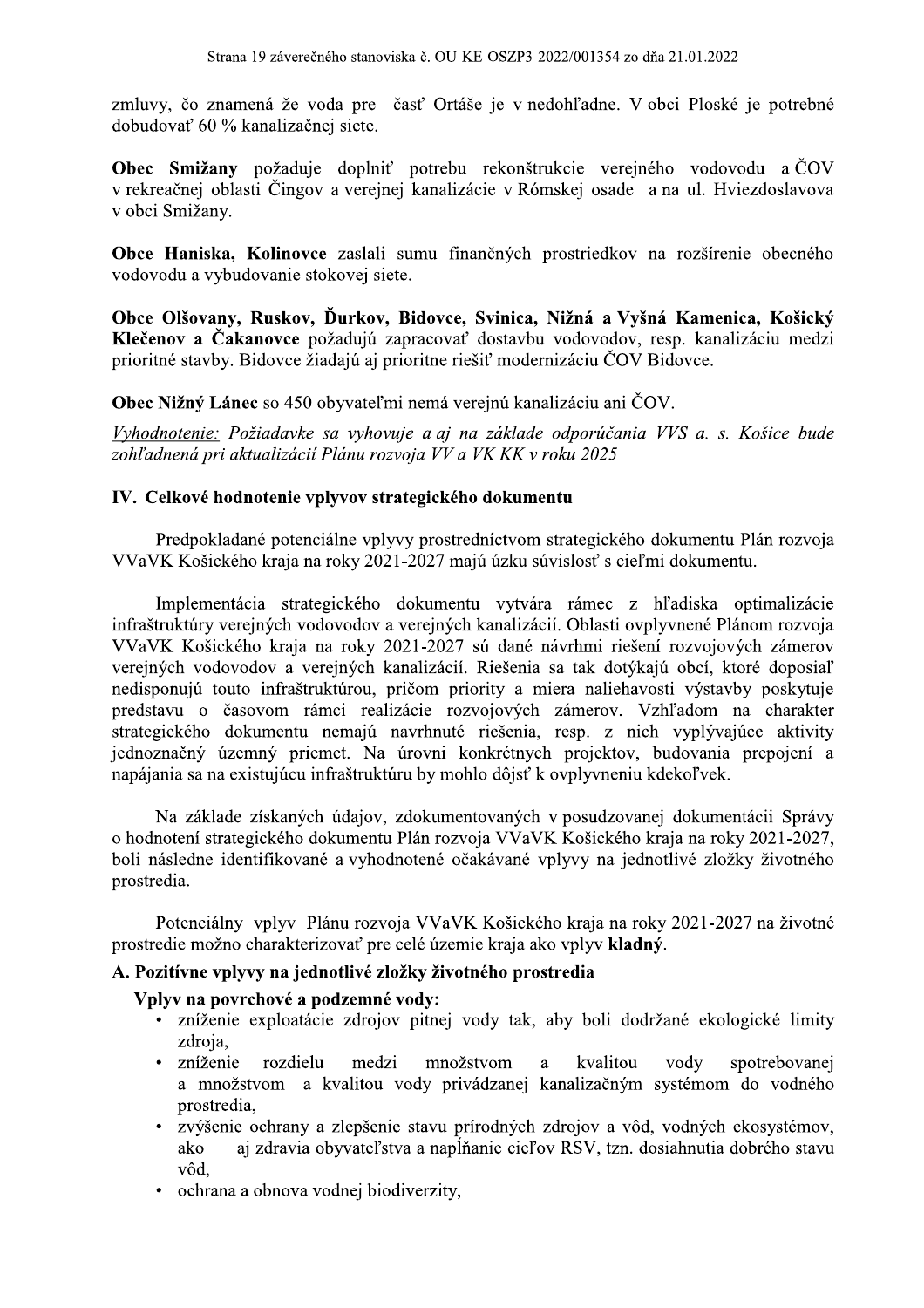zmluvy, čo znamená že voda pre časť Ortáše je v nedohľadne. V obci Ploské je potrebné dobudovať 60 % kanalizačnej siete.

Obec Smižany požaduje doplniť potrebu rekonštrukcie verejného vodovodu a ČOV v rekreačnej oblasti Čingov a verejnej kanalizácie v Rómskej osade a na ul. Hviezdoslavova v obci Smižany.

Obce Haniska, Kolinovce zaslali sumu finančných prostriedkov na rozšírenie obecného vodovodu a vybudovanie stokovej siete.

Obce Olšovany, Ruskov, Ďurkov, Bidovce, Svinica, Nižná a Vyšná Kamenica, Košický Klečenov a Čakanovce požadujú zapracovať dostavbu vodovodov, resp. kanalizáciu medzi prioritné stavby. Bidovce žiadajú aj prioritne riešiť modernizáciu ČOV Bidovce.

Obec Nižný Lánec so 450 obyvateľmi nemá verejnú kanalizáciu ani ČOV.

Vyhodnotenie: Požiadavke sa vyhovuje a aj na základe odporúčania VVS a. s. Košice bude zohľadnená pri aktualizácií Plánu rozvoja VV a VK KK v roku 2025

## IV. Celkové hodnotenie vplyvov strategického dokumentu

Predpokladané potenciálne vplyvy prostredníctvom strategického dokumentu Plán rozvoja VVaVK Košického kraja na roky 2021-2027 majú úzku súvislosť s cieľmi dokumentu.

Implementácia strategického dokumentu vytvára rámec z hľadiska optimalizácie infraštruktúry verejných vodovodov a verejných kanalizácií. Oblasti ovplyvnené Plánom rozvoja VVaVK Košického kraja na roky 2021-2027 sú dané návrhmi riešení rozvojových zámerov verejných vodovodov a verejných kanalizácií. Riešenia sa tak dotýkajú obcí, ktoré doposiaľ nedisponujú touto infraštruktúrou, pričom priority a miera naliehavosti výstavby poskytuje predstavu o časovom rámci realizácie rozvojových zámerov. Vzhľadom na charakter strategického dokumentu nemajú navrhnuté riešenia, resp. z nich vyplývajúce aktivity jednoznačný územný priemet. Na úrovni konkrétnych projektov, budovania prepojení a napájania sa na existujúcu infraštruktúru by mohlo dôjsť k ovplyvneniu kdekoľvek.

Na základe získaných údajov, zdokumentovaných v posudzovanej dokumentácii Správy o hodnotení strategického dokumentu Plán rozvoja VVaVK Košického kraja na roky 2021-2027, boli následne identifikované a vyhodnotené očakávané vplyvy na jednotlivé zložky životného prostredia.

Potenciálny vplyv Plánu rozvoja VVaVK Košického kraja na roky 2021-2027 na životné prostredie možno charakterizovať pre celé územie kraja ako vplyv kladný.

#### A. Pozitívne vplyvy na jednotlivé zložky životného prostredia

#### Vplyv na povrchové a podzemné vody:

- · zníženie exploatácie zdrojov pitnej vody tak, aby boli dodržané ekologické limity zdroja,
- zníženie rozdielu medzi množstvom kvalitou vody spotrebovanei  $\bullet$ a a množstvom a kvalitou vody privádzanej kanalizačným systémom do vodného prostredia,
- · zvýšenie ochrany a zlepšenie stavu prírodných zdrojov a vôd, vodných ekosystémov, aj zdravia obyvateľstva a napĺňanie cieľov RSV, tzn. dosiahnutia dobrého stavu ako vôd.
- ochrana a obnova vodnej biodiverzity,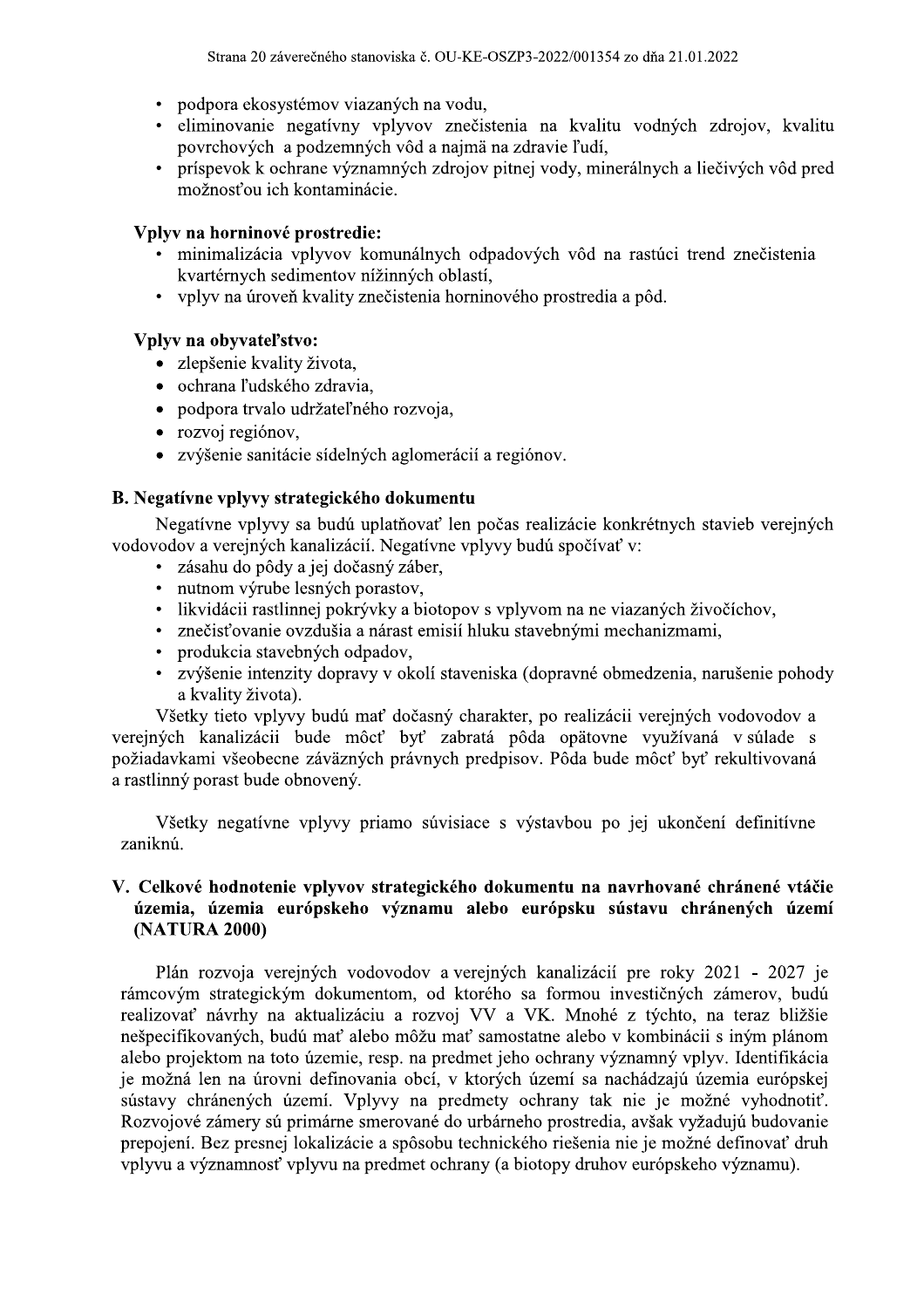- podpora ekosystémov viazaných na vodu,
- eliminovanie negatívny vplyvov znečistenia na kvalitu vodných zdrojov, kvalitu povrchových a podzemných vôd a najmä na zdravie ľudí,
- príspevok k ochrane významných zdrojov pitnej vody, minerálnych a liečivých vôd pred  $\bullet$ možnosťou ich kontaminácie.

## Vplyv na horninové prostredie:

- · minimalizácia vplyvov komunálnych odpadových vôd na rastúci trend znečistenia kvartérnych sedimentov nížinných oblastí.
- vplyv na úroveň kvality znečistenia horninového prostredia a pôd.

## Vplyv na obyvateľstvo:

- · zlepšenie kvality života,
- · ochrana ľudského zdravia,
- · podpora trvalo udržateľného rozvoja,
- rozvoj regiónov,
- zvýšenie sanitácie sídelných aglomerácií a regiónov.

## B. Negatívne vplyvy strategického dokumentu

Negatívne vplyvy sa budú uplatňovať len počas realizácie konkrétnych stavieb verejných vodovodov a verejných kanalizácií. Negatívne vplyvy budú spočívať v:

- · zásahu do pôdy a jej dočasný záber,
- · nutnom výrube lesných porastov,
- · likvidácii rastlinnej pokrývky a biotopov s vplyvom na ne viazaných živočíchov,
- · znečisťovanie ovzdušia a nárast emisií hluku stavebnými mechanizmami,
- produkcia stavebných odpadov,
- zvýšenie intenzity dopravy v okolí staveniska (dopravné obmedzenia, narušenie pohody a kvality života).

Všetky tieto vplyvy budú mať dočasný charakter, po realizácii verejných vodovodov a verejných kanalizácii bude môcť byť zabratá pôda opätovne využívaná v súlade s požiadavkami všeobecne záväzných právnych predpisov. Pôda bude môcť byť rekultivovaná a rastlinný porast bude obnovený.

Všetky negatívne vplyvy priamo súvisiace s výstavbou po jej ukončení definitívne zaniknú.

### V. Celkové hodnotenie vplyvov strategického dokumentu na navrhované chránené vtáčie územia, územia európskeho významu alebo európsku sústavu chránených území (NATURA 2000)

Plán rozvoja verejných vodovodov a verejných kanalizácií pre roky 2021 - 2027 je rámcovým strategickým dokumentom, od ktorého sa formou investičných zámerov, budú realizovať návrhy na aktualizáciu a rozvoj VV a VK. Mnohé z týchto, na teraz bližšie nešpecifikovaných, budú mať alebo môžu mať samostatne alebo v kombinácii s iným plánom alebo projektom na toto územie, resp. na predmet jeho ochrany významný vplyv. Identifikácia je možná len na úrovni definovania obcí, v ktorých území sa nachádzajú územia európskej sústavy chránených území. Vplyvy na predmety ochrany tak nie je možné vyhodnotiť. Rozvojové zámery sú primárne smerované do urbárneho prostredia, avšak vyžadujú budovanie prepojení. Bez presnej lokalizácie a spôsobu technického riešenia nie je možné definovať druh vplyvu a významnosť vplyvu na predmet ochrany (a biotopy druhov európskeho významu).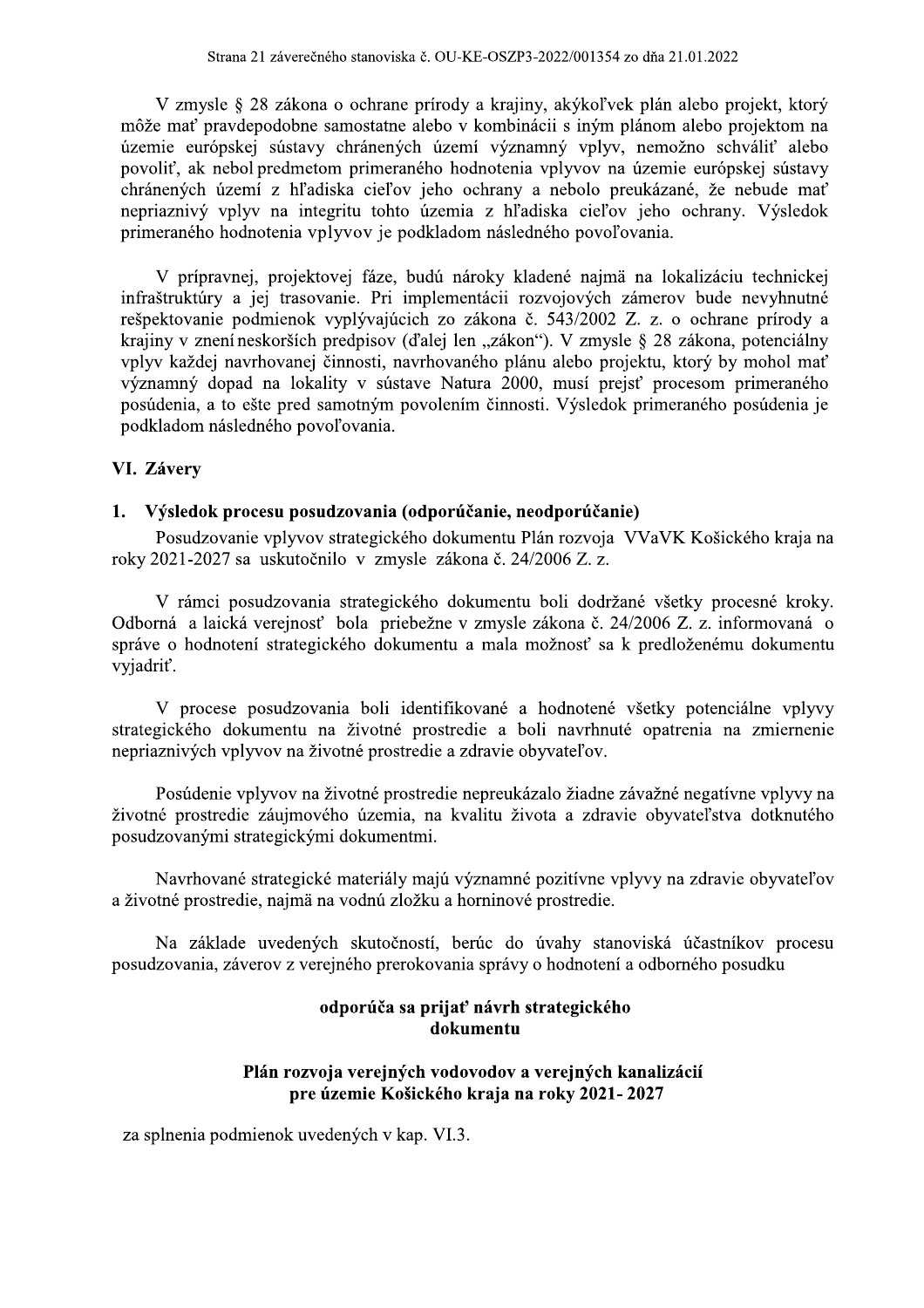V zmysle § 28 zákona o ochrane prírody a krajiny, akýkoľvek plán alebo projekt, ktorý môže mať pravdepodobne samostatne alebo v kombinácii s iným plánom alebo projektom na územie európskej sústavy chránených území významný vplyv, nemožno schváliť alebo povoliť, ak nebol predmetom primeraného hodnotenia vplyvov na územie európskej sústavy chránených území z hľadiska cieľov jeho ochrany a nebolo preukázané, že nebude mať nepriaznivý vplyv na integritu tohto územia z hľadiska cieľov jeho ochrany. Výsledok primeraného hodnotenia vplyvov je podkladom následného povoľovania.

V prípravnej, projektovej fáze, budú nároky kladené najmä na lokalizáciu technickej infraštruktúry a jej trasovanie. Pri implementácii rozvojových zámerov bude nevyhnutné rešpektovanie podmienok vyplývajúcich zo zákona č. 543/2002 Z. z. o ochrane prírody a krajiny v znení neskorších predpisov (ďalej len "zákon"). V zmysle § 28 zákona, potenciálny vplyv každej navrhovanej činnosti, navrhovaného plánu alebo projektu, ktorý by mohol mať významný dopad na lokality v sústave Natura 2000, musí prejsť procesom primeraného posúdenia, a to ešte pred samotným povolením činnosti. Výsledok primeraného posúdenia je podkladom následného povoľovania.

#### VI. Závery

#### 1. Výsledok procesu posudzovania (odporúčanie, neodporúčanie)

Posudzovanie vplyvov strategického dokumentu Plán rozvoja VVaVK Košického kraja na roky 2021-2027 sa uskutočnilo v zmysle zákona č. 24/2006 Z. z.

V rámci posudzovania strategického dokumentu boli dodržané všetky procesné kroky. Odborná a laická verejnosť bola priebežne v zmysle zákona č. 24/2006 Z. z. informovaná o správe o hodnotení strategického dokumentu a mala možnosť sa k predloženému dokumentu vyjadriť.

V procese posudzovania boli identifikované a hodnotené všetky potenciálne vplyvy strategického dokumentu na životné prostredie a boli navrhnuté opatrenia na zmiernenie nepriaznivých vplyvov na životné prostredie a zdravie obyvateľov.

Posúdenie vplyvov na životné prostredie nepreukázalo žiadne závažné negatívne vplyvy na životné prostredie záujmového územia, na kvalitu života a zdravie obyvateľstva dotknutého posudzovanými strategickými dokumentmi.

Navrhované strategické materiály majú významné pozitívne vplyvy na zdravie obyvateľov a životné prostredie, najmä na vodnú zložku a horninové prostredie.

Na základe uvedených skutočností, berúc do úvahy stanoviská účastníkov procesu posudzovania, záverov z verejného prerokovania správy o hodnotení a odborného posudku

## odporúča sa prijať návrh strategického dokumentu

## Plán rozvoja verejných vodovodov a verejných kanalizácií pre územie Košického kraja na roky 2021-2027

za splnenia podmienok uvedených v kap. VI.3.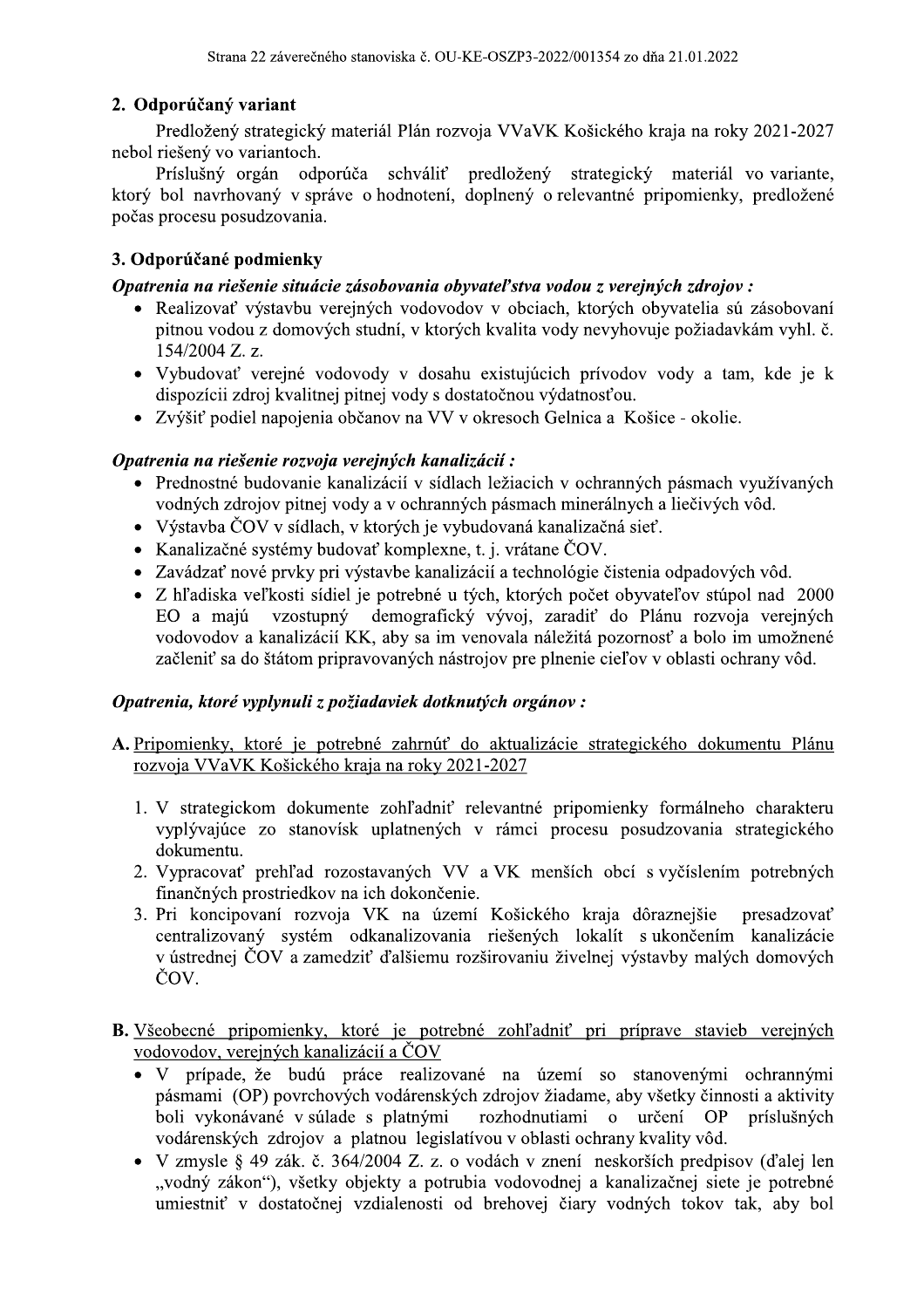## 2. Odporúčaný variant

Predložený strategický materiál Plán rozvoja VVaVK Košického kraja na roky 2021-2027 nebol riešený vo variantoch.

Príslušný orgán odporúča schváliť predložený strategický materiál vo variante, ktorý bol navrhovaný v správe o hodnotení, doplnený o relevantné pripomienky, predložené počas procesu posudzovania.

## 3. Odporúčané podmienky

## Opatrenia na riešenie situácie zásobovania obyvateľstva vodou z verejných zdrojov:

- Realizovať výstavbu verejných vodovodov v obciach, ktorých obyvatelia sú zásobovaní pitnou vodou z domových studní, v ktorých kvalita vody nevyhovuje požiadavkám vyhl. č.  $154/2004$  Z. z.
- Vybudovať verejné vodovody v dosahu existujúcich prívodov vody a tam, kde je k dispozícii zdroj kvalitnej pitnej vody s dostatočnou výdatnosťou.
- Zvýšiť podiel napojenia občanov na VV v okresoch Gelnica a Košice okolie.

## Opatrenia na riešenie rozvoja verejných kanalizácií:

- Prednostné budovanie kanalizácií v sídlach ležiacich v ochranných pásmach využívaných vodných zdrojov pitnej vody a v ochranných pásmach minerálnych a liečivých vôd.
- Výstavba ČOV v sídlach, v ktorých je vybudovaná kanalizačná sieť.
- Kanalizačné systémy budovať komplexne, t. j. vrátane ČOV.
- Zavádzať nové prvky pri výstavbe kanalizácií a technológie čistenia odpadových vôd.
- · Z hľadiska veľkosti sídiel je potrebné u tých, ktorých počet obyvateľov stúpol nad 2000 demografický vývoj, zaradiť do Plánu rozvoja verejných EO a majú vzostupný vodovodov a kanalizácií KK, aby sa im venovala náležitá pozornosť a bolo im umožnené začleniť sa do štátom pripravovaných nástrojov pre plnenie cieľov v oblasti ochrany vôd.

## Opatrenia, ktoré vyplynuli z požiadaviek dotknutých orgánov:

- A. Pripomienky, ktoré je potrebné zahrnúť do aktualizácie strategického dokumentu Plánu rozvoja VVaVK Košického kraja na roky 2021-2027
	- 1. V strategickom dokumente zohľadniť relevantné pripomienky formálneho charakteru vyplývajúce zo stanovísk uplatnených v rámci procesu posudzovania strategického dokumentu.
	- 2. Vypracovať prehľad rozostavaných VV a VK menších obcí s vyčíslením potrebných finančných prostriedkov na ich dokončenie.
	- 3. Pri koncipovaní rozvoja VK na území Košického kraja dôraznejšie presadzovať centralizovaný systém odkanalizovania riešených lokalít s ukončením kanalizácie v ústrednej ČOV a zamedziť ďalšiemu rozširovaniu živelnej výstavby malých domových ČOV.
- B. Všeobecné pripomienky, ktoré je potrebné zohľadniť pri príprave stavieb verejných vodovodov, verejných kanalizácií a ČOV
	- · V prípade, že budú práce realizované na území so stanovenými ochrannými pásmami (OP) povrchových vodárenských zdrojov žiadame, aby všetky činnosti a aktivity boli vykonávané v súlade s platnými rozhodnutiami o určení OP príslušných vodárenských zdrojov a platnou legislatívou v oblasti ochrany kvality vôd.
	- V zmysle § 49 zák. č. 364/2004 Z. z. o vodách v znení neskorších predpisov (ďalej len "vodný zákon"), všetky objekty a potrubia vodovodnej a kanalizačnej siete je potrebné umiestniť v dostatočnej vzdialenosti od brehovej čiary vodných tokov tak, aby bol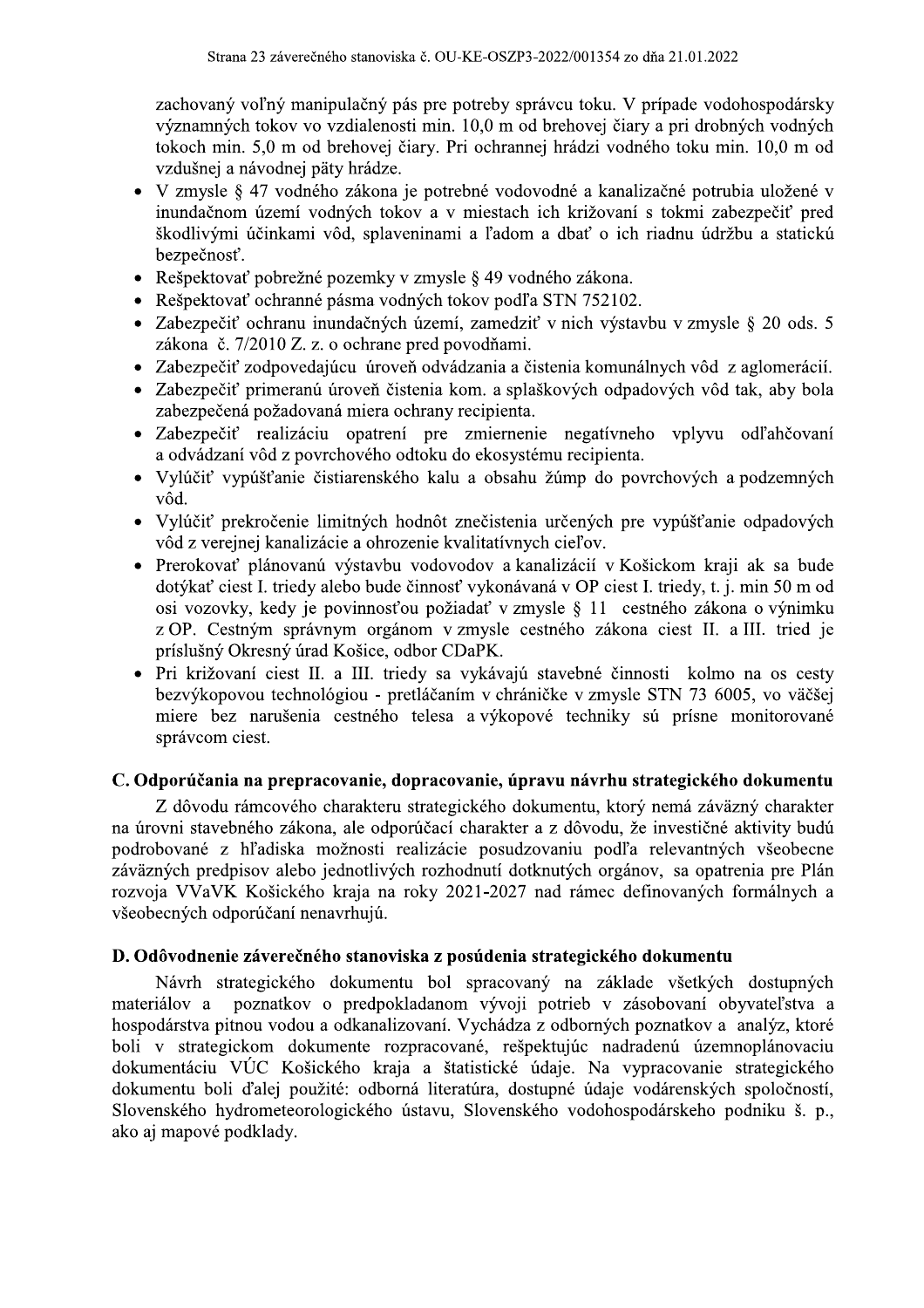zachovaný voľný manipulačný pás pre potreby správcu toku. V prípade vodohospodársky významných tokov vo vzdialenosti min. 10,0 m od brehovej čiary a pri drobných vodných tokoch min. 5,0 m od brehovej čiary. Pri ochrannej hrádzi vodného toku min. 10,0 m od vzdušnej a návodnej päty hrádze.

- V zmysle § 47 vodného zákona je potrebné vodovodné a kanalizačné potrubia uložené v  $\bullet$ inundačnom území vodných tokov a v miestach ich križovaní s tokmi zabezpečiť pred škodlivými účinkami vôd, splaveninami a ľadom a dbať o ich riadnu údržbu a statickú bezpečnosť.
- Rešpektovať pobrežné pozemky v zmysle § 49 vodného zákona.  $\bullet$
- Rešpektovať ochranné pásma vodných tokov podľa STN 752102.
- · Zabezpečiť ochranu inundačných území, zamedziť v nich výstavbu v zmysle § 20 ods. 5 zákona č. 7/2010 Z. z. o ochrane pred povodňami.
- Zabezpečiť zodpovedajúcu úroveň odvádzania a čistenia komunálnych vôd z aglomerácií.
- Zabezpečiť primeranú úroveň čistenia kom. a splaškových odpadových vôd tak, aby bola zabezpečená požadovaná miera ochrany recipienta.
- Zabezpečiť realizáciu opatrení pre zmiernenie negatívneho vplyvu odľahčovaní a odvádzaní vôd z povrchového odtoku do ekosystému recipienta.
- Vylúčiť vypúšťanie čistiarenského kalu a obsahu žúmp do povrchových a podzemných vôd.
- Vylúčiť prekročenie limitných hodnôt znečistenia určených pre vypúšťanie odpadových vôd z verejnej kanalizácie a ohrozenie kvalitatívnych cieľov.
- Prerokovať plánovanú výstavbu vodovodov a kanalizácií v Košickom kraji ak sa bude dotýkať ciest I. triedy alebo bude činnosť vykonávaná v OP ciest I. triedy, t. j. min 50 m od osi vozovky, kedy je povinnosťou požiadať v zmysle § 11 cestného zákona o výnimku z OP. Cestným správnym orgánom v zmysle cestného zákona ciest II. a III. tried je príslušný Okresný úrad Košice, odbor CDaPK.
- Pri križovaní ciest II. a III. triedy sa vykávajú stavebné činnosti kolmo na os cesty  $\bullet$ bezvýkopovou technológiou - pretláčaním v chráničke v zmysle STN 73 6005, vo väčšej miere bez narušenia cestného telesa a výkopové techniky sú prísne monitorované správcom ciest.

## C. Odporúčania na prepracovanie, dopracovanie, úpravu návrhu strategického dokumentu

Z dôvodu rámcového charakteru strategického dokumentu, ktorý nemá záväzný charakter na úrovni stavebného zákona, ale odporúčací charakter a z dôvodu, že investičné aktivity budú podrobované z hľadiska možnosti realizácie posudzovaniu podľa relevantných všeobecne záväzných predpisov alebo jednotlivých rozhodnutí dotknutých orgánov, sa opatrenia pre Plán rozvoja VVaVK Košického kraja na roky 2021-2027 nad rámec definovaných formálnych a všeobecných odporúčaní nenavrhujú.

## D. Odôvodnenie záverečného stanoviska z posúdenia strategického dokumentu

Návrh strategického dokumentu bol spracovaný na základe všetkých dostupných materiálov a poznatkov o predpokladanom vývoji potrieb v zásobovaní obyvateľstva a hospodárstva pitnou vodou a odkanalizovaní. Vychádza z odborných poznatkov a analýz, ktoré boli v strategickom dokumente rozpracované, rešpektujúc nadradenú územnoplánovaciu dokumentáciu VÚC Košického kraja a štatistické údaje. Na vypracovanie strategického dokumentu boli ďalej použité: odborná literatúra, dostupné údaje vodárenských spoločností, Slovenského hydrometeorologického ústavu, Slovenského vodohospodárskeho podniku š. p., ako aj mapové podklady.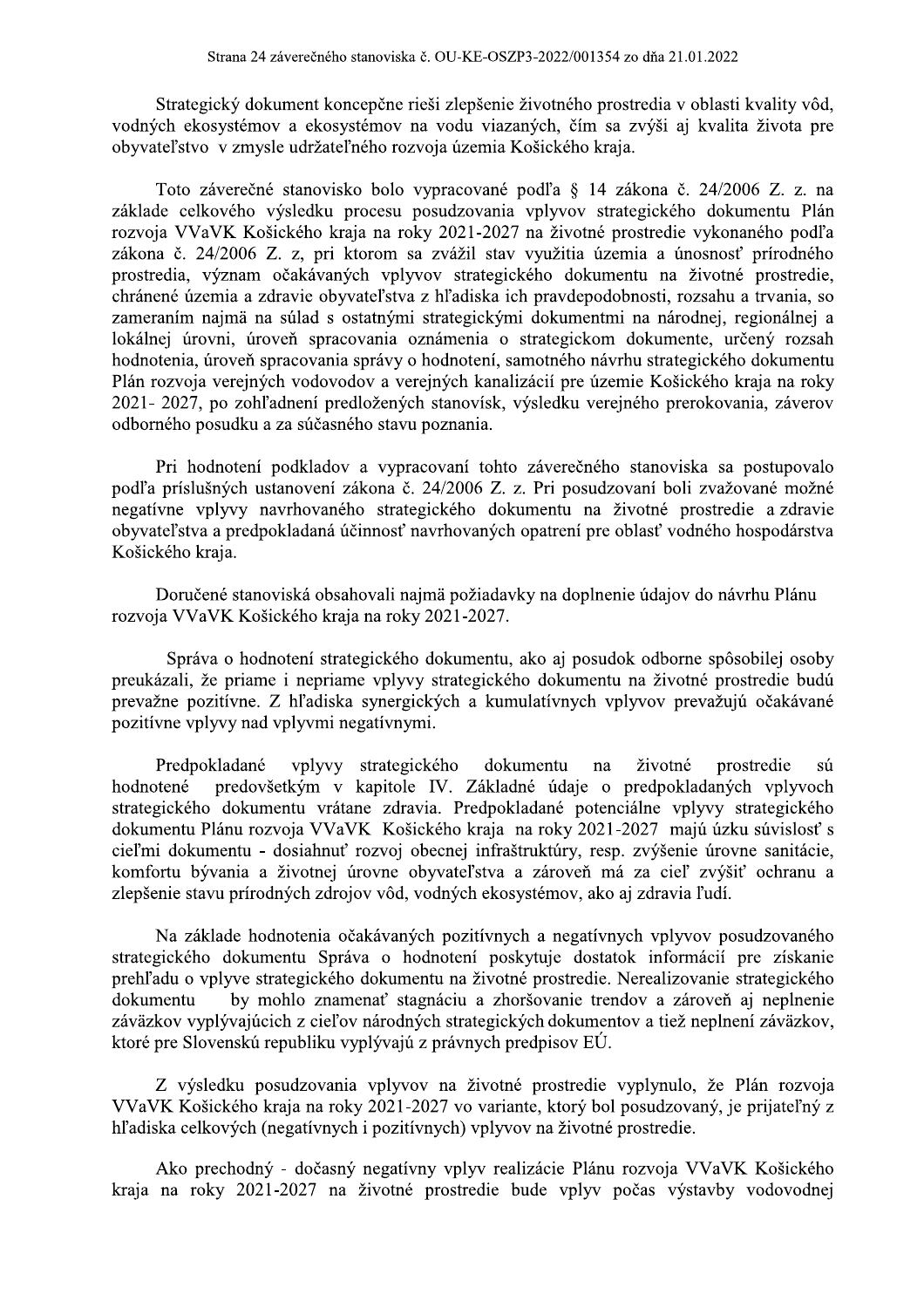Strategický dokument koncepčne rieši zlepšenie životného prostredia v oblasti kvality vôd, vodných ekosystémov a ekosystémov na vodu viazaných, čím sa zvýši aj kvalita života pre obyvateľstvo v zmysle udržateľného rozvoja územia Košického kraja.

Toto záverečné stanovisko bolo vypracované podľa § 14 zákona č. 24/2006 Z. z. na základe celkového výsledku procesu posudzovania vplyvov strategického dokumentu Plán rozvoja VVaVK Košického kraja na roky 2021-2027 na životné prostredie vykonaného podľa zákona č. 24/2006 Z. z. pri ktorom sa zvážil stav využitia územia a únosnosť prírodného prostredia, význam očakávaných vplyvov strategického dokumentu na životné prostredie, chránené územia a zdravie obyvateľstva z hľadiska ich pravdepodobnosti, rozsahu a trvania, so zameraním najmä na súlad s ostatnými strategickými dokumentmi na národnej, regionálnej a lokálnej úrovni, úroveň spracovania oznámenia o strategickom dokumente, určený rozsah hodnotenia, úroveň spracovania správy o hodnotení, samotného návrhu strategického dokumentu Plán rozvoja verejných vodovodov a verejných kanalizácií pre územie Košického kraja na roky 2021- 2027, po zohľadnení predložených stanovísk, výsledku verejného prerokovania, záverov odborného posudku a za súčasného stavu poznania.

Pri hodnotení podkladov a vypracovaní tohto záverečného stanoviska sa postupovalo podľa príslušných ustanovení zákona č. 24/2006 Z. z. Pri posudzovaní boli zvažované možné negatívne vplyvy navrhovaného strategického dokumentu na životné prostredie a zdravie obyvateľstva a predpokladaná účinnosť navrhovaných opatrení pre oblasť vodného hospodárstva Košického kraja.

Doručené stanoviská obsahovali najmä požiadavky na doplnenie údajov do návrhu Plánu rozvoja VVaVK Košického kraja na roky 2021-2027.

Správa o hodnotení strategického dokumentu, ako aj posudok odborne spôsobilej osoby preukázali, že priame i nepriame vplyvy strategického dokumentu na životné prostredie budú prevažne pozitívne. Z hľadiska synergických a kumulatívnych vplyvov prevažujú očakávané pozitívne vplyvy nad vplyvmi negatívnymi.

Predpokladané vplyvy strategického dokumentu životné prostredie na sú predovšetkým v kapitole IV. Základné údaje o predpokladaných vplyvoch hodnotené strategického dokumentu vrátane zdravia. Predpokladané potenciálne vplyvy strategického dokumentu Plánu rozvoja VVaVK Košického kraja na roky 2021-2027 majú úzku súvislosť s cieľmi dokumentu - dosiahnuť rozvoj obecnej infraštruktúry, resp. zvýšenie úrovne sanitácie, komfortu bývania a životnej úrovne obyvateľstva a zároveň má za cieľ zvýšiť ochranu a zlepšenie stavu prírodných zdrojov vôd, vodných ekosystémov, ako aj zdravia ľudí.

Na základe hodnotenia očakávaných pozitívnych a negatívnych vplyvov posudzovaného strategického dokumentu Správa o hodnotení poskytuje dostatok informácií pre získanie prehľadu o vplyve strategického dokumentu na životné prostredie. Nerealizovanie strategického by mohlo znamenať stagnáciu a zhoršovanie trendov a zároveň aj neplnenie dokumentu záväzkov vyplývajúcich z cieľov národných strategických dokumentov a tiež neplnení záväzkov, ktoré pre Slovenskú republiku vyplývajú z právnych predpisov EÚ.

Z výsledku posudzovania vplyvov na životné prostredie vyplynulo, že Plán rozvoja VVaVK Košického kraja na roky 2021-2027 vo variante, ktorý bol posudzovaný, je prijateľný z hľadiska celkových (negatívnych i pozitívnych) vplyvov na životné prostredie.

Ako prechodný - dočasný negatívny vplyv realizácie Plánu rozvoja VVaVK Košického kraja na roky 2021-2027 na životné prostredie bude vplyv počas výstavby vodovodnej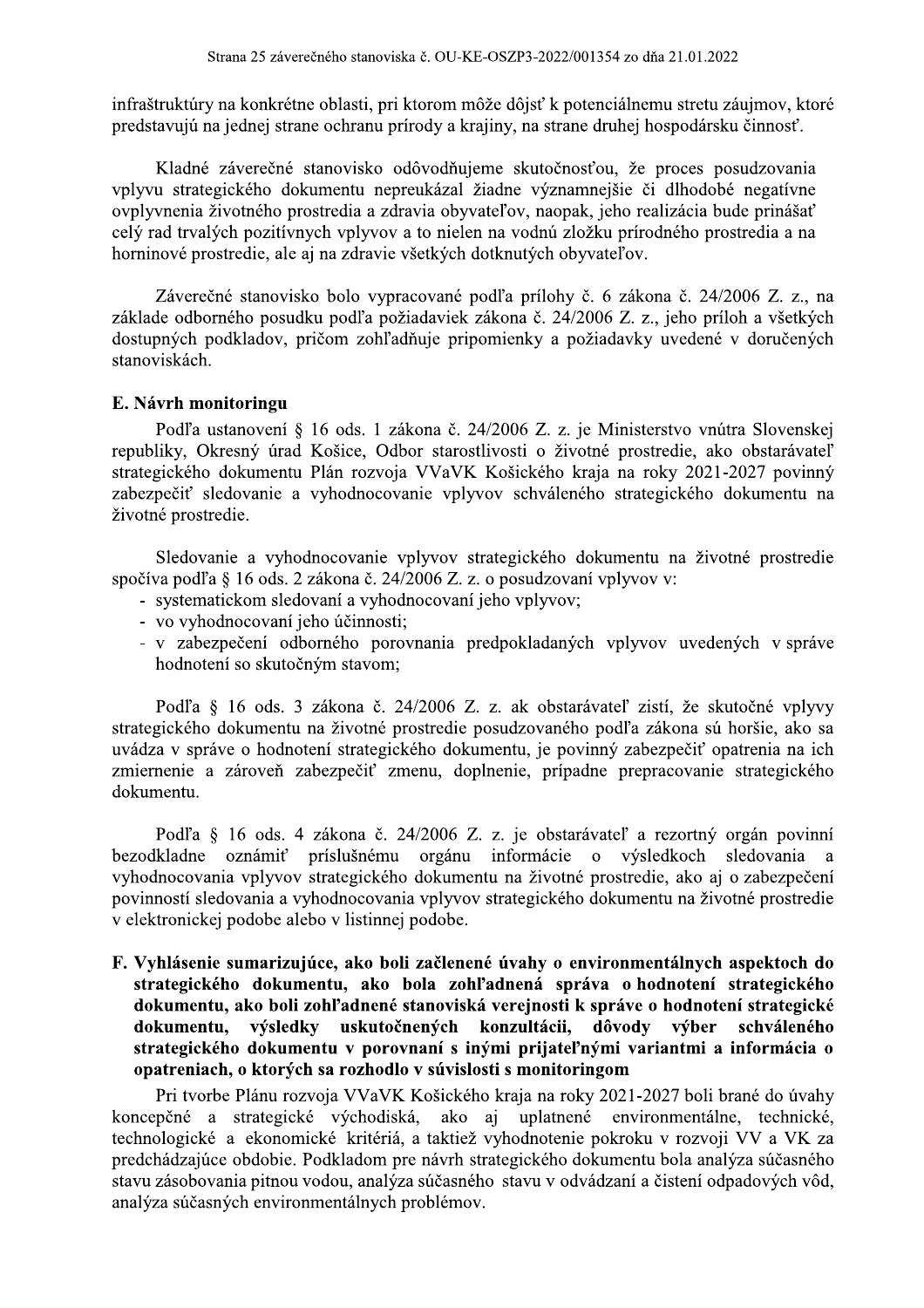infraštruktúry na konkrétne oblasti, pri ktorom môže dôjsť k potenciálnemu stretu záujmov, ktoré predstavujú na jednej strane ochranu prírody a krajiny, na strane druhej hospodársku činnosť.

Kladné záverečné stanovisko odôvodňujeme skutočnosťou, že proces posudzovania vplyvu strategického dokumentu nepreukázal žiadne významnejšie či dlhodobé negatívne ovplyvnenia životného prostredia a zdravia obyvateľov, naopak, jeho realizácia bude prinášať celý rad trvalých pozitívnych vplyvov a to nielen na vodnú zložku prírodného prostredia a na horninové prostredie, ale aj na zdravie všetkých dotknutých obyvateľov.

Záverečné stanovisko bolo vypracované podľa prílohy č. 6 zákona č. 24/2006 Z. z., na základe odborného posudku podľa požiadaviek zákona č. 24/2006 Z. z., jeho príloh a všetkých dostupných podkladov, pričom zohľadňuje pripomienky a požiadavky uvedené v doručených stanoviskách.

#### E. Návrh monitoringu

Podľa ustanovení § 16 ods. 1 zákona č. 24/2006 Z. z. je Ministerstvo vnútra Slovenskej republiky, Okresný úrad Košice, Odbor starostlivosti o životné prostredie, ako obstarávateľ strategického dokumentu Plán rozvoja VVaVK Košického kraja na roky 2021-2027 povinný zabezpečiť sledovanie a vyhodnocovanie vplyvov schváleného strategického dokumentu na životné prostredie.

Sledovanie a vyhodnocovanie vplyvov strategického dokumentu na životné prostredie spočíva podľa § 16 ods. 2 zákona č. 24/2006 Z. z. o posudzovaní vplyvov v:

- systematickom sledovaní a vyhodnocovaní jeho vplyvov;
- vo vyhodnocovaní jeho účinnosti:
- v zabezpečení odborného porovnania predpokladaných vplyvov uvedených v správe hodnotení so skutočným stavom;

Podľa § 16 ods. 3 zákona č. 24/2006 Z. z. ak obstarávateľ zistí, že skutočné vplyvy strategického dokumentu na životné prostredie posudzovaného podľa zákona sú horšie, ako sa uvádza v správe o hodnotení strategického dokumentu, je povinný zabezpečiť opatrenia na ich zmiernenie a zároveň zabezpečiť zmenu, doplnenie, prípadne prepracovanie strategického dokumentu.

Podľa § 16 ods. 4 zákona č. 24/2006 Z. z. je obstarávateľ a rezortný orgán povinní bezodkladne oznámiť príslušnému orgánu informácie o výsledkoch sledovania <sub>a</sub> vyhodnocovania vplyvov strategického dokumentu na životné prostredie, ako aj o zabezpečení povinností sledovania a vyhodnocovania vplyvov strategického dokumentu na životné prostredie v elektronickej podobe alebo v listinnej podobe.

F. Vyhlásenie sumarizujúce, ako boli začlenené úvahy o environmentálnych aspektoch do strategického dokumentu, ako bola zohľadnená správa o hodnotení strategického dokumentu, ako boli zohľadnené stanoviská verejnosti k správe o hodnotení strategické výsledky uskutočnených konzultácii, dôvody výber dokumentu, schváleného strategického dokumentu v porovnaní s inými prijateľnými variantmi a informácia o opatreniach, o ktorých sa rozhodlo v súvislosti s monitoringom

Pri tvorbe Plánu rozvoja VVaVK Košického kraja na roky 2021-2027 boli brané do úvahy koncepčné a strategické východiská, ako aj uplatnené environmentálne, technické, technologické a ekonomické kritériá, a taktiež vyhodnotenie pokroku v rozvoji VV a VK za predchádzajúce obdobie. Podkladom pre návrh strategického dokumentu bola analýza súčasného stavu zásobovania pitnou vodou, analýza súčasného stavu v odvádzaní a čistení odpadových vôd, analýza súčasných environmentálnych problémov.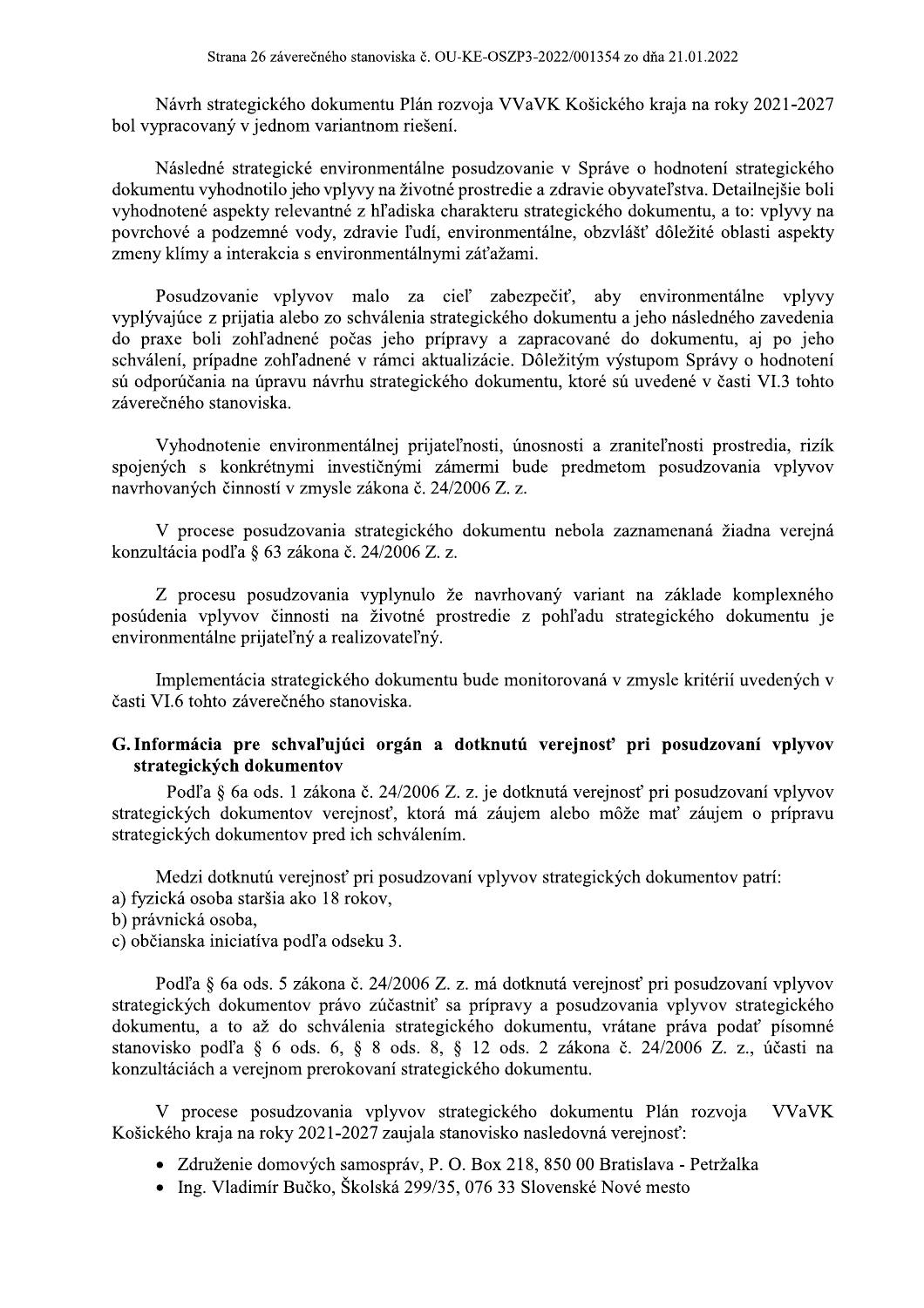Návrh strategického dokumentu Plán rozvoja VVaVK Košického kraja na roky 2021-2027 bol vypracovaný v jednom variantnom riešení.

Následné strategické environmentálne posudzovanie v Správe o hodnotení strategického dokumentu vyhodnotilo jeho vplyvy na životné prostredie a zdravie obyvateľstva. Detailnejšie boli vyhodnotené aspekty relevantné z hľadiska charakteru strategického dokumentu, a to: vplyvy na povrchové a podzemné vody, zdravie ľudí, environmentálne, obzvlášť dôležité oblasti aspekty zmeny klímy a interakcia s environmentálnymi záťažami.

Posudzovanie vplyvov malo za cieľ zabezpečiť, aby environmentálne vplyvy vyplývajúce z prijatia alebo zo schválenia strategického dokumentu a jeho následného zavedenia do praxe boli zohľadnené počas jeho prípravy a zapracované do dokumentu, aj po jeho schválení, prípadne zohľadnené v rámci aktualizácie. Dôležitým výstupom Správy o hodnotení sú odporúčania na úpravu návrhu strategického dokumentu, ktoré sú uvedené v časti VI.3 tohto záverečného stanoviska.

Vyhodnotenie environmentálnej prijateľnosti, únosnosti a zraniteľnosti prostredia, rizík spojených s konkrétnymi investičnými zámermi bude predmetom posudzovania vplvvov navrhovaných činností v zmysle zákona č. 24/2006 Z. z.

V procese posudzovania strategického dokumentu nebola zaznamenaná žiadna verejná konzultácia podľa § 63 zákona č. 24/2006 Z. z.

Z procesu posudzovania vyplynulo že navrhovaný variant na základe komplexného posúdenia vplyvov činnosti na životné prostredie z pohľadu strategického dokumentu je environmentálne prijateľný a realizovateľný.

Implementácia strategického dokumentu bude monitorovaná v zmysle kritérií uvedených v časti VI.6 tohto záverečného stanoviska.

## G. Informácia pre schvaľujúci orgán a dotknutú verejnosť pri posudzovaní vplyvov strategických dokumentov

Podľa § 6a ods. 1 zákona č. 24/2006 Z. z. je dotknutá verejnosť pri posudzovaní vplyvov strategických dokumentov verejnosť, ktorá má záujem alebo môže mať záujem o prípravu strategických dokumentov pred ich schválením.

Medzi dotknutú verejnosť pri posudzovaní vplyvov strategických dokumentov patrí:

- a) fyzická osoba staršia ako 18 rokov.
- b) právnická osoba,
- c) občianska iniciatíva podľa odseku 3.

Podľa § 6a ods. 5 zákona č. 24/2006 Z. z. má dotknutá verejnosť pri posudzovaní vplyvov strategických dokumentov právo zúčastniť sa prípravy a posudzovania vplyvov strategického dokumentu, a to až do schválenia strategického dokumentu, vrátane práva podať písomné stanovisko podľa § 6 ods. 6, § 8 ods. 8, § 12 ods. 2 zákona č. 24/2006 Z. z., účasti na konzultáciách a verejnom prerokovaní strategického dokumentu.

V procese posudzovania vplyvov strategického dokumentu Plán rozvoja **VVaVK** Košického kraja na roky 2021-2027 zaujala stanovisko nasledovná verejnosť:

- · Združenie domových samospráv, P. O. Box 218, 850 00 Bratislava Petržalka
- · Ing. Vladimír Bučko, Školská 299/35, 076 33 Slovenské Nové mesto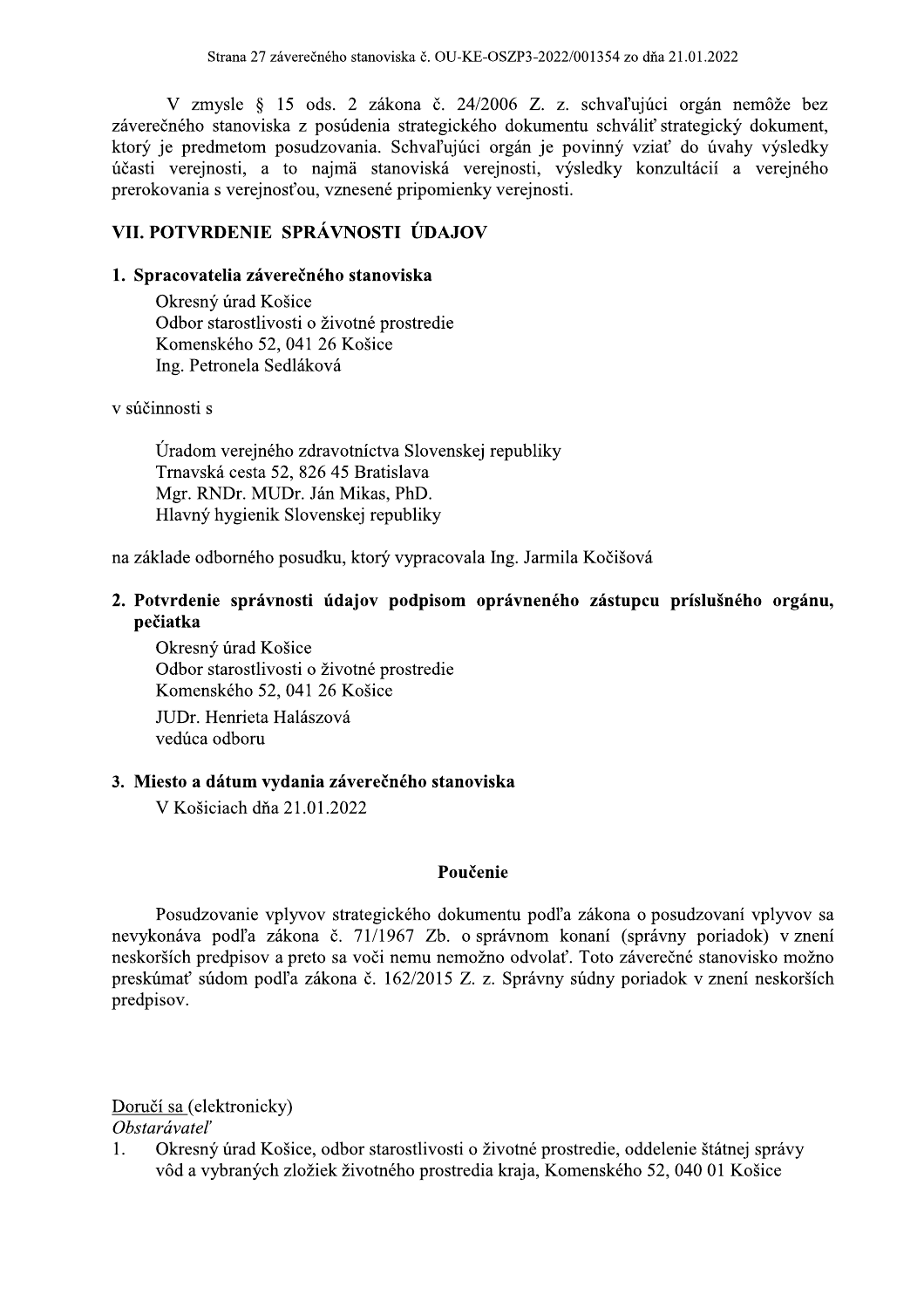V zmysle § 15 ods. 2 zákona č. 24/2006 Z. z. schvaľujúci orgán nemôže bez záverečného stanoviska z posúdenia strategického dokumentu schváliť strategický dokument, ktorý je predmetom posudzovania. Schvaľujúci orgán je povinný vziať do úvahy výsledky účasti verejnosti, a to najmä stanoviská verejnosti, výsledky konzultácií a verejného prerokovania s verejnosťou, vznesené pripomienky verejnosti.

## VII. POTVRDENIE SPRÁVNOSTI ÚDAJOV

#### 1. Spracovatelia záverečného stanoviska

Okresný úrad Košice Odbor starostlivosti o životné prostredie Komenského 52, 041 26 Košice Ing. Petronela Sedláková

v súčinnosti s

Úradom verejného zdravotníctva Slovenskej republiky Trnavská cesta 52, 826 45 Bratislava Mgr. RNDr. MUDr. Ján Mikas, PhD. Hlavný hygienik Slovenskej republiky

na základe odborného posudku, ktorý vypracovala Ing. Jarmila Kočišová

## 2. Potvrdenie správnosti údajov podpisom oprávneného zástupcu príslušného orgánu, pečiatka

Okresný úrad Košice Odbor starostlivosti o životné prostredie Komenského 52, 041 26 Košice JUDr. Henrieta Halászová vedúca odboru

#### 3. Miesto a dátum vydania záverečného stanoviska

V Košiciach dňa 21.01.2022

#### Poučenie

Posudzovanie vplyvov strategického dokumentu podľa zákona o posudzovaní vplyvov sa nevykonáva podľa zákona č. 71/1967 Zb. o správnom konaní (správny poriadok) v znení neskorších predpisov a preto sa voči nemu nemožno odvolať. Toto záverečné stanovisko možno preskúmať súdom podľa zákona č. 162/2015 Z. z. Správny súdny poriadok v znení neskorších predpisov.

Doručí sa (elektronicky)

#### Obstarávateľ

 $1<sub>1</sub>$ Okresný úrad Košice, odbor starostlivosti o životné prostredie, oddelenie štátnej správy vôd a vybraných zložiek životného prostredia kraja, Komenského 52, 040 01 Košice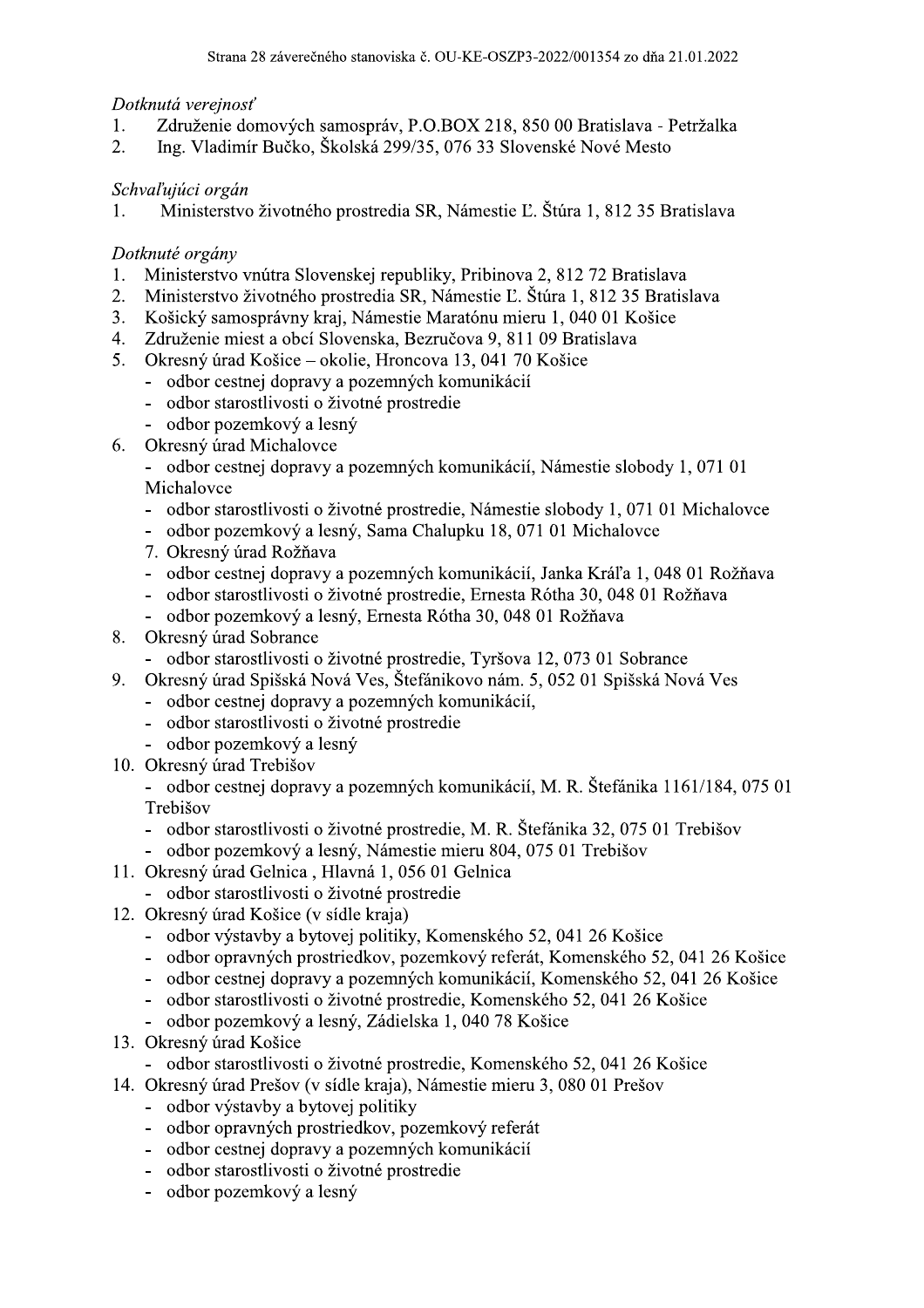## Dotknutá verejnosť

- Združenie domových samospráv, P.O.BOX 218, 850 00 Bratislava Petržalka 1.
- $2.$ Ing. Vladimír Bučko, Školská 299/35, 076 33 Slovenské Nové Mesto

## Schvaľujúci orgán

Ministerstvo životného prostredia SR, Námestie Ľ. Štúra 1, 812 35 Bratislava 1.

## Dotknuté orgány

- Ministerstvo vnútra Slovenskej republiky, Pribinova 2, 812 72 Bratislava 1.
- Ministerstvo životného prostredia SR, Námestie Ľ. Štúra 1, 812 35 Bratislava  $2.$
- Košický samosprávny kraj, Námestie Maratónu mieru 1, 040 01 Košice  $3.$
- 4. Združenie miest a obcí Slovenska, Bezručova 9, 811 09 Bratislava
- Okresný úrad Košice okolie, Hroncova 13, 041 70 Košice 5.
	- odbor cestnej dopravy a pozemných komunikácií
	- odbor starostlivosti o životné prostredie
	- odbor pozemkový a lesný
- Okresný úrad Michalovce 6.
	- odbor cestnej dopravy a pozemných komunikácií, Námestie slobody 1, 071 01 Michalovce
	- odbor starostlivosti o životné prostredie, Námestie slobody 1, 071 01 Michalovce
	- odbor pozemkový a lesný, Sama Chalupku 18, 071 01 Michalovce
	- 7. Okresný úrad Rožňava
	- odbor cestnej dopravy a pozemných komunikácií, Janka Kráľa 1, 048 01 Rožňava
	- odbor starostlivosti o životné prostredie, Ernesta Rótha 30, 048 01 Rožňava
	- odbor pozemkový a lesný, Ernesta Rótha 30, 048 01 Rožňava
- Okresný úrad Sobrance 8.
	- odbor starostlivosti o životné prostredie, Tyršova 12, 073 01 Sobrance
- Okresný úrad Spišská Nová Ves, Štefánikovo nám. 5, 052 01 Spišská Nová Ves 9.
	- odbor cestnej dopravy a pozemných komunikácií,
	- odbor starostlivosti o životné prostredie
	- odbor pozemkový a lesný
- 10. Okresný úrad Trebišov

- odbor cestnej dopravy a pozemných komunikácií, M. R. Štefánika 1161/184, 075 01 Trebišov

- odbor starostlivosti o životné prostredie, M. R. Štefánika 32, 075 01 Trebišov
- odbor pozemkový a lesný, Námestie mieru 804, 075 01 Trebišov
- 11. Okresný úrad Gelnica, Hlavná 1, 056 01 Gelnica
	- odbor starostlivosti o životné prostredie
- 12. Okresný úrad Košice (v sídle kraja)
	- odbor výstavby a bytovej politiky, Komenského 52, 041 26 Košice
	- odbor opravných prostriedkov, pozemkový referát, Komenského 52, 041 26 Košice
	- odbor cestnej dopravy a pozemných komunikácií, Komenského 52, 041 26 Košice
	- odbor starostlivosti o životné prostredie, Komenského 52, 041 26 Košice
	- odbor pozemkový a lesný, Zádielska 1, 040 78 Košice
- 13. Okresný úrad Košice
	- odbor starostlivosti o životné prostredie, Komenského 52, 041 26 Košice
- 14. Okresný úrad Prešov (v sídle kraja), Námestie mieru 3, 080 01 Prešov
	- odbor výstavby a bytovej politiky
	- odbor opravných prostriedkov, pozemkový referát
	- odbor cestnej dopravy a pozemných komunikácií
	- odbor starostlivosti o životné prostredie
	- odbor pozemkový a lesný